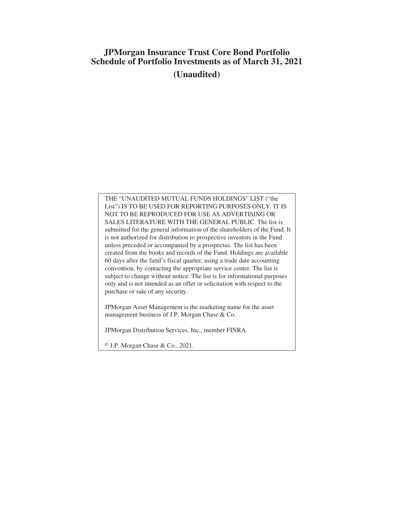# **JPMorgan Insurance Trust Core Bond Portfolio Schedule of Portfolio Investments as of March 31, 2021 (Unaudited)**

THE "UNAUDITED MUTUAL FUNDS HOLDINGS" LIST ("the List") IS TO BE USED FOR REPORTING PURPOSES ONLY. IT IS NOT TO BE REPRODUCED FOR USE AS ADVERTISING OR SALES LITERATURE WITH THE GENERAL PUBLIC. The list is submitted for the general information of the shareholders of the Fund. It is not authorized for distribution to prospective investors in the Fund unless preceded or accompanied by a prospectus. The list has been created from the books and records of the Fund. Holdings are available 60 days after the fund's fiscal quarter, using a trade date accounting convention, by contacting the appropriate service center. The list is subject to change without notice. The list is for informational purposes only and is not intended as an offer or solicitation with respect to the purchase or sale of any security.

JPMorgan Asset Management is the marketing name for the asset management business of J.P. Morgan Chase & Co.

JPMorgan Distribution Services, Inc., member FINRA.

© J.P. Morgan Chase & Co., 2021.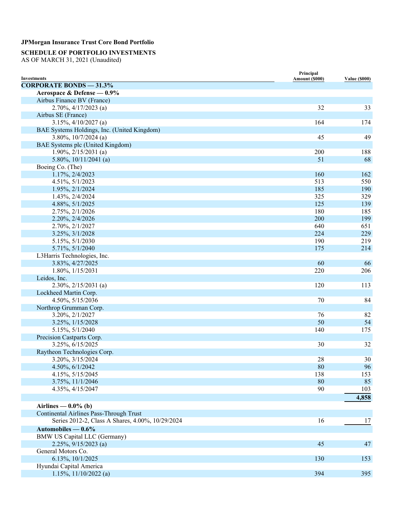### **SCHEDULE OF PORTFOLIO INVESTMENTS**

AS OF MARCH 31, 2021 (Unaudited)

| <b>Investments</b>                               | Principal<br>Amount (\$000) | <b>Value (\$000)</b> |
|--------------------------------------------------|-----------------------------|----------------------|
| <b>CORPORATE BONDS - 31.3%</b>                   |                             |                      |
| Aerospace & Defense - 0.9%                       |                             |                      |
| Airbus Finance BV (France)                       |                             |                      |
| $2.70\%, \frac{4}{17}{2023}$ (a)                 | 32                          | 33                   |
| Airbus SE (France)                               |                             |                      |
| $3.15\%, \frac{4}{10/2027}$ (a)                  | 164                         | 174                  |
| BAE Systems Holdings, Inc. (United Kingdom)      |                             |                      |
| 3.80%, $10/7/2024$ (a)                           | 45                          | 49                   |
| BAE Systems plc (United Kingdom)                 |                             |                      |
| $1.90\%, 2/15/2031$ (a)                          | 200                         | 188                  |
| 5.80%, $10/11/2041$ (a)                          | 51                          | 68                   |
| Boeing Co. (The)                                 |                             |                      |
| 1.17%, 2/4/2023                                  | 160                         | 162                  |
| 4.51%, 5/1/2023                                  | 513                         | 550                  |
| 1.95%, 2/1/2024                                  | 185                         | 190                  |
| 1.43%, 2/4/2024                                  | 325                         | 329                  |
| 4.88%, 5/1/2025                                  | 125                         | 139                  |
| 2.75%, 2/1/2026                                  | 180                         | 185                  |
| 2.20%, 2/4/2026                                  | 200                         | 199                  |
| 2.70%, 2/1/2027                                  | 640                         | 651                  |
| 3.25%, 3/1/2028                                  | 224                         | 229                  |
| 5.15%, 5/1/2030                                  | 190                         | 219                  |
| 5.71%, 5/1/2040                                  | 175                         | 214                  |
| L3Harris Technologies, Inc.                      |                             |                      |
| 3.83%, 4/27/2025                                 | 60                          | 66                   |
| 1.80%, 1/15/2031                                 | 220                         | 206                  |
| Leidos, Inc.                                     |                             |                      |
| $2.30\%, 2/15/2031$ (a)                          | 120                         | 113                  |
| Lockheed Martin Corp.                            |                             |                      |
| 4.50%, 5/15/2036                                 | 70                          | 84                   |
| Northrop Grumman Corp.                           |                             |                      |
| 3.20%, 2/1/2027                                  | 76                          | 82                   |
| 3.25%, 1/15/2028                                 | 50                          | 54                   |
| 5.15%, 5/1/2040                                  | 140                         | 175                  |
| Precision Castparts Corp.                        |                             |                      |
| 3.25%, 6/15/2025                                 | 30                          | 32                   |
| Raytheon Technologies Corp.                      |                             |                      |
| 3.20%, 3/15/2024                                 | 28                          | 30                   |
| 4.50%, 6/1/2042                                  | 80                          | 96                   |
| 4.15%, 5/15/2045                                 | 138                         | 153                  |
| 3.75%, 11/1/2046                                 | 80                          | 85                   |
| 4.35%, 4/15/2047                                 | 90                          | 103                  |
|                                                  |                             | 4,858                |
| Airlines — $0.0\%$ (b)                           |                             |                      |
| Continental Airlines Pass-Through Trust          |                             |                      |
| Series 2012-2, Class A Shares, 4.00%, 10/29/2024 | 16                          | 17                   |
| Automobiles $-0.6\%$                             |                             |                      |
| <b>BMW US Capital LLC (Germany)</b>              |                             |                      |
| $2.25\%, 9/15/2023$ (a)                          | 45                          | 47                   |
| General Motors Co.                               |                             |                      |
| 6.13%, 10/1/2025                                 | 130                         | 153                  |
| Hyundai Capital America                          |                             |                      |
| $1.15\%, 11/10/2022$ (a)                         | 394                         | 395                  |
|                                                  |                             |                      |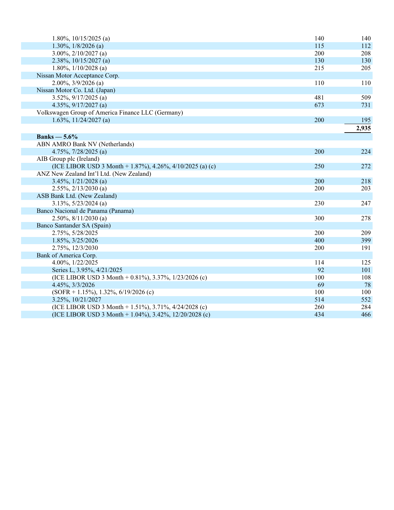| 1.80%, $10/15/2025$ (a)                                   | 140 | 140   |
|-----------------------------------------------------------|-----|-------|
| 1.30%, $1/8/2026$ (a)                                     | 115 | 112   |
| 3.00%, $2/10/2027$ (a)                                    | 200 | 208   |
| $2.38\%, 10/15/2027$ (a)                                  | 130 | 130   |
| 1.80%, $1/10/2028$ (a)                                    | 215 | 205   |
| Nissan Motor Acceptance Corp.                             |     |       |
| $2.00\%, \frac{3}{9}/2026$ (a)                            | 110 | 110   |
| Nissan Motor Co. Ltd. (Japan)                             |     |       |
| 3.52%, $9/17/2025$ (a)                                    | 481 | 509   |
| 4.35%, $9/17/2027$ (a)                                    | 673 | 731   |
| Volkswagen Group of America Finance LLC (Germany)         |     |       |
| 1.63%, $11/24/2027$ (a)                                   | 200 | 195   |
|                                                           |     | 2,935 |
| Banks $-5.6\%$                                            |     |       |
| ABN AMRO Bank NV (Netherlands)                            |     |       |
| 4.75%, $7/28/2025$ (a)                                    | 200 | 224   |
| AIB Group plc (Ireland)                                   |     |       |
| (ICE LIBOR USD 3 Month + 1.87%), 4.26%, 4/10/2025 (a) (c) | 250 | 272   |
| ANZ New Zealand Int'l Ltd. (New Zealand)                  |     |       |
| $3.45\%, 1/21/2028$ (a)                                   | 200 | 218   |
| $2.55\%, 2/13/2030$ (a)                                   | 200 | 203   |
| ASB Bank Ltd. (New Zealand)                               |     |       |
| $3.13\%, 5/23/2024$ (a)                                   | 230 | 247   |
| Banco Nacional de Panama (Panama)                         |     |       |
| $2.50\%, 8/11/2030$ (a)                                   | 300 | 278   |
| Banco Santander SA (Spain)                                |     |       |
| 2.75%, 5/28/2025                                          | 200 | 209   |
| 1.85%, 3/25/2026                                          | 400 | 399   |
| 2.75%, 12/3/2030                                          | 200 | 191   |
| Bank of America Corp.                                     |     |       |
| 4.00%, 1/22/2025                                          | 114 | 125   |
| Series L, 3.95%, 4/21/2025                                | 92  | 101   |
| (ICE LIBOR USD 3 Month + 0.81%), 3.37%, 1/23/2026 (c)     | 100 | 108   |
| 4.45%, 3/3/2026                                           | 69  | 78    |
| $(SOFR + 1.15\%), 1.32\%, 6/19/2026$ (c)                  | 100 | 100   |
| 3.25%, 10/21/2027                                         | 514 | 552   |
| (ICE LIBOR USD 3 Month + 1.51%), 3.71%, $4/24/2028$ (c)   | 260 | 284   |
| (ICE LIBOR USD 3 Month + 1.04%), 3.42%, 12/20/2028 (c)    | 434 | 466   |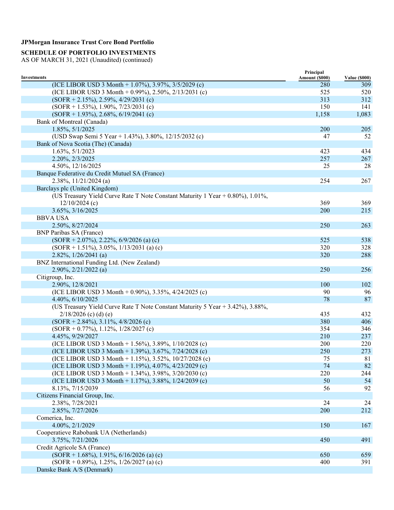### **SCHEDULE OF PORTFOLIO INVESTMENTS**

| <b>Investments</b><br>Amount (\$000)                                           | <b>Value (\$000)</b> |
|--------------------------------------------------------------------------------|----------------------|
| (ICE LIBOR USD 3 Month + 1.07%), 3.97%, 3/5/2029 (c)<br>280                    | 309                  |
| (ICE LIBOR USD 3 Month + 0.99%), 2.50%, 2/13/2031 (c)<br>525                   | 520                  |
| 313<br>$(SOFR + 2.15\%), 2.59\%, 4/29/2031$ (c)                                | 312                  |
| $(SOFR + 1.53\%), 1.90\%, 7/23/2031$ (c)<br>150                                | 141                  |
| $(SOFR + 1.93\%), 2.68\%, 6/19/2041$ (c)<br>1,158                              | 1,083                |
| Bank of Montreal (Canada)                                                      |                      |
| 1.85%, 5/1/2025<br>200                                                         | 205                  |
| (USD Swap Semi 5 Year + 1.43%), 3.80%, 12/15/2032 (c)<br>47                    | 52                   |
| Bank of Nova Scotia (The) (Canada)                                             |                      |
| $1.63\%, 5/1/2023$<br>423                                                      | 434                  |
| 2.20%, 2/3/2025<br>257                                                         | 267                  |
| 4.50%, 12/16/2025<br>25                                                        | 28                   |
| Banque Federative du Credit Mutuel SA (France)                                 |                      |
| 254<br>$2.38\%, 11/21/2024$ (a)                                                | 267                  |
| Barclays plc (United Kingdom)                                                  |                      |
| (US Treasury Yield Curve Rate T Note Constant Maturity 1 Year + 0.80%), 1.01%, |                      |
| $12/10/2024$ (c)<br>369                                                        | 369                  |
| 3.65%, 3/16/2025<br>200                                                        | 215                  |
|                                                                                |                      |
| <b>BBVA USA</b>                                                                |                      |
| 2.50%, 8/27/2024<br>250                                                        | 263                  |
| <b>BNP Paribas SA (France)</b>                                                 |                      |
| $(SOFR + 2.07\%)$ , 2.22%, 6/9/2026 (a) (c)<br>525                             | 538                  |
| 320<br>$(SOFR + 1.51\%), 3.05\%, 1/13/2031$ (a) (c)                            | 328                  |
| $2.82\%, 1/26/2041$ (a)<br>320                                                 | 288                  |
| BNZ International Funding Ltd. (New Zealand)                                   |                      |
| $2.90\%, 2/21/2022$ (a)<br>250                                                 | 256                  |
| Citigroup, Inc.                                                                |                      |
| 100<br>2.90%, 12/8/2021                                                        | 102                  |
| 90<br>(ICE LIBOR USD 3 Month + 0.90%), 3.35%, 4/24/2025 (c)                    | 96                   |
| 78<br>4.40%, 6/10/2025                                                         | 87                   |
| (US Treasury Yield Curve Rate T Note Constant Maturity 5 Year + 3.42%), 3.88%, |                      |
| $2/18/2026$ (c) (d) (e)<br>435                                                 | 432                  |
| 380<br>$(SOFR + 2.84\%), 3.11\%, 4/8/2026$ (c)                                 | 406                  |
| 354<br>$(SOFR + 0.77\%)$ , 1.12\%, 1/28/2027 (c)                               | 346                  |
| 4.45%, 9/29/2027<br>210                                                        | 237                  |
| (ICE LIBOR USD 3 Month + 1.56%), 3.89%, $1/10/2028$ (c)<br>200                 | 220                  |
| (ICE LIBOR USD 3 Month + 1.39%), 3.67%, 7/24/2028 (c)<br>250                   | 273                  |
| (ICE LIBOR USD 3 Month + 1.15%), 3.52%, 10/27/2028 (c)<br>75                   | 81                   |
| (ICE LIBOR USD 3 Month + 1.19%), 4.07%, 4/23/2029 (c)<br>74                    | 82                   |
| 220<br>(ICE LIBOR USD 3 Month + 1.34%), 3.98%, $3/20/2030$ (c)                 | 244                  |
| (ICE LIBOR USD 3 Month + 1.17%), 3.88%, 1/24/2039 (c)<br>50                    | 54                   |
| 8.13%, 7/15/2039<br>56                                                         | 92                   |
| Citizens Financial Group, Inc.                                                 |                      |
| 2.38%, 7/28/2021<br>24                                                         | 24                   |
| 2.85%, 7/27/2026<br>200                                                        | 212                  |
| Comerica, Inc.                                                                 |                      |
| 4.00%, 2/1/2029<br>150                                                         | 167                  |
| Cooperatieve Rabobank UA (Netherlands)                                         |                      |
| 3.75%, 7/21/2026<br>450                                                        | 491                  |
| Credit Agricole SA (France)                                                    |                      |
| $(SOFR + 1.68\%), 1.91\%, 6/16/2026$ (a) (c)<br>650                            | 659                  |
| $(SOFR + 0.89\%), 1.25\%, 1/26/2027$ (a) (c)<br>400                            | 391                  |
| Danske Bank A/S (Denmark)                                                      |                      |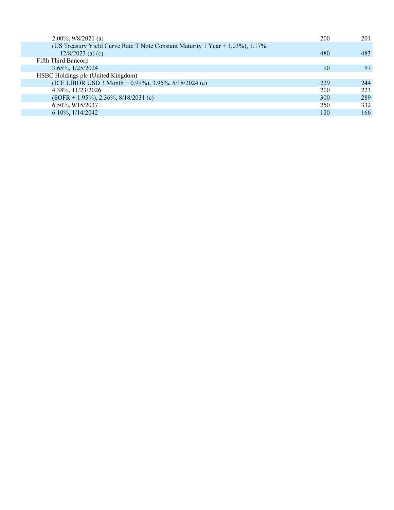| $2.00\%, 9/8/2021$ (a)                                                           | 200 | 201 |
|----------------------------------------------------------------------------------|-----|-----|
| (US Treasury Yield Curve Rate T Note Constant Maturity 1 Year $+$ 1.03%), 1.17%, |     |     |
| $12/8/2023$ (a) (c)                                                              | 480 | 483 |
| Fifth Third Bancorp                                                              |     |     |
| $3.65\%, 1/25/2024$                                                              | 90  | 97  |
| HSBC Holdings plc (United Kingdom)                                               |     |     |
| (ICE LIBOR USD 3 Month + 0.99%), 3.95%, $5/18/2024$ (c)                          | 229 | 244 |
| 4.38%, 11/23/2026                                                                | 200 | 223 |
| $(SOFR + 1.95\%), 2.36\%, 8/18/2031$ (c)                                         | 300 | 289 |
| 6.50%, 9/15/2037                                                                 | 250 | 332 |
| $6.10\%, 1/14/2042$                                                              | 120 | 166 |
|                                                                                  |     |     |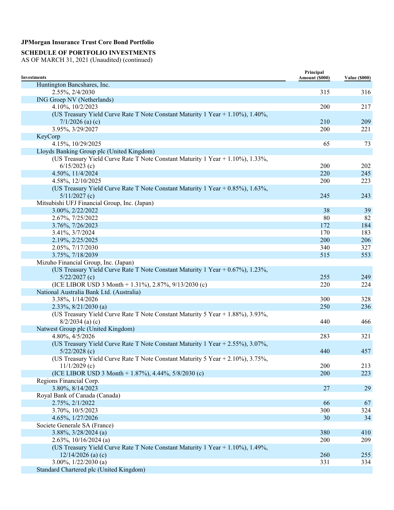### **SCHEDULE OF PORTFOLIO INVESTMENTS**

| <b>Investments</b>                                                                     | Principal<br>Amount (\$000) | <b>Value (\$000)</b> |
|----------------------------------------------------------------------------------------|-----------------------------|----------------------|
| Huntington Bancshares, Inc.                                                            |                             |                      |
| 2.55%, 2/4/2030                                                                        | 315                         | 316                  |
| ING Groep NV (Netherlands)                                                             |                             |                      |
| 4.10%, 10/2/2023                                                                       | 200                         | 217                  |
| (US Treasury Yield Curve Rate T Note Constant Maturity 1 Year + $1.10\%$ ), $1.40\%$ , |                             |                      |
| $7/1/2026$ (a) (c)                                                                     | 210                         | 209                  |
| 3.95%, 3/29/2027                                                                       | 200                         | 221                  |
| KeyCorp                                                                                |                             |                      |
| 4.15%, 10/29/2025                                                                      | 65                          | 73                   |
| Lloyds Banking Group plc (United Kingdom)                                              |                             |                      |
| (US Treasury Yield Curve Rate T Note Constant Maturity 1 Year + 1.10%), 1.33%,         |                             |                      |
| $6/15/2023$ (c)                                                                        | 200                         | 202                  |
| 4.50%, 11/4/2024                                                                       | 220                         | 245                  |
| 4.58%, 12/10/2025                                                                      | 200                         | 223                  |
| (US Treasury Yield Curve Rate T Note Constant Maturity 1 Year + 0.85%), 1.63%,         |                             |                      |
| $5/11/2027$ (c)                                                                        | 245                         | 243                  |
| Mitsubishi UFJ Financial Group, Inc. (Japan)                                           |                             |                      |
| 3.00%, 2/22/2022                                                                       | 38                          | 39                   |
| 2.67%, 7/25/2022                                                                       | 80                          | 82                   |
| 3.76%, 7/26/2023                                                                       | 172                         | 184                  |
| 3.41%, 3/7/2024                                                                        | 170                         | 183                  |
| 2.19%, 2/25/2025                                                                       | 200                         | 206                  |
| 2.05%, 7/17/2030                                                                       | 340                         | 327                  |
| 3.75%, 7/18/2039                                                                       | 515                         | 553                  |
| Mizuho Financial Group, Inc. (Japan)                                                   |                             |                      |
| (US Treasury Yield Curve Rate T Note Constant Maturity 1 Year + 0.67%), 1.23%,         |                             |                      |
| $5/22/2027$ (c)                                                                        | 255                         | 249                  |
| (ICE LIBOR USD 3 Month + 1.31%), 2.87%, 9/13/2030 (c)                                  | 220                         | 224                  |
| National Australia Bank Ltd. (Australia)                                               |                             |                      |
| 3.38%, 1/14/2026                                                                       | 300                         | 328                  |
| $2.33\%, 8/21/2030$ (a)                                                                | 250                         | 236                  |
| (US Treasury Yield Curve Rate T Note Constant Maturity 5 Year + 1.88%), 3.93%,         |                             |                      |
| $8/2/2034$ (a) (c)                                                                     | 440                         | 466                  |
| Natwest Group plc (United Kingdom)                                                     |                             |                      |
| 4.80%, 4/5/2026                                                                        | 283                         | 321                  |
| (US Treasury Yield Curve Rate T Note Constant Maturity 1 Year + 2.55%), 3.07%,         |                             |                      |
| $5/22/2028$ (c)                                                                        | 440                         | 457                  |
| (US Treasury Yield Curve Rate T Note Constant Maturity 5 Year + 2.10%), 3.75%,         |                             |                      |
| $11/1/2029$ (c)                                                                        | 200                         | 213                  |
| (ICE LIBOR USD 3 Month + 1.87%), 4.44%, $5/8/2030$ (c)                                 | 200                         | 223                  |
| Regions Financial Corp.                                                                |                             |                      |
| 3.80%, 8/14/2023                                                                       | 27                          | 29                   |
| Royal Bank of Canada (Canada)                                                          |                             |                      |
| 2.75%, 2/1/2022                                                                        | 66                          | 67                   |
| 3.70%, 10/5/2023                                                                       | 300                         | 324                  |
| 4.65%, 1/27/2026                                                                       | 30                          | 34                   |
| Societe Generale SA (France)                                                           |                             |                      |
| $3.88\%, 3/28/2024$ (a)                                                                | 380                         | 410                  |
| $2.63\%, 10/16/2024$ (a)                                                               | 200                         | 209                  |
| (US Treasury Yield Curve Rate T Note Constant Maturity 1 Year + 1.10%), 1.49%,         |                             |                      |
| $12/14/2026$ (a) (c)                                                                   | 260                         | 255                  |
| $3.00\%, 1/22/2030$ (a)                                                                | 331                         | 334                  |
| Standard Chartered plc (United Kingdom)                                                |                             |                      |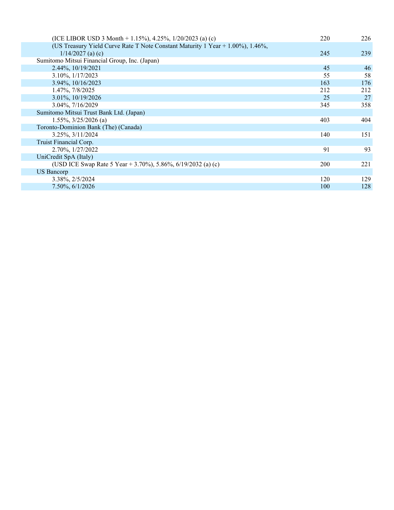| (ICE LIBOR USD 3 Month + 1.15%), 4.25%, $1/20/2023$ (a) (c)                      | 220 | 226 |
|----------------------------------------------------------------------------------|-----|-----|
| (US Treasury Yield Curve Rate T Note Constant Maturity 1 Year $+$ 1.00%), 1.46%, |     |     |
| $1/14/2027$ (a) (c)                                                              | 245 | 239 |
| Sumitomo Mitsui Financial Group, Inc. (Japan)                                    |     |     |
| 2.44%, 10/19/2021                                                                | 45  | 46  |
| 3.10%, $1/17/2023$                                                               | 55  | 58  |
| 3.94%, 10/16/2023                                                                | 163 | 176 |
| 1.47%, 7/8/2025                                                                  | 212 | 212 |
| 3.01%, 10/19/2026                                                                | 25  | 27  |
| 3.04%, 7/16/2029                                                                 | 345 | 358 |
| Sumitomo Mitsui Trust Bank Ltd. (Japan)                                          |     |     |
| $1.55\%, \frac{3}{25}/2026$ (a)                                                  | 403 | 404 |
| Toronto-Dominion Bank (The) (Canada)                                             |     |     |
| 3.25%, 3/11/2024                                                                 | 140 | 151 |
| Truist Financial Corp.                                                           |     |     |
| 2.70%, $1/27/2022$                                                               | 91  | 93  |
| UniCredit SpA (Italy)                                                            |     |     |
| (USD ICE Swap Rate 5 Year + 3.70%), 5.86%, 6/19/2032 (a) (c)                     | 200 | 221 |
| US Bancorp                                                                       |     |     |
| 3.38%, 2/5/2024                                                                  | 120 | 129 |
| $7.50\%$ , 6/1/2026                                                              | 100 | 128 |
|                                                                                  |     |     |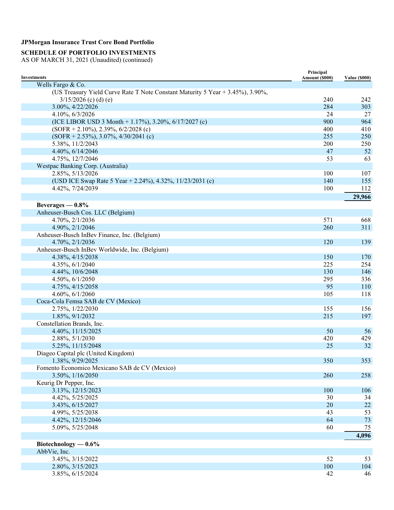### **SCHEDULE OF PORTFOLIO INVESTMENTS**

| <b>Investments</b>                                                             | Principal<br>Amount (\$000) | <b>Value (\$000)</b> |
|--------------------------------------------------------------------------------|-----------------------------|----------------------|
| Wells Fargo & Co.                                                              |                             |                      |
| (US Treasury Yield Curve Rate T Note Constant Maturity 5 Year + 3.45%), 3.90%, |                             |                      |
| $3/15/2026$ (c) (d) (e)                                                        | 240                         | 242                  |
| 3.00%, 4/22/2026                                                               | 284                         | 303                  |
| 4.10%, 6/3/2026                                                                | 24                          | 27                   |
| (ICE LIBOR USD 3 Month + 1.17%), 3.20%, $6/17/2027$ (c)                        | 900                         | 964                  |
| $(SOFR + 2.10\%), 2.39\%, 6/2/2028$ (c)                                        | 400                         | 410                  |
| $(SOFR + 2.53\%), 3.07\%, 4/30/2041$ (c)                                       | 255                         | 250                  |
| 5.38%, 11/2/2043                                                               | 200                         | 250                  |
| 4.40%, 6/14/2046                                                               | 47                          | 52                   |
| 4.75%, 12/7/2046                                                               | 53                          | 63                   |
| Westpac Banking Corp. (Australia)                                              |                             |                      |
| 2.85%, 5/13/2026                                                               | 100                         | 107                  |
| (USD ICE Swap Rate 5 Year + 2.24%), 4.32%, 11/23/2031 (c)                      | 140                         | 155                  |
| 4.42%, 7/24/2039                                                               | 100                         | 112                  |
|                                                                                |                             | 29,966               |
| Beverages $-0.8\%$                                                             |                             |                      |
| Anheuser-Busch Cos. LLC (Belgium)                                              |                             |                      |
| 4.70%, 2/1/2036                                                                | 571                         | 668                  |
| 4.90%, 2/1/2046                                                                | 260                         | 311                  |
| Anheuser-Busch InBev Finance, Inc. (Belgium)                                   |                             |                      |
| 4.70%, 2/1/2036                                                                | 120                         | 139                  |
| Anheuser-Busch InBev Worldwide, Inc. (Belgium)                                 |                             |                      |
| 4.38%, 4/15/2038                                                               | 150                         | 170                  |
| 4.35%, 6/1/2040                                                                | 225                         | 254                  |
| 4.44%, 10/6/2048                                                               | 130                         | 146                  |
| 4.50%, 6/1/2050                                                                | 295                         | 336                  |
| 4.75%, 4/15/2058                                                               | 95                          | 110                  |
| 4.60%, 6/1/2060                                                                | 105                         | 118                  |
| Coca-Cola Femsa SAB de CV (Mexico)                                             |                             |                      |
| 2.75%, 1/22/2030                                                               | 155                         | 156                  |
| 1.85%, 9/1/2032                                                                | 215                         | 197                  |
| Constellation Brands, Inc.                                                     |                             |                      |
| 4.40%, 11/15/2025                                                              | 50                          | 56                   |
| 2.88%, 5/1/2030                                                                | 420                         | 429                  |
| 5.25%, 11/15/2048                                                              | 25                          | 32                   |
| Diageo Capital plc (United Kingdom)                                            |                             |                      |
| 1.38%, 9/29/2025                                                               | 350                         | 353                  |
| Fomento Economico Mexicano SAB de CV (Mexico)                                  |                             |                      |
| 3.50%, 1/16/2050                                                               | 260                         | 258                  |
| Keurig Dr Pepper, Inc.                                                         |                             |                      |
| 3.13%, 12/15/2023                                                              | 100                         | 106                  |
| 4.42%, 5/25/2025                                                               | 30                          | 34                   |
| 3.43%, 6/15/2027                                                               | 20                          | $22\,$               |
| 4.99%, 5/25/2038                                                               | 43                          | 53                   |
| 4.42%, 12/15/2046                                                              | 64                          | 73                   |
| 5.09%, 5/25/2048                                                               | 60                          | 75                   |
|                                                                                |                             | 4,096                |
|                                                                                |                             |                      |
| Biotechnology $-0.6\%$                                                         |                             |                      |
| AbbVie, Inc.                                                                   |                             |                      |
| 3.45%, 3/15/2022                                                               | 52                          | 53                   |
| 2.80%, 3/15/2023                                                               | 100                         | 104                  |
| 3.85%, 6/15/2024                                                               | 42                          | 46                   |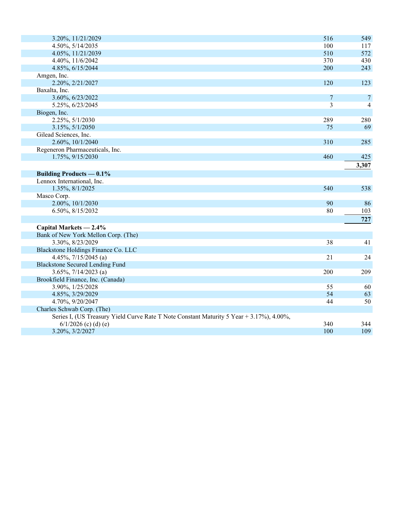| 3.20%, 11/21/2029                                                                        | 516 | 549   |
|------------------------------------------------------------------------------------------|-----|-------|
| 4.50%, 5/14/2035                                                                         | 100 | 117   |
| 4.05%, 11/21/2039                                                                        | 510 | 572   |
| 4.40%, 11/6/2042                                                                         | 370 | 430   |
| 4.85%, 6/15/2044                                                                         | 200 | 243   |
| Amgen, Inc.                                                                              |     |       |
| 2.20%, 2/21/2027                                                                         | 120 | 123   |
| Baxalta, Inc.                                                                            |     |       |
| 3.60%, 6/23/2022                                                                         | 7   | 7     |
| 5.25%, 6/23/2045                                                                         | 3   | 4     |
| Biogen, Inc.                                                                             |     |       |
| 2.25%, 5/1/2030                                                                          | 289 | 280   |
| 3.15%, 5/1/2050                                                                          | 75  | 69    |
| Gilead Sciences, Inc.                                                                    |     |       |
| 2.60%, 10/1/2040                                                                         | 310 | 285   |
| Regeneron Pharmaceuticals, Inc.                                                          |     |       |
| 1.75%, 9/15/2030                                                                         | 460 | 425   |
|                                                                                          |     | 3,307 |
| <b>Building Products — 0.1%</b>                                                          |     |       |
| Lennox International, Inc.                                                               |     |       |
| 1.35%, 8/1/2025                                                                          | 540 | 538   |
| Masco Corp.                                                                              |     |       |
| 2.00%, 10/1/2030                                                                         | 90  | 86    |
| 6.50%, 8/15/2032                                                                         | 80  | 103   |
|                                                                                          |     | 727   |
| Capital Markets - 2.4%                                                                   |     |       |
| Bank of New York Mellon Corp. (The)                                                      |     |       |
| 3.30%, 8/23/2029                                                                         | 38  | 41    |
| Blackstone Holdings Finance Co. LLC                                                      |     |       |
| 4.45%, $7/15/2045$ (a)                                                                   | 21  | 24    |
| <b>Blackstone Secured Lending Fund</b>                                                   |     |       |
| 3.65%, $7/14/2023$ (a)                                                                   | 200 | 209   |
| Brookfield Finance, Inc. (Canada)                                                        |     |       |
| 3.90%, 1/25/2028                                                                         | 55  | 60    |
| 4.85%, 3/29/2029                                                                         | 54  | 63    |
| 4.70%, 9/20/2047                                                                         | 44  | 50    |
| Charles Schwab Corp. (The)                                                               |     |       |
| Series I, (US Treasury Yield Curve Rate T Note Constant Maturity 5 Year + 3.17%), 4.00%, |     |       |
| $6/1/2026$ (c) (d) (e)                                                                   | 340 | 344   |
| 3.20%, 3/2/2027                                                                          | 100 | 109   |
|                                                                                          |     |       |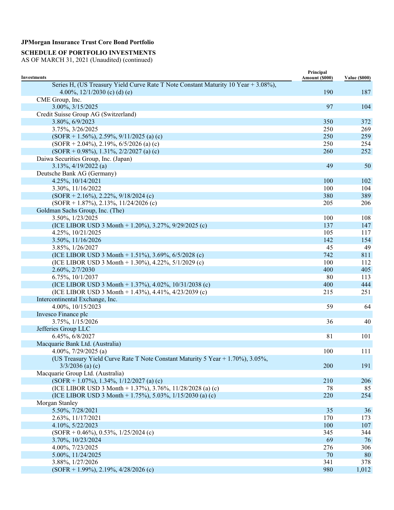### **SCHEDULE OF PORTFOLIO INVESTMENTS**

| <b>Investments</b>                                                                 | Principal<br>Amount (\$000) | <b>Value (\$000)</b> |
|------------------------------------------------------------------------------------|-----------------------------|----------------------|
| Series H, (US Treasury Yield Curve Rate T Note Constant Maturity 10 Year + 3.08%), |                             |                      |
| 4.00%, $12/1/2030$ (c) (d) (e)                                                     | 190                         | 187                  |
| CME Group, Inc.                                                                    |                             |                      |
| 3.00%, 3/15/2025                                                                   | 97                          | 104                  |
| Credit Suisse Group AG (Switzerland)                                               |                             |                      |
| 3.80%, 6/9/2023                                                                    | 350                         | 372                  |
| 3.75%, 3/26/2025                                                                   | 250                         | 269                  |
| $(SOFR + 1.56\%, 2.59\%, 9/11/2025)$ (a) (c)                                       | 250                         | 259                  |
| $(SOFR + 2.04\%), 2.19\%, 6/5/2026$ (a) (c)                                        | 250                         | 254                  |
| $(SOFR + 0.98\%), 1.31\%, 2/2/2027$ (a) (c)                                        | 260                         | 252                  |
| Daiwa Securities Group, Inc. (Japan)                                               |                             |                      |
| $3.13\%, \frac{4}{19/2022}$ (a)                                                    | 49                          | 50                   |
| Deutsche Bank AG (Germany)                                                         |                             |                      |
| 4.25%, 10/14/2021                                                                  | 100                         | 102                  |
| 3.30%, 11/16/2022                                                                  | 100                         | 104                  |
| $(SOFR + 2.16\%), 2.22\%, 9/18/2024$ (c)                                           | 380                         | 389                  |
| $(SOFR + 1.87\%)$ , 2.13%, 11/24/2026 (c)                                          | 205                         | 206                  |
| Goldman Sachs Group, Inc. (The)                                                    |                             |                      |
| 3.50%, 1/23/2025                                                                   | 100                         | 108                  |
| (ICE LIBOR USD 3 Month + 1.20%), 3.27%, 9/29/2025 (c)                              | 137                         | 147                  |
| 4.25%, 10/21/2025                                                                  | 105                         | 117                  |
| 3.50%, 11/16/2026                                                                  | 142                         | 154                  |
| 3.85%, 1/26/2027                                                                   | 45                          | 49                   |
| (ICE LIBOR USD 3 Month + 1.51%), 3.69%, $6/5/2028$ (c)                             | 742                         | 811                  |
| (ICE LIBOR USD 3 Month + 1.30%), 4.22%, $5/1/2029$ (c)                             | 100                         | 112                  |
| 2.60%, 2/7/2030                                                                    | 400                         | 405                  |
| 6.75%, 10/1/2037                                                                   | 80                          | 113                  |
| (ICE LIBOR USD 3 Month + 1.37%), 4.02%, 10/31/2038 (c)                             | 400                         | 444                  |
| (ICE LIBOR USD 3 Month + 1.43%), 4.41%, 4/23/2039 (c)                              | 215                         | 251                  |
| Intercontinental Exchange, Inc.                                                    |                             |                      |
| 4.00%, 10/15/2023                                                                  | 59                          | 64                   |
| Invesco Finance plc                                                                |                             |                      |
| 3.75%, 1/15/2026                                                                   | 36                          | 40                   |
| Jefferies Group LLC                                                                |                             |                      |
| 6.45%, 6/8/2027                                                                    | 81                          | 101                  |
| Macquarie Bank Ltd. (Australia)                                                    |                             |                      |
| 4.00%, $7/29/2025$ (a)                                                             | 100                         | 111                  |
| (US Treasury Yield Curve Rate T Note Constant Maturity 5 Year + 1.70%), 3.05%,     |                             |                      |
| $3/3/2036$ (a) (c)                                                                 | 200                         | 191                  |
| Macquarie Group Ltd. (Australia)                                                   |                             |                      |
| $(SOFR + 1.07\%), 1.34\%, 1/12/2027$ (a) (c)                                       | 210                         | 206                  |
| (ICE LIBOR USD 3 Month + 1.37%), 3.76%, 11/28/2028 (a) (c)                         | 78                          | 85                   |
| (ICE LIBOR USD 3 Month + 1.75%), 5.03%, $1/15/2030$ (a) (c)                        | 220                         | 254                  |
| Morgan Stanley                                                                     |                             |                      |
| 5.50%, 7/28/2021                                                                   | 35                          | 36                   |
|                                                                                    | 170                         | 173                  |
| 2.63%, 11/17/2021                                                                  | 100                         | 107                  |
| 4.10%, 5/22/2023                                                                   | 345                         |                      |
| $(SOFR + 0.46\%)$ , 0.53%, 1/25/2024 (c)                                           | 69                          | 344<br>76            |
| 3.70%, 10/23/2024                                                                  |                             |                      |
| 4.00%, 7/23/2025                                                                   | 276                         | 306                  |
| 5.00%, 11/24/2025                                                                  | 70                          | 80<br>378            |
| 3.88%, 1/27/2026                                                                   | 341                         |                      |
| $(SOFR + 1.99\%), 2.19\%, 4/28/2026$ (c)                                           | 980                         | 1,012                |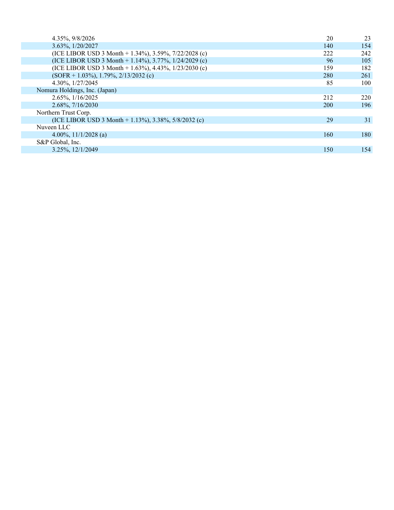| 4.35%, 9/8/2026                                         | 20         | 23  |
|---------------------------------------------------------|------------|-----|
| 3.63%, 1/20/2027                                        | 140        | 154 |
| (ICE LIBOR USD 3 Month + 1.34%), 3.59%, 7/22/2028 (c)   | 222        | 242 |
| (ICE LIBOR USD 3 Month + 1.14%), 3.77%, 1/24/2029 (c)   | 96         | 105 |
| (ICE LIBOR USD 3 Month + 1.63%), 4.43%, $1/23/2030$ (c) | 159        | 182 |
| $(SOFR + 1.03\%)$ , 1.79%, 2/13/2032 (c)                | 280        | 261 |
| 4.30%, $1/27/2045$                                      | 85         | 100 |
| Nomura Holdings, Inc. (Japan)                           |            |     |
| 2.65%, $1/16/2025$                                      | 212        | 220 |
| 2.68%, 7/16/2030                                        | <b>200</b> | 196 |
| Northern Trust Corp.                                    |            |     |
| (ICE LIBOR USD 3 Month + 1.13%), 3.38%, 5/8/2032 (c)    | 29         | 31  |
| Nuveen LLC                                              |            |     |
| 4.00%, $11/1/2028$ (a)                                  | 160        | 180 |
| S&P Global, Inc.                                        |            |     |
| 3.25%, 12/1/2049                                        | 150        | 154 |
|                                                         |            |     |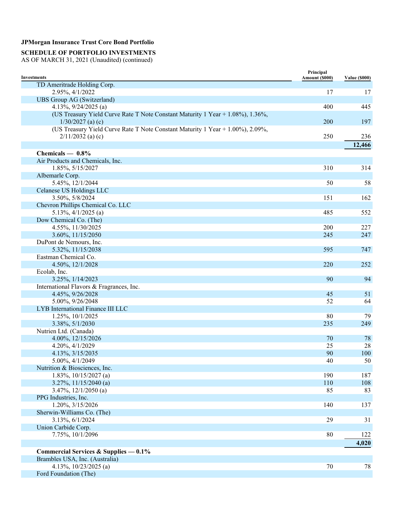### **SCHEDULE OF PORTFOLIO INVESTMENTS**

AS OF MARCH 31, 2021 (Unaudited) (continued)

| <b>Investments</b>                                                             | Principal<br>Amount (\$000) | <b>Value (\$000)</b> |
|--------------------------------------------------------------------------------|-----------------------------|----------------------|
| TD Ameritrade Holding Corp.                                                    |                             |                      |
| 2.95%, 4/1/2022                                                                | 17                          | 17                   |
| UBS Group AG (Switzerland)                                                     |                             |                      |
| 4.13%, $9/24/2025$ (a)                                                         | 400                         | 445                  |
| (US Treasury Yield Curve Rate T Note Constant Maturity 1 Year + 1.08%), 1.36%, |                             |                      |
| $1/30/2027$ (a) (c)                                                            | 200                         | 197                  |
| (US Treasury Yield Curve Rate T Note Constant Maturity 1 Year + 1.00%), 2.09%, |                             |                      |
| $2/11/2032$ (a) (c)                                                            | 250                         | 236                  |
|                                                                                |                             | 12,466               |
| Chemicals $-0.8\%$                                                             |                             |                      |
| Air Products and Chemicals, Inc.                                               |                             |                      |
| 1.85%, 5/15/2027                                                               | 310                         | 314                  |
| Albemarle Corp.                                                                |                             |                      |
| 5.45%, 12/1/2044                                                               | 50                          | 58                   |
| <b>Celanese US Holdings LLC</b>                                                |                             |                      |
| 3.50%, 5/8/2024                                                                | 151                         | 162                  |
| Chevron Phillips Chemical Co. LLC                                              |                             |                      |
| $5.13\%, \frac{4}{1/2025}$ (a)                                                 | 485                         | 552                  |
| Dow Chemical Co. (The)                                                         |                             |                      |
| 4.55%, 11/30/2025                                                              | 200                         | 227                  |
| 3.60%, 11/15/2050                                                              | 245                         | 247                  |
| DuPont de Nemours, Inc.                                                        |                             |                      |
| 5.32%, 11/15/2038                                                              | 595                         | 747                  |
| Eastman Chemical Co.                                                           |                             |                      |
| 4.50%, 12/1/2028                                                               | 220                         | 252                  |
| Ecolab, Inc.                                                                   |                             |                      |
| 3.25%, 1/14/2023                                                               | 90                          | 94                   |
| International Flavors & Fragrances, Inc.                                       |                             |                      |
| 4.45%, 9/26/2028                                                               | 45                          | 51                   |
| 5.00%, 9/26/2048                                                               | 52                          | 64                   |
| LYB International Finance III LLC                                              |                             |                      |
| 1.25%, 10/1/2025                                                               | 80                          | 79                   |
| 3.38%, 5/1/2030                                                                | 235                         | 249                  |
| Nutrien Ltd. (Canada)                                                          |                             |                      |
| 4.00%, 12/15/2026                                                              | 70                          | 78                   |
| 4.20%, 4/1/2029                                                                | 25                          | 28                   |
| 4.13%, 3/15/2035                                                               | 90                          | 100                  |
| 5.00%, 4/1/2049                                                                | 40                          | 50                   |
| Nutrition & Biosciences, Inc.                                                  |                             |                      |
| $1.83\%, 10/15/2027$ (a)                                                       | 190                         | 187                  |
| $3.27\%, 11/15/2040$ (a)                                                       | 110                         | 108                  |
| $3.47\%, 12/1/2050$ (a)                                                        | 85                          | 83                   |
| PPG Industries, Inc.                                                           |                             |                      |
| 1.20%, 3/15/2026                                                               | 140                         | 137                  |
| Sherwin-Williams Co. (The)                                                     |                             |                      |
| 3.13%, 6/1/2024                                                                | 29                          | 31                   |
| Union Carbide Corp.                                                            |                             |                      |
| 7.75%, 10/1/2096                                                               | 80                          | 122                  |
|                                                                                |                             | 4,020                |
| Commercial Services & Supplies - 0.1%                                          |                             |                      |
| Brambles USA, Inc. (Australia)                                                 |                             |                      |
| 4.13%, $10/23/2025$ (a)                                                        | $70\,$                      | 78                   |

Ford Foundation (The)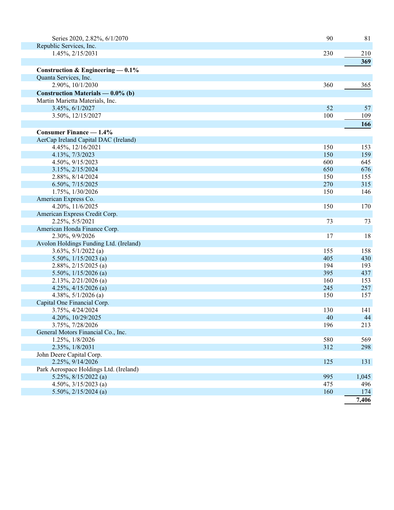| Series 2020, 2.82%, 6/1/2070           | 90        | 81        |
|----------------------------------------|-----------|-----------|
| Republic Services, Inc.                |           |           |
| 1.45%, 2/15/2031                       | 230       | 210       |
|                                        |           | 369       |
| Construction & Engineering $-0.1\%$    |           |           |
| Quanta Services, Inc.                  |           |           |
| 2.90%, 10/1/2030                       | 360       | 365       |
| Construction Materials — 0.0% (b)      |           |           |
| Martin Marietta Materials, Inc.        |           |           |
| 3.45%, 6/1/2027                        | 52        | 57        |
| 3.50%, 12/15/2027                      | 100       | 109       |
|                                        |           | 166       |
| <b>Consumer Finance — 1.4%</b>         |           |           |
| AerCap Ireland Capital DAC (Ireland)   |           |           |
| 4.45%, 12/16/2021                      | 150       | 153       |
| 4.13%, 7/3/2023                        | 150       | 159       |
| 4.50%, 9/15/2023                       | 600       | 645       |
| 3.15%, 2/15/2024                       | 650       | 676       |
| 2.88%, 8/14/2024                       | 150       | 155       |
| 6.50%, 7/15/2025                       | 270       | 315       |
| 1.75%, 1/30/2026                       | 150       | 146       |
| American Express Co.                   |           |           |
| 4.20%, 11/6/2025                       | 150       | 170       |
| American Express Credit Corp.          |           |           |
| 2.25%, 5/5/2021                        | 73        | 73        |
| American Honda Finance Corp.           |           |           |
| 2.30%, 9/9/2026                        | 17        | 18        |
| Avolon Holdings Funding Ltd. (Ireland) |           |           |
| $3.63\%, 5/1/2022$ (a)                 | 155       | 158       |
| 5.50%, $1/15/2023$ (a)                 | 405       | 430       |
| $2.88\%, 2/15/2025$ (a)                | 194       | 193       |
| 5.50%, $1/15/2026$ (a)                 | 395       | 437       |
| $2.13\%, 2/21/2026$ (a)                | 160       | 153       |
| 4.25%, $4/15/2026$ (a)                 | 245       | 257       |
| 4.38%, $5/1/2026$ (a)                  | 150       | 157       |
| Capital One Financial Corp.            |           |           |
| 3.75%, 4/24/2024<br>4.20%, 10/29/2025  | 130<br>40 | 141<br>44 |
| 3.75%, 7/28/2026                       | 196       | 213       |
| General Motors Financial Co., Inc.     |           |           |
| 1.25%, 1/8/2026                        | 580       | 569       |
| 2.35%, 1/8/2031                        | 312       | 298       |
| John Deere Capital Corp.               |           |           |
| 2.25%, 9/14/2026                       | 125       | 131       |
| Park Aerospace Holdings Ltd. (Ireland) |           |           |
| 5.25%, $8/15/2022$ (a)                 | 995       | 1,045     |
| 4.50%, $3/15/2023$ (a)                 | 475       | 496       |
| 5.50%, $2/15/2024$ (a)                 | 160       | 174       |
|                                        |           | 7,406     |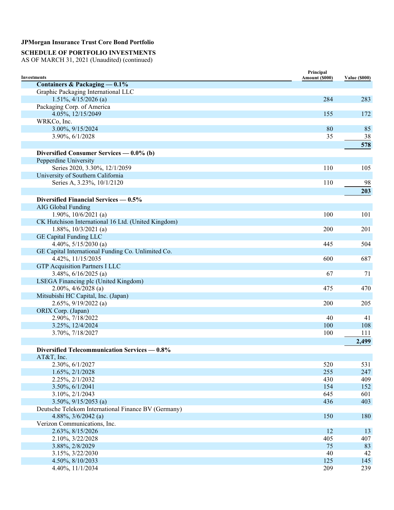# **SCHEDULE OF PORTFOLIO INVESTMENTS**

| Investments                                         | Principal<br>Amount (\$000) | <b>Value (\$000)</b> |
|-----------------------------------------------------|-----------------------------|----------------------|
| Containers & Packaging — 0.1%                       |                             |                      |
| Graphic Packaging International LLC                 |                             |                      |
| $1.51\%, \frac{4}{15/2026}$ (a)                     | 284                         | 283                  |
| Packaging Corp. of America                          |                             |                      |
| 4.05%, 12/15/2049                                   | 155                         | 172                  |
| WRKCo, Inc.                                         |                             |                      |
| 3.00%, 9/15/2024                                    | 80                          | 85                   |
| $3.90\%, 6/1/2028$                                  | 35                          | 38                   |
|                                                     |                             | 578                  |
| Diversified Consumer Services $-0.0\%$ (b)          |                             |                      |
| Pepperdine University                               |                             |                      |
| Series 2020, 3.30%, 12/1/2059                       | 110                         | 105                  |
| University of Southern California                   |                             |                      |
| Series A, 3.23%, 10/1/2120                          | 110                         | 98                   |
|                                                     |                             |                      |
|                                                     |                             | 203                  |
| Diversified Financial Services — 0.5%               |                             |                      |
| <b>AIG Global Funding</b>                           |                             |                      |
| 1.90%, $10/6/2021$ (a)                              | 100                         | 101                  |
| CK Hutchison International 16 Ltd. (United Kingdom) |                             |                      |
| $1.88\%, 10/3/2021$ (a)                             | 200                         | 201                  |
| <b>GE Capital Funding LLC</b>                       |                             |                      |
| 4.40%, $5/15/2030$ (a)                              | 445                         | 504                  |
| GE Capital International Funding Co. Unlimited Co.  |                             |                      |
| 4.42%, 11/15/2035                                   | 600                         | 687                  |
| <b>GTP Acquisition Partners I LLC</b>               |                             |                      |
| 3.48%, $6/16/2025$ (a)                              | 67                          | 71                   |
| LSEGA Financing plc (United Kingdom)                |                             |                      |
| $2.00\%, 4/6/2028$ (a)                              | 475                         | 470                  |
| Mitsubishi HC Capital, Inc. (Japan)                 |                             |                      |
| $2.65\%, 9/19/2022$ (a)                             | 200                         | 205                  |
| ORIX Corp. (Japan)                                  |                             |                      |
| 2.90%, 7/18/2022                                    | 40                          | 41                   |
| 3.25%, 12/4/2024                                    | 100                         | 108                  |
| 3.70%, 7/18/2027                                    | 100                         | 111                  |
|                                                     |                             | 2,499                |
| Diversified Telecommunication Services - 0.8%       |                             |                      |
| AT&T, Inc.                                          |                             |                      |
| 2.30%, 6/1/2027                                     | 520                         | 531                  |
| 1.65%, 2/1/2028                                     | 255                         | 247                  |
| 2.25%, 2/1/2032                                     | 430                         | 409                  |
| 3.50%, 6/1/2041                                     | 154                         | 152                  |
| 3.10%, 2/1/2043                                     | 645                         | 601                  |
| $3.50\%, 9/15/2053$ (a)                             | 436                         | 403                  |
| Deutsche Telekom International Finance BV (Germany) |                             |                      |
| 4.88%, $3/6/2042$ (a)                               | 150                         | 180                  |
| Verizon Communications, Inc.                        |                             |                      |
| 2.63%, 8/15/2026                                    | 12                          | 13                   |
| 2.10%, 3/22/2028                                    | 405                         | 407                  |
| 3.88%, 2/8/2029                                     | 75                          | 83                   |
| 3.15%, 3/22/2030                                    | 40                          | 42                   |
| 4.50%, 8/10/2033                                    | 125                         | 145                  |
| 4.40%, 11/1/2034                                    | 209                         | 239                  |
|                                                     |                             |                      |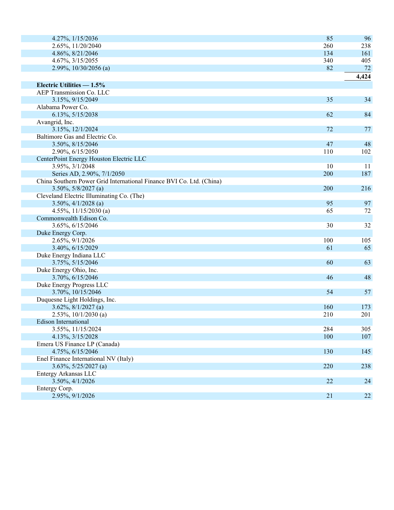| 4.27%, 1/15/2036                                                     | 85  | 96    |
|----------------------------------------------------------------------|-----|-------|
| 2.65%, 11/20/2040                                                    | 260 | 238   |
| 4.86%, 8/21/2046                                                     | 134 | 161   |
| 4.67%, 3/15/2055                                                     | 340 | 405   |
| 2.99%, 10/30/2056 (a)                                                | 82  | 72    |
|                                                                      |     | 4,424 |
| Electric Utilities - 1.5%                                            |     |       |
| AEP Transmission Co. LLC                                             |     |       |
| 3.15%, 9/15/2049                                                     | 35  | 34    |
| Alabama Power Co.                                                    |     |       |
| 6.13%, 5/15/2038                                                     | 62  | 84    |
| Avangrid, Inc.                                                       |     |       |
| 3.15%, 12/1/2024                                                     | 72  | 77    |
| Baltimore Gas and Electric Co.                                       |     |       |
| 3.50%, 8/15/2046                                                     | 47  | 48    |
| 2.90%, 6/15/2050                                                     | 110 | 102   |
| CenterPoint Energy Houston Electric LLC                              |     |       |
| 3.95%, 3/1/2048                                                      | 10  | 11    |
| Series AD, 2.90%, 7/1/2050                                           | 200 | 187   |
| China Southern Power Grid International Finance BVI Co. Ltd. (China) |     |       |
| $3.50\%, 5/8/2027$ (a)                                               | 200 | 216   |
| Cleveland Electric Illuminating Co. (The)                            |     |       |
| $3.50\%, 4/1/2028$ (a)                                               | 95  | 97    |
| 4.55%, $11/15/2030$ (a)                                              | 65  | 72    |
| Commonwealth Edison Co.                                              |     |       |
| 3.65%, 6/15/2046                                                     | 30  | 32    |
| Duke Energy Corp.                                                    |     |       |
| 2.65%, 9/1/2026                                                      | 100 | 105   |
| 3.40%, 6/15/2029                                                     | 61  | 65    |
| Duke Energy Indiana LLC                                              |     |       |
| 3.75%, 5/15/2046                                                     | 60  | 63    |
| Duke Energy Ohio, Inc.                                               |     |       |
| 3.70%, 6/15/2046                                                     | 46  | 48    |
| Duke Energy Progress LLC                                             |     |       |
|                                                                      | 54  | 57    |
| 3.70%, 10/15/2046                                                    |     |       |
| Duquesne Light Holdings, Inc.                                        |     |       |
| $3.62\%, 8/1/2027$ (a)                                               | 160 | 173   |
| $2.53\%, 10/1/2030$ (a)                                              | 210 | 201   |
| Edison International                                                 | 284 |       |
| 3.55%, 11/15/2024                                                    |     | 305   |
| 4.13%, 3/15/2028                                                     | 100 | 107   |
| Emera US Finance LP (Canada)                                         |     |       |
| 4.75%, 6/15/2046                                                     | 130 | 145   |
| Enel Finance International NV (Italy)                                |     |       |
| $3.63\%, 5/25/2027$ (a)                                              | 220 | 238   |
| Entergy Arkansas LLC                                                 |     |       |
| 3.50%, 4/1/2026                                                      | 22  | 24    |
| Entergy Corp.                                                        |     |       |
| 2.95%, 9/1/2026                                                      | 21  | 22    |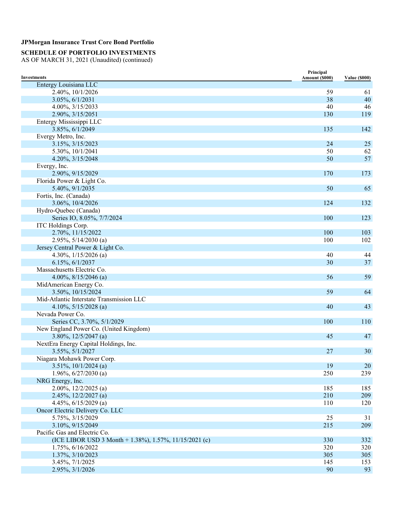### **SCHEDULE OF PORTFOLIO INVESTMENTS**

| Investments                                            | Principal<br>Amount (\$000) | <b>Value (\$000)</b> |
|--------------------------------------------------------|-----------------------------|----------------------|
| Entergy Louisiana LLC                                  |                             |                      |
| 2.40%, 10/1/2026                                       | 59                          | 61                   |
| 3.05%, 6/1/2031                                        | 38                          | 40                   |
| 4.00%, 3/15/2033                                       | 40                          | 46                   |
| 2.90%, 3/15/2051                                       | 130                         | 119                  |
| Entergy Mississippi LLC                                |                             |                      |
| 3.85%, 6/1/2049                                        | 135                         | 142                  |
| Evergy Metro, Inc.                                     |                             |                      |
| 3.15%, 3/15/2023                                       | 24                          | 25                   |
| 5.30%, 10/1/2041                                       | 50                          | 62                   |
| 4.20%, 3/15/2048                                       | 50                          | 57                   |
|                                                        |                             |                      |
| Evergy, Inc.                                           |                             |                      |
| 2.90%, 9/15/2029                                       | 170                         | 173                  |
| Florida Power & Light Co.                              |                             |                      |
| 5.40%, 9/1/2035                                        | 50                          | 65                   |
| Fortis, Inc. (Canada)                                  |                             |                      |
| 3.06%, 10/4/2026                                       | 124                         | 132                  |
| Hydro-Quebec (Canada)                                  |                             |                      |
| Series IO, 8.05%, 7/7/2024                             | 100                         | 123                  |
| ITC Holdings Corp.                                     |                             |                      |
| 2.70%, 11/15/2022                                      | 100                         | 103                  |
| 2.95%, $5/14/2030$ (a)                                 | 100                         | 102                  |
| Jersey Central Power & Light Co.                       |                             |                      |
| 4.30%, $1/15/2026$ (a)                                 | 40                          | 44                   |
| 6.15%, 6/1/2037                                        | 30                          | 37                   |
| Massachusetts Electric Co.                             |                             |                      |
| 4.00%, $8/15/2046$ (a)                                 | 56                          | 59                   |
| MidAmerican Energy Co.                                 |                             |                      |
| 3.50%, 10/15/2024                                      | 59                          | 64                   |
| Mid-Atlantic Interstate Transmission LLC               |                             |                      |
| 4.10%, 5/15/2028 (a)                                   | 40                          | 43                   |
| Nevada Power Co.                                       |                             |                      |
| Series CC, 3.70%, 5/1/2029                             | 100                         | 110                  |
| New England Power Co. (United Kingdom)                 |                             |                      |
| 3.80%, 12/5/2047 (a)                                   | 45                          | 47                   |
| NextEra Energy Capital Holdings, Inc.                  |                             |                      |
| 3.55%, 5/1/2027                                        | 27                          | 30                   |
| Niagara Mohawk Power Corp.                             |                             |                      |
| $3.51\%, 10/1/2024$ (a)                                | 19                          | 20                   |
| 1.96%, $6/27/2030$ (a)                                 | 250                         | 239                  |
| NRG Energy, Inc.                                       |                             |                      |
| $2.00\%, 12/2/2025$ (a)                                | 185                         | 185                  |
| $2.45\%, 12/2/2027$ (a)                                | 210                         | 209                  |
| 4.45%, $6/15/2029$ (a)                                 | 110                         | 120                  |
| Oncor Electric Delivery Co. LLC                        |                             |                      |
| 5.75%, 3/15/2029                                       | 25                          | 31                   |
| 3.10%, 9/15/2049                                       | 215                         | 209                  |
| Pacific Gas and Electric Co.                           |                             |                      |
| (ICE LIBOR USD 3 Month + 1.38%), 1.57%, 11/15/2021 (c) | 330                         | 332                  |
| 1.75%, 6/16/2022                                       | 320                         | 320                  |
| 1.37%, 3/10/2023                                       | 305                         | 305                  |
| 3.45%, 7/1/2025                                        | 145                         | 153                  |
| 2.95%, 3/1/2026                                        | 90                          | 93                   |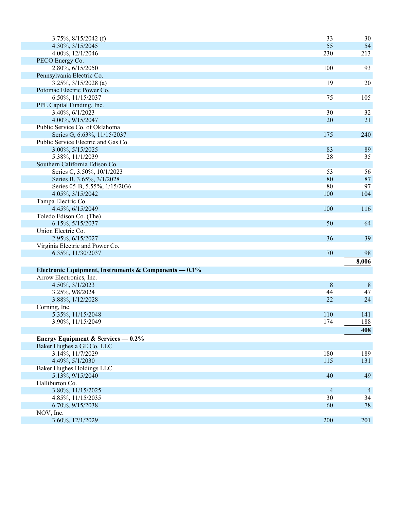| $3.75\%, 8/15/2042$ (f)                                 | 33             | 30              |
|---------------------------------------------------------|----------------|-----------------|
| 4.30%, 3/15/2045                                        | 55             | 54              |
| 4.00%, 12/1/2046                                        | 230            | 213             |
| PECO Energy Co.                                         |                |                 |
| 2.80%, 6/15/2050                                        | 100            | 93              |
| Pennsylvania Electric Co.                               |                |                 |
| $3.25\%, \frac{3}{15/2028}$ (a)                         | 19             | 20              |
| Potomac Electric Power Co.                              |                |                 |
| 6.50%, 11/15/2037                                       | 75             | 105             |
| PPL Capital Funding, Inc.                               |                |                 |
| 3.40%, 6/1/2023                                         | 30             | 32              |
| 4.00%, 9/15/2047                                        | 20             | 21              |
| Public Service Co. of Oklahoma                          |                |                 |
| Series G, 6.63%, 11/15/2037                             | 175            | 240             |
| Public Service Electric and Gas Co.                     |                |                 |
| 3.00%, 5/15/2025                                        | 83             | 89              |
| 5.38%, 11/1/2039                                        | 28             | 35              |
| Southern California Edison Co.                          |                |                 |
| Series C, 3.50%, 10/1/2023                              | 53             | 56              |
| Series B, 3.65%, 3/1/2028                               | 80             | 87              |
| Series 05-B, 5.55%, 1/15/2036                           | 80             | 97              |
| 4.05%, 3/15/2042                                        | 100            | 104             |
| Tampa Electric Co.                                      |                |                 |
| 4.45%, 6/15/2049                                        | 100            | 116             |
| Toledo Edison Co. (The)                                 |                |                 |
| 6.15%, 5/15/2037                                        | 50             | 64              |
| Union Electric Co.                                      |                |                 |
| 2.95%, 6/15/2027                                        | 36             | 39              |
| Virginia Electric and Power Co.                         |                |                 |
| 6.35%, 11/30/2037                                       | 70             | 98              |
|                                                         |                | 8,006           |
| Electronic Equipment, Instruments & Components $-0.1\%$ |                |                 |
| Arrow Electronics, Inc.                                 |                |                 |
| 4.50%, 3/1/2023                                         | 8              | $8\phantom{.0}$ |
| 3.25%, 9/8/2024                                         | 44             | 47              |
| 3.88%, 1/12/2028                                        | 22             | 24              |
| Corning, Inc.                                           |                |                 |
| 5.35%, 11/15/2048                                       | 110            | 141             |
| 3.90%, 11/15/2049                                       | 174            | 188             |
|                                                         |                | 408             |
| Energy Equipment & Services $-0.2\%$                    |                |                 |
| Baker Hughes a GE Co. LLC                               |                |                 |
| 3.14%, 11/7/2029                                        | 180            | 189             |
| 4.49%, 5/1/2030                                         | 115            | 131             |
| Baker Hughes Holdings LLC                               |                |                 |
| 5.13%, 9/15/2040                                        | 40             | 49              |
| Halliburton Co.                                         |                |                 |
| 3.80%, 11/15/2025                                       | $\overline{4}$ | $\overline{4}$  |
| 4.85%, 11/15/2035                                       | 30             | 34              |
| 6.70%, 9/15/2038                                        | 60             | 78              |
| NOV, Inc.                                               |                |                 |
| 3.60%, 12/1/2029                                        | 200            | 201             |
|                                                         |                |                 |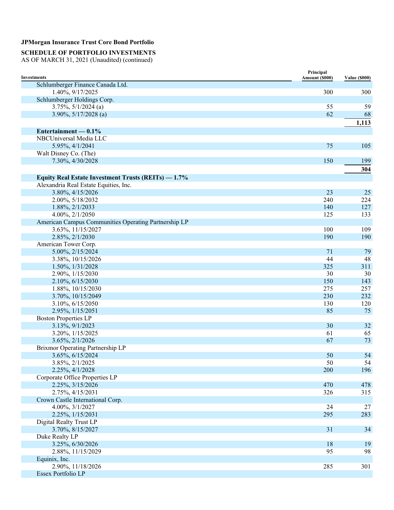### **SCHEDULE OF PORTFOLIO INVESTMENTS**

| <b>Investments</b>                                   | Principal<br>Amount (\$000) | <b>Value (\$000)</b> |
|------------------------------------------------------|-----------------------------|----------------------|
| Schlumberger Finance Canada Ltd.                     |                             |                      |
| 1.40%, 9/17/2025                                     | 300                         | 300                  |
| Schlumberger Holdings Corp.                          |                             |                      |
| $3.75\%, 5/1/2024$ (a)                               | 55                          | 59                   |
| 3.90%, $5/17/2028$ (a)                               | 62                          | 68                   |
|                                                      |                             | 1,113                |
| Entertainment — $0.1\%$                              |                             |                      |
| NBCUniversal Media LLC                               |                             |                      |
| 5.95%, 4/1/2041                                      | 75                          | 105                  |
| Walt Disney Co. (The)                                |                             |                      |
| 7.30%, 4/30/2028                                     | 150                         | 199                  |
|                                                      |                             |                      |
|                                                      |                             | 304                  |
| Equity Real Estate Investment Trusts (REITs) - 1.7%  |                             |                      |
| Alexandria Real Estate Equities, Inc.                |                             |                      |
| 3.80%, 4/15/2026                                     | 23                          | 25                   |
| 2.00%, 5/18/2032                                     | 240                         | 224                  |
| 1.88%, 2/1/2033                                      | 140                         | 127                  |
| 4.00%, 2/1/2050                                      | 125                         | 133                  |
| American Campus Communities Operating Partnership LP |                             |                      |
| 3.63%, 11/15/2027                                    | 100                         | 109                  |
| 2.85%, 2/1/2030                                      | 190                         | 190                  |
| American Tower Corp.                                 |                             |                      |
| 5.00%, 2/15/2024                                     | 71                          | 79                   |
| 3.38%, 10/15/2026                                    | 44                          | 48                   |
| 1.50%, 1/31/2028                                     | 325                         | 311                  |
| 2.90%, 1/15/2030                                     | 30                          | 30                   |
| 2.10%, 6/15/2030                                     | 150                         | 143                  |
| 1.88%, 10/15/2030                                    | 275                         | 257                  |
| 3.70%, 10/15/2049                                    | 230                         | 232                  |
| 3.10%, 6/15/2050                                     | 130                         | 120                  |
| 2.95%, 1/15/2051                                     | 85                          | 75                   |
| <b>Boston Properties LP</b>                          |                             |                      |
| 3.13%, 9/1/2023                                      | 30                          | 32                   |
| 3.20%, 1/15/2025                                     | 61                          | 65                   |
| 3.65%, 2/1/2026                                      | 67                          | 73                   |
| Brixmor Operating Partnership LP                     |                             |                      |
| 3.65%, 6/15/2024                                     | 50                          | 54                   |
| 3.85%, 2/1/2025                                      | 50                          | 54                   |
| 2.25%, 4/1/2028                                      | 200                         | 196                  |
| Corporate Office Properties LP                       |                             |                      |
| 2.25%, 3/15/2026                                     | 470                         | 478                  |
| 2.75%, 4/15/2031                                     | 326                         | 315                  |
| Crown Castle International Corp.                     |                             |                      |
| 4.00%, 3/1/2027                                      | 24                          | $27\,$               |
| 2.25%, 1/15/2031                                     | 295                         | 283                  |
| Digital Realty Trust LP                              |                             |                      |
| 3.70%, 8/15/2027                                     | 31                          | 34                   |
| Duke Realty LP                                       |                             |                      |
| 3.25%, 6/30/2026                                     | 18                          | 19                   |
| 2.88%, 11/15/2029                                    | 95                          | 98                   |
| Equinix, Inc.                                        |                             |                      |
| 2.90%, 11/18/2026                                    | 285                         | 301                  |
| Essex Portfolio LP                                   |                             |                      |
|                                                      |                             |                      |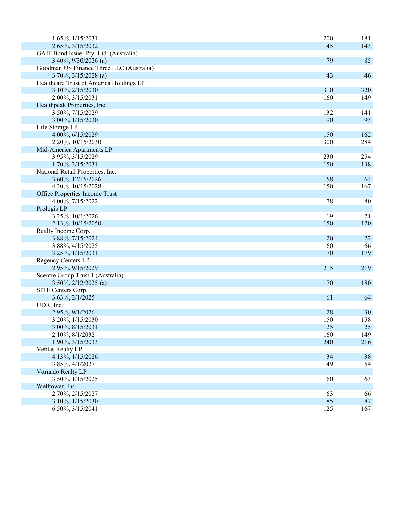| 1.65%, 1/15/2031                         | 200 | 181 |
|------------------------------------------|-----|-----|
| 2.65%, 3/15/2032                         | 145 | 143 |
| GAIF Bond Issuer Pty. Ltd. (Australia)   |     |     |
| $3.40\%, 9/30/2026$ (a)                  | 79  | 85  |
| Goodman US Finance Three LLC (Australia) |     |     |
| $3.70\%, \frac{3}{15}/2028$ (a)          | 43  | 46  |
| Healthcare Trust of America Holdings LP  |     |     |
| 3.10%, 2/15/2030                         | 310 | 320 |
| 2.00%, 3/15/2031                         | 160 | 149 |
| Healthpeak Properties, Inc.              |     |     |
| 3.50%, 7/15/2029                         | 132 | 141 |
| 3.00%, 1/15/2030                         | 90  | 93  |
| Life Storage LP                          |     |     |
| 4.00%, 6/15/2029                         | 150 | 162 |
| 2.20%, 10/15/2030                        | 300 | 284 |
| Mid-America Apartments LP                |     |     |
| 3.95%, 3/15/2029                         | 230 | 254 |
| 1.70%, 2/15/2031                         | 150 | 138 |
| National Retail Properties, Inc.         |     |     |
| 3.60%, 12/15/2026                        | 58  | 63  |
| 4.30%, 10/15/2028                        | 150 | 167 |
| Office Properties Income Trust           |     |     |
| 4.00%, 7/15/2022                         | 78  | 80  |
| Prologis LP                              |     |     |
| 3.25%, 10/1/2026                         | 19  | 21  |
| 2.13%, 10/15/2050                        | 150 | 120 |
| Realty Income Corp.                      |     |     |
| 3.88%, 7/15/2024                         | 20  | 22  |
| 3.88%, 4/15/2025                         | 60  | 66  |
| 3.25%, 1/15/2031                         | 170 | 179 |
| Regency Centers LP                       |     |     |
| 2.95%, 9/15/2029                         | 215 | 219 |
| Scentre Group Trust 1 (Australia)        |     |     |
| $3.50\%, 2/12/2025$ (a)                  | 170 | 180 |
| SITE Centers Corp.                       |     |     |
| 3.63%, 2/1/2025                          | 61  | 64  |
| UDR, Inc.                                |     |     |
| 2.95%, 9/1/2026                          | 28  | 30  |
| 3.20%, $1/15/2030$                       | 150 | 158 |
| 3.00%, 8/15/2031                         | 25  | 25  |
| 2.10%, 8/1/2032                          | 160 | 149 |
| 1.90%, 3/15/2033                         | 240 | 216 |
| Ventas Realty LP                         |     |     |
| 4.13%, 1/15/2026                         | 34  | 38  |
| 3.85%, 4/1/2027                          | 49  | 54  |
| Vornado Realty LP                        |     |     |
| 3.50%, 1/15/2025                         | 60  | 63  |
| Welltower, Inc.                          |     |     |
| 2.70%, 2/15/2027                         | 63  | 66  |
| 3.10%, 1/15/2030                         | 85  | 87  |
| 6.50%, 3/15/2041                         | 125 | 167 |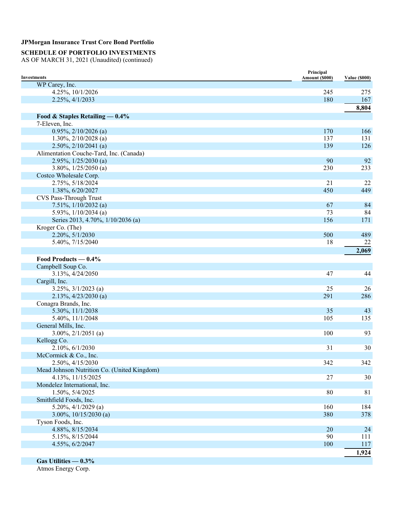# **SCHEDULE OF PORTFOLIO INVESTMENTS**

AS OF MARCH 31, 2021 (Unaudited) (continued)

| <b>Investments</b>                          | Principal<br>Amount (\$000) | <b>Value (\$000)</b> |
|---------------------------------------------|-----------------------------|----------------------|
| WP Carey, Inc.                              |                             |                      |
| 4.25%, 10/1/2026                            | 245                         | 275                  |
| 2.25%, 4/1/2033                             | 180                         | 167                  |
|                                             |                             | 8,804                |
| Food & Staples Retailing $-0.4\%$           |                             |                      |
| 7-Eleven, Inc.                              |                             |                      |
| $0.95\%, 2/10/2026$ (a)                     | 170                         | 166                  |
| 1.30%, $2/10/2028$ (a)                      | 137                         | 131                  |
| $2.50\%, 2/10/2041$ (a)                     | 139                         | 126                  |
| Alimentation Couche-Tard, Inc. (Canada)     |                             |                      |
| 2.95%, 1/25/2030 (a)                        | 90                          | 92                   |
| 3.80%, $1/25/2050$ (a)                      | 230                         | 233                  |
| Costco Wholesale Corp.                      |                             |                      |
| 2.75%, 5/18/2024                            | 21                          | 22                   |
| 1.38%, 6/20/2027                            | 450                         | 449                  |
| CVS Pass-Through Trust                      |                             |                      |
| 7.51%, $1/10/2032$ (a)                      | 67                          | 84                   |
| 5.93%, 1/10/2034 (a)                        | 73                          | 84                   |
| Series 2013, 4.70%, 1/10/2036 (a)           | 156                         | 171                  |
| Kroger Co. (The)                            |                             |                      |
| 2.20%, 5/1/2030                             | 500                         | 489                  |
| 5.40%, 7/15/2040                            | 18                          | 22                   |
|                                             |                             | 2,069                |
| Food Products - 0.4%                        |                             |                      |
| Campbell Soup Co.                           |                             |                      |
| 3.13%, 4/24/2050                            | 47                          | 44                   |
| Cargill, Inc.                               |                             |                      |
| $3.25\%, \frac{3}{1/2023}$ (a)              | 25                          | 26                   |
| $2.13\%, \frac{4}{23}/2030$ (a)             | 291                         | 286                  |
| Conagra Brands, Inc.                        |                             |                      |
| 5.30%, 11/1/2038                            | 35                          | 43                   |
| 5.40%, 11/1/2048                            | 105                         | 135                  |
| General Mills, Inc.                         |                             |                      |
| $3.00\%, 2/1/2051$ (a)                      | 100                         | 93                   |
| Kellogg Co.                                 |                             |                      |
| 2.10%, 6/1/2030                             | 31                          | 30                   |
| McCormick & Co., Inc.                       |                             |                      |
| 2.50%, 4/15/2030                            | 342                         | 342                  |
| Mead Johnson Nutrition Co. (United Kingdom) |                             |                      |
| 4.13%, 11/15/2025                           | 27                          | 30                   |
| Mondelez International, Inc.                |                             |                      |
| 1.50%, 5/4/2025                             | 80                          | 81                   |
| Smithfield Foods, Inc.                      |                             |                      |
| $5.20\%, \frac{4}{1/2029}$ (a)              | 160                         | 184                  |
| 3.00%, $10/15/2030$ (a)                     | 380                         | 378                  |
| Tyson Foods, Inc.                           |                             |                      |
| 4.88%, 8/15/2034                            | 20                          | 24                   |
| 5.15%, 8/15/2044                            | 90                          | 111                  |
| 4.55%, 6/2/2047                             | 100                         | 117                  |
|                                             |                             | 1,924                |
| Gas Utilities $-0.3\%$                      |                             |                      |
|                                             |                             |                      |

Atmos Energy Corp.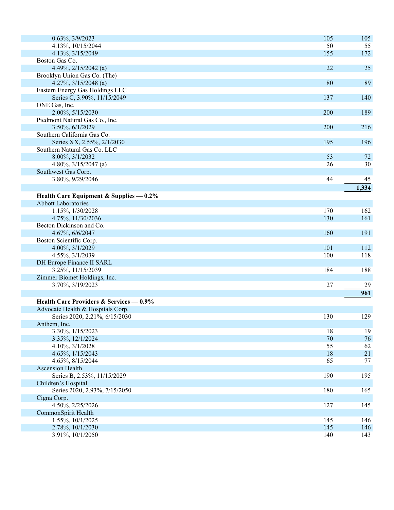| $0.63\%, 3/9/2023$                        | 105      | 105      |
|-------------------------------------------|----------|----------|
| 4.13%, 10/15/2044                         | 50       | 55       |
| 4.13%, 3/15/2049                          | 155      | 172      |
| Boston Gas Co.                            |          |          |
| 4.49%, $2/15/2042$ (a)                    | 22       | 25       |
| Brooklyn Union Gas Co. (The)              |          |          |
| 4.27%, $3/15/2048$ (a)                    | 80       | 89       |
| Eastern Energy Gas Holdings LLC           |          |          |
| Series C, 3.90%, 11/15/2049               | 137      | 140      |
| ONE Gas, Inc.                             |          |          |
| 2.00%, 5/15/2030                          | 200      | 189      |
| Piedmont Natural Gas Co., Inc.            |          |          |
| 3.50%, 6/1/2029                           | 200      | 216      |
| Southern California Gas Co.               |          |          |
| Series XX, 2.55%, 2/1/2030                | 195      | 196      |
| Southern Natural Gas Co. LLC              |          |          |
| 8.00%, 3/1/2032                           | 53       | 72       |
| 4.80%, $3/15/2047$ (a)                    | 26       | 30       |
| Southwest Gas Corp.                       |          |          |
| 3.80%, 9/29/2046                          | 44       | 45       |
|                                           |          | 1,334    |
| Health Care Equipment & Supplies $-0.2\%$ |          |          |
| <b>Abbott Laboratories</b>                |          |          |
| 1.15%, 1/30/2028                          | 170      | 162      |
| 4.75%, 11/30/2036                         | 130      | 161      |
| Becton Dickinson and Co.                  |          |          |
| 4.67%, 6/6/2047                           | 160      | 191      |
| Boston Scientific Corp.                   |          |          |
| 4.00%, 3/1/2029                           | 101      | 112      |
| 4.55%, 3/1/2039                           | 100      | 118      |
| DH Europe Finance II SARL                 |          |          |
| 3.25%, 11/15/2039                         | 184      | 188      |
| Zimmer Biomet Holdings, Inc.              |          |          |
| 3.70%, 3/19/2023                          | 27       | 29       |
|                                           |          | 961      |
|                                           |          |          |
| Health Care Providers & Services — 0.9%   |          |          |
| Advocate Health & Hospitals Corp.         |          |          |
| Series 2020, 2.21%, 6/15/2030             | 130      | 129      |
| Anthem, Inc.                              |          |          |
| 3.30%, 1/15/2023                          | 18<br>70 | 19<br>76 |
| 3.35%, 12/1/2024<br>4.10%, 3/1/2028       | 55       | 62       |
|                                           | 18       | 21       |
| 4.65%, 1/15/2043                          |          |          |
| 4.65%, 8/15/2044                          | 65       | 77       |
| <b>Ascension Health</b>                   |          |          |
| Series B, 2.53%, 11/15/2029               | 190      | 195      |
| Children's Hospital                       |          |          |
| Series 2020, 2.93%, 7/15/2050             | 180      | 165      |
| Cigna Corp.<br>4.50%, 2/25/2026           |          |          |
|                                           | 127      | 145      |
| CommonSpirit Health                       |          |          |
| 1.55%, 10/1/2025                          | 145      | 146      |
| 2.78%, 10/1/2030                          | 145      | 146      |
| 3.91%, 10/1/2050                          | 140      | 143      |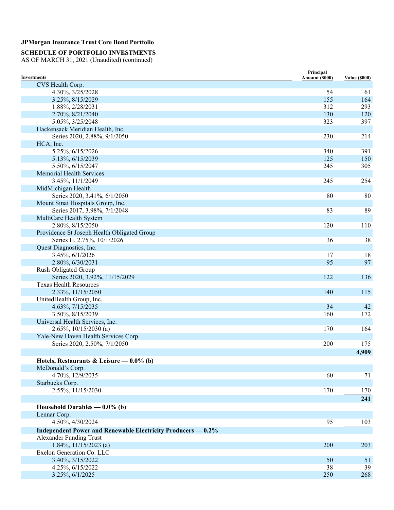### **SCHEDULE OF PORTFOLIO INVESTMENTS**

| <b>Investments</b>                                           | Principal<br>Amount (\$000) | <b>Value (\$000)</b> |
|--------------------------------------------------------------|-----------------------------|----------------------|
| CVS Health Corp.                                             |                             |                      |
| 4.30%, 3/25/2028                                             | 54                          | 61                   |
| 3.25%, 8/15/2029                                             | 155                         | 164                  |
| 1.88%, 2/28/2031                                             | 312                         | 293                  |
| 2.70%, 8/21/2040                                             | 130                         | 120                  |
| 5.05%, 3/25/2048                                             | 323                         | 397                  |
| Hackensack Meridian Health, Inc.                             |                             |                      |
| Series 2020, 2.88%, 9/1/2050                                 | 230                         | 214                  |
| HCA, Inc.                                                    |                             |                      |
| 5.25%, 6/15/2026                                             | 340                         | 391                  |
| 5.13%, 6/15/2039                                             | 125                         | 150                  |
| 5.50%, 6/15/2047                                             | 245                         | 305                  |
| <b>Memorial Health Services</b>                              |                             |                      |
| 3.45%, 11/1/2049                                             | 245                         | 254                  |
| MidMichigan Health                                           |                             |                      |
| Series 2020, 3.41%, 6/1/2050                                 | 80                          | 80                   |
| Mount Sinai Hospitals Group, Inc.                            |                             |                      |
| Series 2017, 3.98%, 7/1/2048                                 | 83                          | 89                   |
| MultiCare Health System                                      |                             |                      |
| 2.80%, 8/15/2050                                             | 120                         | 110                  |
| Providence St Joseph Health Obligated Group                  |                             |                      |
| Series H, 2.75%, 10/1/2026                                   | 36                          | 38                   |
| Quest Diagnostics, Inc.                                      |                             |                      |
| 3.45%, 6/1/2026                                              | 17                          | 18                   |
| 2.80%, 6/30/2031                                             | 95                          | 97                   |
| Rush Obligated Group                                         |                             |                      |
| Series 2020, 3.92%, 11/15/2029                               | 122                         | 136                  |
| <b>Texas Health Resources</b>                                |                             |                      |
| 2.33%, 11/15/2050                                            | 140                         | 115                  |
| UnitedHealth Group, Inc.                                     |                             |                      |
| 4.63%, 7/15/2035                                             | 34                          | 42                   |
| 3.50%, 8/15/2039                                             | 160                         | 172                  |
| Universal Health Services, Inc.                              |                             |                      |
| $2.65\%, 10/15/2030$ (a)                                     | 170                         | 164                  |
| Yale-New Haven Health Services Corp.                         |                             |                      |
| Series 2020, 2.50%, 7/1/2050                                 | 200                         | 175                  |
|                                                              |                             | 4,909                |
| Hotels, Restaurants & Leisure $-0.0\%$ (b)                   |                             |                      |
| McDonald's Corp.                                             |                             |                      |
| 4.70%, 12/9/2035                                             | 60                          | 71                   |
| Starbucks Corp.                                              |                             |                      |
| 2.55%, 11/15/2030                                            | 170                         | 170                  |
|                                                              |                             | 241                  |
| Household Durables $-0.0\%$ (b)                              |                             |                      |
| Lennar Corp.                                                 |                             |                      |
| 4.50%, 4/30/2024                                             | 95                          | 103                  |
| Independent Power and Renewable Electricity Producers — 0.2% |                             |                      |
| Alexander Funding Trust                                      |                             |                      |
| $1.84\%, 11/15/2023$ (a)                                     | 200                         | 203                  |
| Exelon Generation Co. LLC                                    |                             |                      |
| 3.40%, 3/15/2022                                             | 50                          | 51                   |
| 4.25%, 6/15/2022                                             | 38                          | 39                   |
| 3.25%, 6/1/2025                                              | 250                         | 268                  |
|                                                              |                             |                      |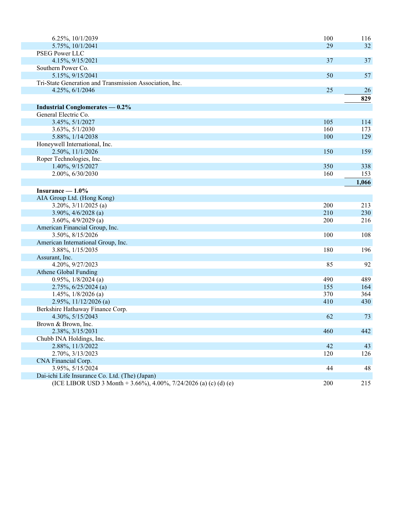| 6.25%, 10/1/2039                                                  | 100 | 116   |
|-------------------------------------------------------------------|-----|-------|
| 5.75%, 10/1/2041                                                  | 29  | 32    |
| PSEG Power LLC                                                    |     |       |
| 4.15%, 9/15/2021                                                  | 37  | 37    |
| Southern Power Co.                                                |     |       |
| 5.15%, 9/15/2041                                                  | 50  | 57    |
| Tri-State Generation and Transmission Association, Inc.           |     |       |
| 4.25%, 6/1/2046                                                   | 25  | 26    |
|                                                                   |     | 829   |
| <b>Industrial Conglomerates — 0.2%</b>                            |     |       |
| General Electric Co.                                              |     |       |
| 3.45%, 5/1/2027                                                   | 105 | 114   |
| 3.63%, 5/1/2030                                                   | 160 | 173   |
| 5.88%, 1/14/2038                                                  | 100 | 129   |
| Honeywell International, Inc.                                     |     |       |
| 2.50%, 11/1/2026                                                  | 150 | 159   |
| Roper Technologies, Inc.                                          |     |       |
| 1.40%, 9/15/2027                                                  | 350 | 338   |
| 2.00%, 6/30/2030                                                  | 160 | 153   |
|                                                                   |     | 1,066 |
| Insurance $-1.0\%$                                                |     |       |
| AIA Group Ltd. (Hong Kong)                                        |     |       |
| $3.20\%, 3/11/2025$ (a)                                           | 200 | 213   |
| $3.90\%, \frac{4}{6}{2028}$ (a)                                   | 210 | 230   |
| $3.60\%, 4/9/2029$ (a)                                            | 200 | 216   |
| American Financial Group, Inc.                                    |     |       |
| 3.50%, 8/15/2026                                                  | 100 | 108   |
| American International Group, Inc.                                |     |       |
| 3.88%, 1/15/2035                                                  | 180 | 196   |
| Assurant, Inc.                                                    |     |       |
| 4.20%, 9/27/2023                                                  | 85  | 92    |
| Athene Global Funding                                             |     |       |
| $0.95\%, 1/8/2024$ (a)                                            | 490 | 489   |
| $2.75\%, 6/25/2024$ (a)                                           | 155 | 164   |
| 1.45%, $1/8/2026$ (a)                                             | 370 | 364   |
| $2.95\%, 11/12/2026$ (a)                                          | 410 | 430   |
| Berkshire Hathaway Finance Corp.                                  |     |       |
| 4.30%, 5/15/2043                                                  | 62  | 73    |
| Brown & Brown, Inc.                                               |     |       |
| 2.38%, 3/15/2031                                                  | 460 | 442   |
| Chubb INA Holdings, Inc.                                          |     |       |
| 2.88%, 11/3/2022                                                  | 42  | 43    |
| 2.70%, 3/13/2023                                                  | 120 | 126   |
| CNA Financial Corp.                                               |     |       |
| 3.95%, 5/15/2024                                                  | 44  | 48    |
| Dai-ichi Life Insurance Co. Ltd. (The) (Japan)                    |     |       |
| (ICE LIBOR USD 3 Month + 3.66%), 4.00%, 7/24/2026 (a) (c) (d) (e) | 200 | 215   |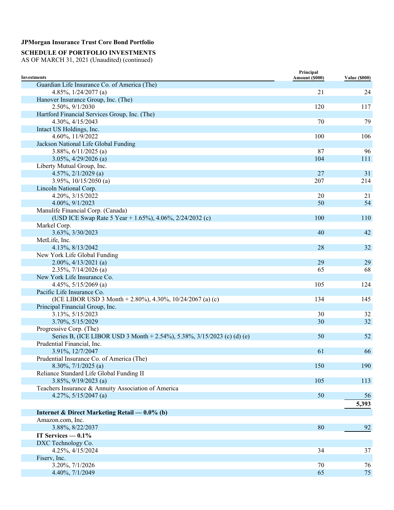# **SCHEDULE OF PORTFOLIO INVESTMENTS**

| <b>Investments</b>                                                      | Principal<br>Amount (\$000) | <b>Value (\$000)</b> |
|-------------------------------------------------------------------------|-----------------------------|----------------------|
| Guardian Life Insurance Co. of America (The)                            |                             |                      |
| 4.85%, $1/24/2077$ (a)                                                  | 21                          | 24                   |
| Hanover Insurance Group, Inc. (The)                                     |                             |                      |
| 2.50%, 9/1/2030                                                         | 120                         | 117                  |
| Hartford Financial Services Group, Inc. (The)                           |                             |                      |
| 4.30%, 4/15/2043                                                        | 70                          | 79                   |
| Intact US Holdings, Inc.                                                |                             |                      |
| 4.60%, 11/9/2022                                                        | 100                         | 106                  |
| Jackson National Life Global Funding                                    |                             |                      |
| 3.88%, $6/11/2025$ (a)                                                  | 87                          | 96                   |
| $3.05\%, \frac{4}{29/2026}$ (a)                                         | 104                         | 111                  |
| Liberty Mutual Group, Inc.                                              |                             |                      |
| $4.57\%, 2/1/2029$ (a)                                                  | 27                          | 31                   |
| 3.95%, 10/15/2050 (a)                                                   | 207                         | 214                  |
| Lincoln National Corp.                                                  |                             |                      |
| 4.20%, 3/15/2022                                                        | 20                          | 21                   |
| 4.00%, 9/1/2023                                                         | 50                          | 54                   |
| Manulife Financial Corp. (Canada)                                       |                             |                      |
| (USD ICE Swap Rate 5 Year + 1.65%), 4.06%, 2/24/2032 (c)                | 100                         | 110                  |
| Markel Corp.                                                            |                             |                      |
| 3.63%, 3/30/2023                                                        | 40                          | 42                   |
| MetLife, Inc.                                                           |                             |                      |
| 4.13%, 8/13/2042                                                        | 28                          | 32                   |
| New York Life Global Funding                                            |                             |                      |
| $2.00\%, \frac{4}{13}/2021$ (a)                                         | 29                          | 29                   |
| $2.35\%, 7/14/2026$ (a)                                                 | 65                          | 68                   |
| New York Life Insurance Co.                                             |                             |                      |
| 4.45%, $5/15/2069$ (a)                                                  | 105                         | 124                  |
| Pacific Life Insurance Co.                                              |                             |                      |
| (ICE LIBOR USD 3 Month + 2.80%), 4.30%, 10/24/2067 (a) (c)              | 134                         | 145                  |
| Principal Financial Group, Inc.                                         |                             |                      |
| 3.13%, 5/15/2023                                                        | 30                          | 32                   |
| 3.70%, 5/15/2029                                                        | 30                          | 32                   |
| Progressive Corp. (The)                                                 |                             |                      |
| Series B, (ICE LIBOR USD 3 Month + 2.54%), 5.38%, 3/15/2023 (c) (d) (e) | 50                          | 52                   |
| Prudential Financial, Inc.                                              |                             |                      |
| 3.91%, 12/7/2047                                                        | 61                          | 66                   |
| Prudential Insurance Co. of America (The)                               |                             |                      |
| 8.30%, 7/1/2025 (a)                                                     | 150                         | 190                  |
| Reliance Standard Life Global Funding II                                |                             |                      |
| $3.85\%, 9/19/2023$ (a)                                                 | 105                         | 113                  |
| Teachers Insurance & Annuity Association of America                     |                             |                      |
| 4.27%, $5/15/2047$ (a)                                                  | 50                          | 56                   |
|                                                                         |                             | 5,393                |
|                                                                         |                             |                      |
| Internet & Direct Marketing Retail — $0.0\%$ (b)                        |                             |                      |
| Amazon.com, Inc.                                                        |                             |                      |
| 3.88%, 8/22/2037                                                        | 80                          | 92                   |
| IT Services $-0.1\%$                                                    |                             |                      |
| DXC Technology Co.                                                      |                             |                      |
| 4.25%, 4/15/2024                                                        | 34                          | 37                   |
| Fiserv, Inc.                                                            |                             |                      |
| 3.20%, 7/1/2026                                                         | 70                          | 76                   |
| 4.40%, 7/1/2049                                                         | 65                          | 75                   |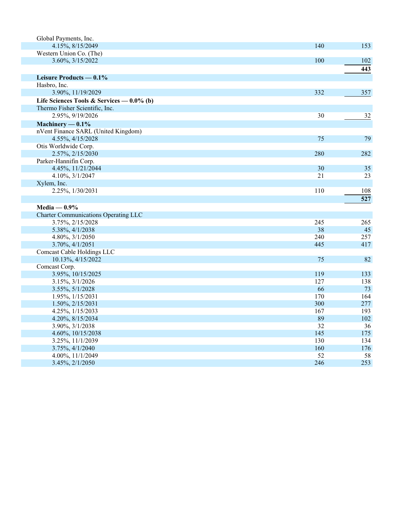| Global Payments, Inc.                        |     |     |
|----------------------------------------------|-----|-----|
| 4.15%, 8/15/2049                             | 140 | 153 |
| Western Union Co. (The)                      |     |     |
| 3.60%, 3/15/2022                             | 100 | 102 |
|                                              |     | 443 |
| Leisure Products — 0.1%                      |     |     |
| Hasbro, Inc.                                 |     |     |
| 3.90%, 11/19/2029                            | 332 | 357 |
| Life Sciences Tools & Services — $0.0\%$ (b) |     |     |
| Thermo Fisher Scientific, Inc.               |     |     |
| 2.95%, 9/19/2026                             | 30  | 32  |
| Machinery $-0.1\%$                           |     |     |
| nVent Finance SARL (United Kingdom)          |     |     |
| 4.55%, 4/15/2028                             | 75  | 79  |
| Otis Worldwide Corp.                         |     |     |
| 2.57%, 2/15/2030                             | 280 | 282 |
| Parker-Hannifin Corp.                        |     |     |
| 4.45%, 11/21/2044                            | 30  | 35  |
| 4.10%, 3/1/2047                              | 21  | 23  |
| Xylem, Inc.                                  |     |     |
| 2.25%, 1/30/2031                             | 110 | 108 |
|                                              |     | 527 |
| Media — $0.9\%$                              |     |     |
| <b>Charter Communications Operating LLC</b>  |     |     |
| 3.75%, 2/15/2028                             | 245 | 265 |
| 5.38%, 4/1/2038                              | 38  | 45  |
| 4.80%, 3/1/2050                              | 240 | 257 |
| 3.70%, 4/1/2051                              | 445 | 417 |
| Comcast Cable Holdings LLC                   |     |     |
| 10.13%, 4/15/2022                            | 75  | 82  |
| Comcast Corp.                                |     |     |
| 3.95%, 10/15/2025                            | 119 | 133 |
| 3.15%, 3/1/2026                              | 127 | 138 |
| 3.55%, 5/1/2028                              | 66  | 73  |
| 1.95%, 1/15/2031                             | 170 | 164 |
| 1.50%, 2/15/2031                             | 300 | 277 |
| 4.25%, 1/15/2033                             | 167 | 193 |
| 4.20%, 8/15/2034                             | 89  | 102 |
| 3.90%, 3/1/2038                              | 32  | 36  |
| 4.60%, 10/15/2038                            | 145 | 175 |
| 3.25%, 11/1/2039                             | 130 | 134 |
| 3.75%, 4/1/2040                              | 160 | 176 |
| 4.00%, 11/1/2049                             | 52  | 58  |
| 3.45%, 2/1/2050                              | 246 | 253 |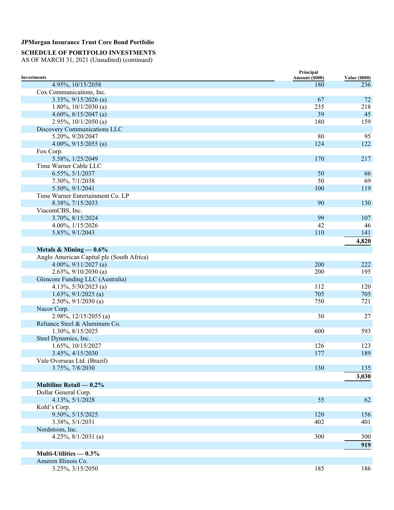### **SCHEDULE OF PORTFOLIO INVESTMENTS**

|                                           | Principal      |                      |
|-------------------------------------------|----------------|----------------------|
| Investments                               | Amount (\$000) | <b>Value (\$000)</b> |
| 4.95%, 10/15/2058                         | 180            | 236                  |
| Cox Communications, Inc.                  |                |                      |
| $3.35\%, 9/15/2026$ (a)                   | 67             | 72                   |
| 1.80%, $10/1/2030$ (a)                    | 235            | 218                  |
| 4.60%, $8/15/2047$ (a)                    | 39             | 45                   |
| 2.95%, $10/1/2050$ (a)                    | 180            | 159                  |
| Discovery Communications LLC              |                |                      |
| 5.20%, 9/20/2047                          | 80             | 95                   |
| 4.00%, $9/15/2055$ (a)                    | 124            | 122                  |
| Fox Corp.                                 |                |                      |
| 5.58%, 1/25/2049                          | 170            | 217                  |
| Time Warner Cable LLC                     |                |                      |
| 6.55%, 5/1/2037                           | 50             | 66                   |
| 7.30%, 7/1/2038                           | 50             | 69                   |
| 5.50%, 9/1/2041                           | 100            | 119                  |
| Time Warner Entertainment Co. LP          |                |                      |
| 8.38%, 7/15/2033                          | 90             | 130                  |
| ViacomCBS, Inc.                           |                |                      |
| 3.70%, 8/15/2024                          | 99             | 107                  |
| 4.00%, 1/15/2026                          | 42             | 46                   |
| 5.85%, 9/1/2043                           | 110            | 141                  |
|                                           |                |                      |
|                                           |                | 4,820                |
| Metals & Mining $-0.6\%$                  |                |                      |
| Anglo American Capital plc (South Africa) |                |                      |
| 4.00%, $9/11/2027$ (a)                    | 200            | 222                  |
| 2.63%, $9/10/2030$ (a)                    | 200            | 195                  |
| Glencore Funding LLC (Australia)          |                |                      |
| 4.13%, 5/30/2023 (a)                      | 112            | 120                  |
| $1.63\%, 9/1/2025$ (a)                    | 705            | 705                  |
| $2.50\%, 9/1/2030$ (a)                    | 750            | 721                  |
| Nucor Corp.                               |                |                      |
| $2.98\%, 12/15/2055$ (a)                  | 30             | $27\,$               |
| Reliance Steel & Aluminum Co.             |                |                      |
| 1.30%, 8/15/2025                          | 600            | 593                  |
| Steel Dynamics, Inc.                      |                |                      |
| 1.65%, 10/15/2027                         | 126            | 123                  |
| 3.45%, 4/15/2030                          | 177            | 189                  |
| Vale Overseas Ltd. (Brazil)               |                |                      |
| 3.75%, 7/8/2030                           | 130            | 135                  |
|                                           |                | 3,030                |
|                                           |                |                      |
| Multiline Retail $-0.2\%$                 |                |                      |
| Dollar General Corp.                      |                |                      |
| 4.13%, 5/1/2028                           | 55             | 62                   |
| Kohl's Corp.                              |                |                      |
| 9.50%, 5/15/2025                          | 120            | 156                  |
| 3.38%, 5/1/2031                           | 402            | 401                  |
| Nordstrom, Inc.                           |                |                      |
| 4.25%, $8/1/2031$ (a)                     | 300            | 300                  |
|                                           |                | 919                  |
| Multi-Utilities $-0.3%$                   |                |                      |
| Ameren Illinois Co.                       |                |                      |
| 3.25%, 3/15/2050                          | 185            | 186                  |
|                                           |                |                      |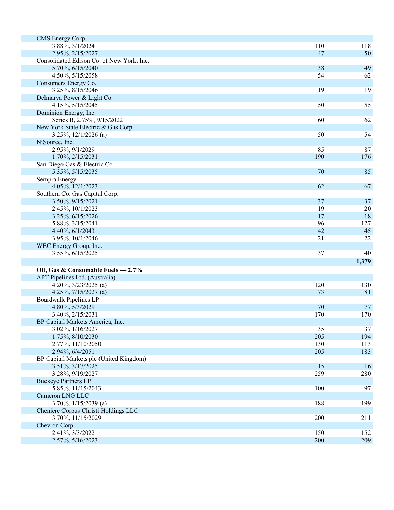| CMS Energy Corp.                          |     |       |
|-------------------------------------------|-----|-------|
| 3.88%, 3/1/2024                           | 110 | 118   |
| 2.95%, 2/15/2027                          | 47  | 50    |
| Consolidated Edison Co. of New York, Inc. |     |       |
| 5.70%, 6/15/2040                          | 38  | 49    |
| 4.50%, 5/15/2058                          | 54  | 62    |
| Consumers Energy Co.                      |     |       |
| 3.25%, 8/15/2046                          | 19  | 19    |
| Delmarva Power & Light Co.                |     |       |
| 4.15%, 5/15/2045                          | 50  | 55    |
| Dominion Energy, Inc.                     |     |       |
| Series B, 2.75%, 9/15/2022                | 60  | 62    |
| New York State Electric & Gas Corp.       |     |       |
| $3.25\%, 12/1/2026$ (a)                   | 50  | 54    |
| NiSource, Inc.                            |     |       |
| 2.95%, 9/1/2029                           | 85  | 87    |
| 1.70%, 2/15/2031                          | 190 | 176   |
| San Diego Gas & Electric Co.              |     |       |
| 5.35%, 5/15/2035                          | 70  | 85    |
| Sempra Energy                             |     |       |
| 4.05%, 12/1/2023                          | 62  | 67    |
| Southern Co. Gas Capital Corp.            |     |       |
| 3.50%, 9/15/2021                          | 37  | 37    |
| 2.45%, 10/1/2023                          | 19  | 20    |
| 3.25%, 6/15/2026                          | 17  | 18    |
| 5.88%, 3/15/2041                          | 96  | 127   |
| 4.40%, 6/1/2043                           | 42  | 45    |
| 3.95%, 10/1/2046                          | 21  | 22    |
| WEC Energy Group, Inc.                    |     |       |
| 3.55%, 6/15/2025                          | 37  | 40    |
|                                           |     | 1,379 |
|                                           |     |       |
| Oil, Gas & Consumable Fuels - 2.7%        |     |       |
| APT Pipelines Ltd. (Australia)            |     |       |
| 4.20%, $3/23/2025$ (a)                    | 120 | 130   |
| 4.25%, $7/15/2027$ (a)                    | 73  | 81    |
| Boardwalk Pipelines LP                    |     |       |
| 4.80%, 5/3/2029                           | 70  | 77    |
| 3.40%, 2/15/2031                          | 170 | 170   |
| BP Capital Markets America, Inc.          |     |       |
| 3.02%, 1/16/2027                          | 35  | 37    |
| 1.75%, 8/10/2030                          | 205 | 194   |
| 2.77%, 11/10/2050                         | 130 | 113   |
| 2.94%, 6/4/2051                           | 205 | 183   |
| BP Capital Markets plc (United Kingdom)   |     |       |
| 3.51%, 3/17/2025                          | 15  | 16    |
| 3.28%, 9/19/2027                          | 259 | 280   |
| <b>Buckeye Partners LP</b>                |     |       |
| 5.85%, 11/15/2043                         | 100 | 97    |
| Cameron LNG LLC                           |     |       |
| $3.70\%, 1/15/2039$ (a)                   | 188 | 199   |
| Cheniere Corpus Christi Holdings LLC      |     |       |
| 3.70%, 11/15/2029                         | 200 | 211   |
| Chevron Corp.                             |     |       |
| 2.41%, 3/3/2022                           | 150 | 152   |
| 2.57%, 5/16/2023                          | 200 | 209   |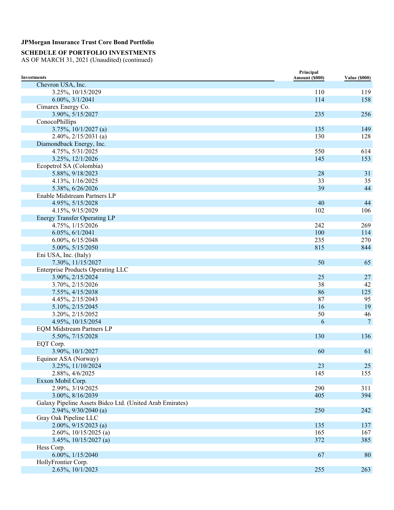### **SCHEDULE OF PORTFOLIO INVESTMENTS**

| <b>Investments</b>                                       | Principal<br>Amount (\$000) | <b>Value (\$000)</b> |
|----------------------------------------------------------|-----------------------------|----------------------|
| Chevron USA, Inc.                                        |                             |                      |
| 3.25%, 10/15/2029                                        | 110                         | 119                  |
| 6.00%, 3/1/2041                                          | 114                         | 158                  |
| Cimarex Energy Co.                                       |                             |                      |
| 3.90%, 5/15/2027                                         | 235                         | 256                  |
| ConocoPhillips                                           |                             |                      |
| $3.75\%, 10/1/2027$ (a)                                  | 135                         | 149                  |
| $2.40\%, 2/15/2031$ (a)                                  | 130                         | 128                  |
| Diamondback Energy, Inc.                                 |                             |                      |
| 4.75%, 5/31/2025                                         | 550                         | 614                  |
| 3.25%, 12/1/2026                                         | 145                         | 153                  |
| Ecopetrol SA (Colombia)                                  |                             |                      |
| 5.88%, 9/18/2023                                         | 28                          | 31                   |
| 4.13%, 1/16/2025                                         | 33                          | 35                   |
| 5.38%, 6/26/2026                                         | 39                          | 44                   |
| Enable Midstream Partners LP                             |                             |                      |
| 4.95%, 5/15/2028                                         | 40                          | 44                   |
| 4.15%, 9/15/2029                                         | 102                         | 106                  |
| <b>Energy Transfer Operating LP</b>                      |                             |                      |
| 4.75%, 1/15/2026                                         | 242                         | 269                  |
| 6.05%, 6/1/2041                                          | 100                         | 114                  |
| 6.00%, 6/15/2048                                         | 235                         | 270                  |
| 5.00%, 5/15/2050                                         | 815                         | 844                  |
| Eni USA, Inc. (Italy)                                    |                             |                      |
| 7.30%, 11/15/2027                                        | 50                          | 65                   |
| <b>Enterprise Products Operating LLC</b>                 |                             |                      |
| 3.90%, 2/15/2024                                         | 25                          | 27                   |
| 3.70%, 2/15/2026                                         | 38                          | 42                   |
| 7.55%, 4/15/2038                                         | 86                          | 125                  |
| 4.45%, 2/15/2043                                         | 87                          | 95                   |
| 5.10%, 2/15/2045                                         | 16                          | 19                   |
| 3.20%, 2/15/2052                                         | 50                          | 46                   |
| 4.95%, 10/15/2054                                        | 6                           | $\overline{7}$       |
| <b>EQM Midstream Partners LP</b>                         |                             |                      |
| 5.50%, 7/15/2028                                         | 130                         | 136                  |
| EQT Corp.                                                |                             |                      |
| 3.90%, 10/1/2027                                         | 60                          | 61                   |
| Equinor ASA (Norway)                                     |                             |                      |
| 3.25%, 11/10/2024                                        | 23                          | 25                   |
| 2.88%, 4/6/2025                                          | 145                         | 155                  |
| Exxon Mobil Corp.                                        |                             |                      |
| 2.99%, 3/19/2025                                         | 290                         | 311                  |
| 3.00%, 8/16/2039                                         | 405                         | 394                  |
| Galaxy Pipeline Assets Bidco Ltd. (United Arab Emirates) |                             |                      |
| $2.94\%, 9/30/2040$ (a)                                  | 250                         | 242                  |
| Gray Oak Pipeline LLC                                    |                             |                      |
| $2.00\%, 9/15/2023$ (a)                                  | 135                         | 137                  |
| $2.60\%, 10/15/2025$ (a)                                 | 165                         | 167                  |
| $3.45\%, 10/15/2027$ (a)                                 | 372                         | 385                  |
| Hess Corp.                                               |                             |                      |
| 6.00%, 1/15/2040                                         | 67                          | 80                   |
| HollyFrontier Corp.                                      |                             |                      |
| 2.63%, 10/1/2023                                         | 255                         | 263                  |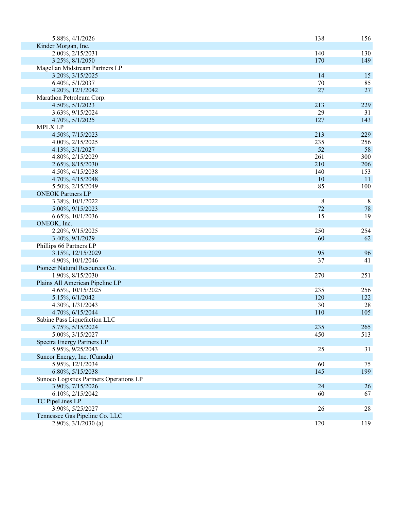| 5.88%, 4/1/2026                         | 138    | 156 |
|-----------------------------------------|--------|-----|
| Kinder Morgan, Inc.                     |        |     |
| 2.00%, 2/15/2031                        | 140    | 130 |
| 3.25%, 8/1/2050                         | 170    | 149 |
| Magellan Midstream Partners LP          |        |     |
| 3.20%, 3/15/2025                        | 14     | 15  |
| 6.40%, 5/1/2037                         | 70     | 85  |
| 4.20%, 12/1/2042                        | 27     | 27  |
| Marathon Petroleum Corp.                |        |     |
| 4.50%, 5/1/2023                         | 213    | 229 |
| 3.63%, 9/15/2024                        | 29     | 31  |
| 4.70%, 5/1/2025                         | 127    | 143 |
| <b>MPLX LP</b>                          |        |     |
| 4.50%, 7/15/2023                        | 213    | 229 |
| 4.00%, 2/15/2025                        | 235    | 256 |
| 4.13%, 3/1/2027                         | 52     | 58  |
| 4.80%, 2/15/2029                        | 261    | 300 |
| 2.65%, 8/15/2030                        | 210    | 206 |
| 4.50%, 4/15/2038                        | 140    | 153 |
| 4.70%, 4/15/2048                        | 10     | 11  |
| 5.50%, 2/15/2049                        | 85     | 100 |
| <b>ONEOK Partners LP</b>                |        |     |
| 3.38%, 10/1/2022                        | 8      | 8   |
| 5.00%, 9/15/2023                        | 72     | 78  |
| 6.65%, 10/1/2036                        | 15     | 19  |
| ONEOK, Inc.                             |        |     |
| 2.20%, 9/15/2025                        | 250    | 254 |
| 3.40%, 9/1/2029                         | 60     | 62  |
| Phillips 66 Partners LP                 |        |     |
| 3.15%, 12/15/2029                       | 95     | 96  |
| 4.90%, 10/1/2046                        | 37     | 41  |
| Pioneer Natural Resources Co.           |        |     |
| 1.90%, 8/15/2030                        | 270    | 251 |
| Plains All American Pipeline LP         |        |     |
| 4.65%, 10/15/2025                       | 235    | 256 |
| 5.15%, 6/1/2042                         | 120    | 122 |
| 4.30%, 1/31/2043                        | 30     | 28  |
| 4.70%, 6/15/2044                        | 110    | 105 |
| Sabine Pass Liquefaction LLC            |        |     |
| 5.75%, 5/15/2024                        | 235    | 265 |
| 5.00%, 3/15/2027                        | 450    | 513 |
| <b>Spectra Energy Partners LP</b>       |        |     |
| 5.95%, 9/25/2043                        | $25\,$ | 31  |
| Suncor Energy, Inc. (Canada)            |        |     |
| 5.95%, 12/1/2034                        | 60     | 75  |
| 6.80%, 5/15/2038                        | 145    | 199 |
| Sunoco Logistics Partners Operations LP |        |     |
| 3.90%, 7/15/2026                        | 24     | 26  |
| 6.10%, 2/15/2042                        | 60     | 67  |
| TC PipeLines LP                         |        |     |
| 3.90%, 5/25/2027                        | 26     | 28  |
| Tennessee Gas Pipeline Co. LLC          |        |     |
| $2.90\%, \frac{3}{1/2030}$ (a)          | 120    | 119 |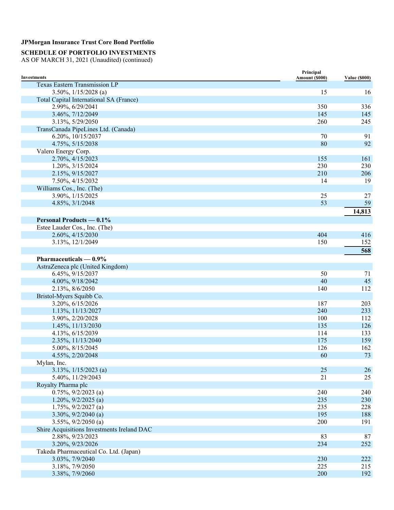## **SCHEDULE OF PORTFOLIO INVESTMENTS**

| <b>Investments</b>                         | Principal<br>Amount (\$000) | <b>Value (\$000)</b> |
|--------------------------------------------|-----------------------------|----------------------|
| <b>Texas Eastern Transmission LP</b>       |                             |                      |
| 3.50%, $1/15/2028$ (a)                     | 15                          | 16                   |
| Total Capital International SA (France)    |                             |                      |
| 2.99%, 6/29/2041                           | 350                         | 336                  |
| 3.46%, 7/12/2049                           | 145                         | 145                  |
| 3.13%, 5/29/2050                           | 260                         | 245                  |
| TransCanada PipeLines Ltd. (Canada)        |                             |                      |
| 6.20%, 10/15/2037                          | 70                          | 91                   |
| 4.75%, 5/15/2038                           | 80                          | 92                   |
| Valero Energy Corp.                        |                             |                      |
| 2.70%, 4/15/2023                           | 155                         | 161                  |
| 1.20%, 3/15/2024                           | 230                         | 230                  |
| 2.15%, 9/15/2027                           | 210                         | 206                  |
| 7.50%, 4/15/2032                           | 14                          | 19                   |
| Williams Cos., Inc. (The)                  |                             |                      |
| 3.90%, 1/15/2025                           | 25                          | $27\,$               |
| 4.85%, 3/1/2048                            | 53                          | 59                   |
|                                            |                             | 14,813               |
|                                            |                             |                      |
| <b>Personal Products — 0.1%</b>            |                             |                      |
| Estee Lauder Cos., Inc. (The)              |                             |                      |
| 2.60%, 4/15/2030                           | 404                         | 416                  |
| 3.13%, 12/1/2049                           | 150                         | 152                  |
|                                            |                             | 568                  |
| Pharmaceuticals $-0.9\%$                   |                             |                      |
| AstraZeneca plc (United Kingdom)           |                             |                      |
| 6.45%, 9/15/2037                           | 50                          | 71                   |
| 4.00%, 9/18/2042                           | 40                          | 45                   |
| 2.13%, 8/6/2050                            | 140                         | 112                  |
| Bristol-Myers Squibb Co.                   |                             |                      |
| 3.20%, 6/15/2026                           | 187                         | 203                  |
| 1.13%, 11/13/2027                          | 240                         | 233                  |
| 3.90%, 2/20/2028                           | 100                         | 112                  |
| 1.45%, 11/13/2030                          | 135                         | 126                  |
| 4.13%, 6/15/2039                           | 114                         | 133                  |
| 2.35%, 11/13/2040                          | 175                         | 159                  |
| 5.00%, 8/15/2045                           | 126                         | 162                  |
| 4.55%, 2/20/2048                           | 60                          | 73                   |
| Mylan, Inc.                                |                             |                      |
| $3.13\%, 1/15/2023$ (a)                    | 25                          | 26                   |
| 5.40%, 11/29/2043                          | 21                          | 25                   |
| Royalty Pharma plc                         |                             |                      |
| $0.75\%, 9/2/2023$ (a)                     | 240                         | 240                  |
| $1.20\%, 9/2/2025$ (a)                     | 235                         | 230                  |
| $1.75\%, 9/2/2027$ (a)                     | 235                         | 228                  |
| $3.30\%, 9/2/2040$ (a)                     | 195                         | 188                  |
| $3.55\%, 9/2/2050$ (a)                     | 200                         | 191                  |
| Shire Acquisitions Investments Ireland DAC |                             |                      |
| 2.88%, 9/23/2023                           | 83                          | 87                   |
| 3.20%, 9/23/2026                           | 234                         | 252                  |
| Takeda Pharmaceutical Co. Ltd. (Japan)     |                             |                      |
| 3.03%, 7/9/2040                            | 230                         | 222                  |
| 3.18%, 7/9/2050                            | 225                         | 215                  |
| 3.38%, 7/9/2060                            | 200                         | 192                  |
|                                            |                             |                      |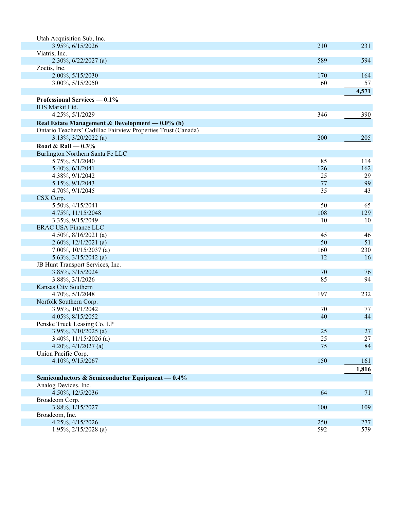| Utah Acquisition Sub, Inc.                                    |     |        |
|---------------------------------------------------------------|-----|--------|
| 3.95%, 6/15/2026                                              | 210 | 231    |
| Viatris, Inc.                                                 |     |        |
| $2.30\%, 6/22/2027$ (a)                                       | 589 | 594    |
| Zoetis, Inc.                                                  |     |        |
| 2.00%, 5/15/2030                                              | 170 | 164    |
| 3.00%, 5/15/2050                                              | 60  | 57     |
|                                                               |     | 4,571  |
|                                                               |     |        |
| Professional Services — 0.1%                                  |     |        |
| IHS Markit Ltd.                                               |     |        |
| 4.25%, 5/1/2029                                               | 346 | 390    |
| Real Estate Management & Development — 0.0% (b)               |     |        |
| Ontario Teachers' Cadillac Fairview Properties Trust (Canada) |     |        |
| $3.13\%, \frac{3}{20}/2022$ (a)                               | 200 | 205    |
| Road & Rail $-0.3%$                                           |     |        |
| Burlington Northern Santa Fe LLC                              |     |        |
| 5.75%, 5/1/2040                                               | 85  | 114    |
| 5.40%, 6/1/2041                                               | 126 | 162    |
| 4.38%, 9/1/2042                                               | 25  | 29     |
| 5.15%, 9/1/2043                                               | 77  | 99     |
| 4.70%, 9/1/2045                                               | 35  | 43     |
| CSX Corp.                                                     |     |        |
| 5.50%, 4/15/2041                                              | 50  | 65     |
|                                                               | 108 | 129    |
| 4.75%, 11/15/2048                                             | 10  | 10     |
| 3.35%, 9/15/2049                                              |     |        |
| <b>ERAC USA Finance LLC</b>                                   |     |        |
| 4.50%, $8/16/2021$ (a)                                        | 45  | 46     |
| 2.60%, $12/1/2021$ (a)                                        | 50  | 51     |
| 7.00%, $10/15/2037$ (a)                                       | 160 | 230    |
| 5.63%, $3/15/2042$ (a)                                        | 12  | 16     |
| JB Hunt Transport Services, Inc.                              |     |        |
| 3.85%, 3/15/2024                                              | 70  | 76     |
| 3.88%, 3/1/2026                                               | 85  | 94     |
| Kansas City Southern                                          |     |        |
| 4.70%, 5/1/2048                                               | 197 | 232    |
| Norfolk Southern Corp.                                        |     |        |
| 3.95%, 10/1/2042                                              | 70  | 77     |
| 4.05%, 8/15/2052                                              | 40  | 44     |
| Penske Truck Leasing Co. LP                                   |     |        |
| $3.95\%, \frac{3}{10/2025}$ (a)                               | 25  | $27\,$ |
| $3.40\%, 11/15/2026$ (a)                                      | 25  | 27     |
| 4.20%, $4/1/2027$ (a)                                         | 75  | 84     |
| Union Pacific Corp.                                           |     |        |
| 4.10%, 9/15/2067                                              | 150 | 161    |
|                                                               |     | 1,816  |
|                                                               |     |        |
| Semiconductors & Semiconductor Equipment - 0.4%               |     |        |
| Analog Devices, Inc.                                          |     |        |
| 4.50%, 12/5/2036                                              | 64  | 71     |
| Broadcom Corp.                                                |     |        |
| 3.88%, 1/15/2027                                              | 100 | 109    |
| Broadcom, Inc.                                                |     |        |
| 4.25%, 4/15/2026                                              | 250 | 277    |
| $1.95\%, 2/15/2028$ (a)                                       | 592 | 579    |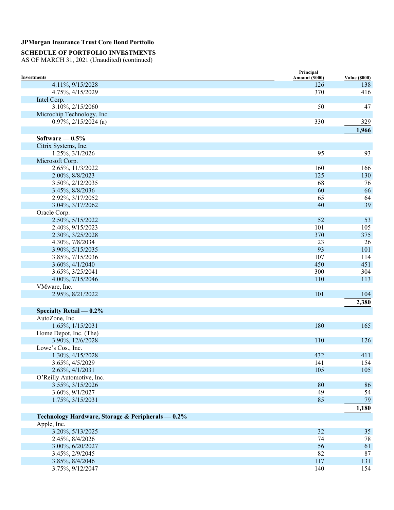### **SCHEDULE OF PORTFOLIO INVESTMENTS**

|                                                   | Principal      |                             |
|---------------------------------------------------|----------------|-----------------------------|
| <b>Investments</b><br>4.11%, 9/15/2028            | Amount (\$000) | <b>Value (\$000)</b><br>138 |
| 4.75%, 4/15/2029                                  | 126<br>370     | 416                         |
| Intel Corp.                                       |                |                             |
| 3.10%, 2/15/2060                                  | 50             | 47                          |
| Microchip Technology, Inc.                        |                |                             |
| $0.97\%, 2/15/2024$ (a)                           | 330            | 329                         |
|                                                   |                |                             |
|                                                   |                | 1,966                       |
| Software $-0.5%$                                  |                |                             |
| Citrix Systems, Inc.                              |                |                             |
| 1.25%, 3/1/2026                                   | 95             | 93                          |
| Microsoft Corp.                                   |                |                             |
| 2.65%, 11/3/2022                                  | 160            | 166                         |
| 2.00%, 8/8/2023                                   | 125            | 130                         |
| 3.50%, 2/12/2035                                  | 68             | 76                          |
| 3.45%, 8/8/2036                                   | 60             | 66                          |
| 2.92%, 3/17/2052                                  | 65             | 64                          |
| 3.04%, 3/17/2062                                  | 40             | 39                          |
| Oracle Corp.                                      |                |                             |
| 2.50%, 5/15/2022                                  | 52             | 53                          |
| 2.40%, 9/15/2023                                  | 101            | 105                         |
| 2.30%, 3/25/2028                                  | 370            | 375                         |
| 4.30%, 7/8/2034                                   | 23             | 26                          |
| 3.90%, 5/15/2035                                  | 93             | 101                         |
| 3.85%, 7/15/2036                                  | 107            | 114                         |
| 3.60%, 4/1/2040                                   | 450            | 451                         |
| 3.65%, 3/25/2041                                  | 300            | 304                         |
| 4.00%, 7/15/2046                                  | 110            | 113                         |
| VMware, Inc.                                      |                |                             |
| 2.95%, 8/21/2022                                  | 101            | 104                         |
|                                                   |                | 2,380                       |
| Specialty Retail $-0.2\%$                         |                |                             |
| AutoZone, Inc.                                    |                |                             |
| 1.65%, 1/15/2031                                  | 180            | 165                         |
| Home Depot, Inc. (The)                            |                |                             |
| 3.90%, 12/6/2028                                  | 110            | 126                         |
| Lowe's Cos., Inc.                                 |                |                             |
| 1.30%, 4/15/2028                                  | 432            | 411                         |
| 3.65%, 4/5/2029                                   | 141            | 154                         |
| 2.63%, 4/1/2031                                   | 105            | 105                         |
| O'Reilly Automotive, Inc.                         |                |                             |
| 3.55%, 3/15/2026                                  | 80             | 86                          |
| 3.60%, 9/1/2027                                   | 49             | 54                          |
| 1.75%, 3/15/2031                                  | 85             | 79                          |
|                                                   |                | 1,180                       |
| Technology Hardware, Storage & Peripherals - 0.2% |                |                             |
| Apple, Inc.                                       |                |                             |
| 3.20%, 5/13/2025                                  | 32             | 35                          |
| 2.45%, 8/4/2026                                   | 74             | 78                          |
| 3.00%, 6/20/2027                                  | 56             | 61                          |
| 3.45%, 2/9/2045                                   | 82             | 87                          |
| 3.85%, 8/4/2046                                   | 117            | 131                         |
| 3.75%, 9/12/2047                                  | 140            | 154                         |
|                                                   |                |                             |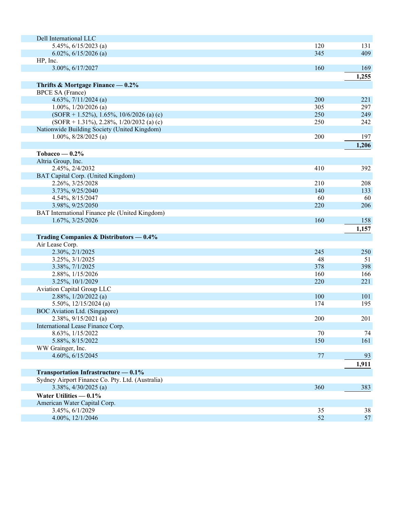| Dell International LLC                                     |     |       |
|------------------------------------------------------------|-----|-------|
| 5.45%, 6/15/2023 (a)                                       | 120 | 131   |
| $6.02\%, 6/15/2026$ (a)                                    | 345 | 409   |
| HP, Inc.                                                   |     |       |
| 3.00%, 6/17/2027                                           | 160 | 169   |
|                                                            |     | 1,255 |
| Thrifts & Mortgage Finance $-0.2\%$                        |     |       |
| <b>BPCE SA (France)</b>                                    |     |       |
| 4.63%, $7/11/2024$ (a)                                     | 200 | 221   |
| 1.00%, $1/20/2026$ (a)                                     | 305 | 297   |
| $(SOFR + 1.52\%), 1.65\%, 10/6/2026$ (a) (c)               | 250 | 249   |
| $(SOFR + 1.31\%), 2.28\%, 1/20/2032$ (a) (c)               | 250 | 242   |
| Nationwide Building Society (United Kingdom)               |     |       |
| $1.00\%, 8/28/2025$ (a)                                    | 200 | 197   |
|                                                            |     | 1,206 |
| Tobacco — $0.2\%$                                          |     |       |
| Altria Group, Inc.                                         |     |       |
| 2.45%, 2/4/2032                                            | 410 | 392   |
| BAT Capital Corp. (United Kingdom)                         |     |       |
| 2.26%, 3/25/2028                                           | 210 | 208   |
| 3.73%, 9/25/2040                                           | 140 | 133   |
| 4.54%, 8/15/2047                                           | 60  | 60    |
| 3.98%, 9/25/2050                                           | 220 | 206   |
| BAT International Finance plc (United Kingdom)             |     |       |
| 1.67%, 3/25/2026                                           | 160 | 158   |
|                                                            |     | 1,157 |
|                                                            |     |       |
| Trading Companies & Distributors - 0.4%<br>Air Lease Corp. |     |       |
| 2.30%, 2/1/2025                                            | 245 | 250   |
| 3.25%, 3/1/2025                                            | 48  | 51    |
| 3.38%, 7/1/2025                                            | 378 | 398   |
| 2.88%, 1/15/2026                                           | 160 | 166   |
| 3.25%, 10/1/2029                                           | 220 | 221   |
| Aviation Capital Group LLC                                 |     |       |
| 2.88%, 1/20/2022 (a)                                       | 100 | 101   |
| 5.50%, $12/15/2024$ (a)                                    | 174 | 195   |
| BOC Aviation Ltd. (Singapore)                              |     |       |
| 2.38%, 9/15/2021 (a)                                       | 200 | 201   |
| International Lease Finance Corp.                          |     |       |
| 8.63%, 1/15/2022                                           | 70  | 74    |
| 5.88%, 8/15/2022                                           | 150 | 161   |
| WW Grainger, Inc.                                          |     |       |
| 4.60%, 6/15/2045                                           | 77  | 93    |
|                                                            |     | 1,911 |
| Transportation Infrastructure — 0.1%                       |     |       |
| Sydney Airport Finance Co. Pty. Ltd. (Australia)           |     |       |
| 3.38%, 4/30/2025 (a)                                       | 360 | 383   |
|                                                            |     |       |
| Water Utilities $-0.1\%$                                   |     |       |
| American Water Capital Corp.                               |     |       |
| 3.45%, 6/1/2029                                            | 35  | 38    |
| 4.00%, 12/1/2046                                           | 52  | 57    |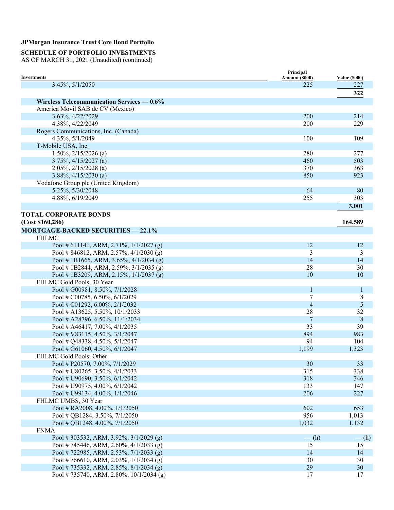# **SCHEDULE OF PORTFOLIO INVESTMENTS**

|                                              | Principal          |                      |
|----------------------------------------------|--------------------|----------------------|
| <b>Investments</b>                           | Amount (\$000)     | <b>Value (\$000)</b> |
| 3.45%, 5/1/2050                              | 225                | 227                  |
|                                              |                    | 322                  |
| Wireless Telecommunication Services $-0.6\%$ |                    |                      |
| America Movil SAB de CV (Mexico)             |                    |                      |
| 3.63%, 4/22/2029                             | 200                | 214                  |
| 4.38%, 4/22/2049                             | 200                | 229                  |
| Rogers Communications, Inc. (Canada)         |                    |                      |
| 4.35%, 5/1/2049                              | 100                | 109                  |
| T-Mobile USA, Inc.                           |                    |                      |
| $1.50\%, 2/15/2026$ (a)                      | 280                | 277                  |
| $3.75\%, \frac{4}{15/2027}$ (a)              | 460                | 503                  |
| $2.05\%, 2/15/2028$ (a)                      | 370                | 363                  |
| $3.88\%, \frac{4}{15/2030}$ (a)              | 850                | 923                  |
| Vodafone Group plc (United Kingdom)          |                    |                      |
| 5.25%, 5/30/2048                             | 64                 | 80                   |
| 4.88%, 6/19/2049                             | 255                | 303                  |
|                                              |                    | 3,001                |
|                                              |                    |                      |
| <b>TOTAL CORPORATE BONDS</b>                 |                    |                      |
| (Cost \$160, 286)                            |                    | 164,589              |
| <b>MORTGAGE-BACKED SECURITIES - 22.1%</b>    |                    |                      |
| <b>FHLMC</b>                                 |                    |                      |
| Pool # 611141, ARM, 2.71%, $1/1/2027$ (g)    | 12                 | 12                   |
| Pool # 846812, ARM, 2.57%, $4/1/2030$ (g)    | 3                  | 3                    |
| Pool #1B1665, ARM, 3.65%, 4/1/2034 (g)       | 14                 | 14                   |
| Pool # 1B2844, ARM, 2.59%, $3/1/2035$ (g)    | 28                 | 30                   |
| Pool # 1B3209, ARM, 2.15%, $1/1/2037$ (g)    | 10                 | 10                   |
| FHLMC Gold Pools, 30 Year                    |                    |                      |
| Pool # G00981, 8.50%, 7/1/2028               | $\mathbf{1}$       | $\mathbf{1}$         |
| Pool # C00785, 6.50%, 6/1/2029               | 7                  | 8                    |
| Pool # C01292, 6.00%, 2/1/2032               | $\overline{4}$     | 5                    |
| Pool # A13625, 5.50%, $10/1/2033$            | 28                 | 32                   |
| Pool # A28796, 6.50%, $11/1/2034$            | 7                  | $\,8\,$              |
| Pool # A46417, 7.00%, $4/1/2035$             | 33                 | 39                   |
| Pool # V83115, 4.50%, 3/1/2047               | 894                | 983                  |
| Pool # Q48338, 4.50%, $5/1/2047$             | 94                 | 104                  |
| Pool # G61060, 4.50%, $6/1/2047$             | 1,199              | 1,323                |
| FHLMC Gold Pools, Other                      |                    |                      |
| Pool # P20570, 7.00%, 7/1/2029               | 30                 | 33                   |
| Pool # U80265, 3.50%, $4/1/2033$             | 315                | 338                  |
| Pool # U90690, 3.50%, $6/1/2042$             | 318                | 346                  |
| Pool # U90975, 4.00%, $6/1/2042$             | 133                | 147                  |
| Pool # U99134, 4.00%, 1/1/2046               | 206                | 227                  |
| FHLMC UMBS, 30 Year                          |                    |                      |
| Pool # RA2008, 4.00%, 1/1/2050               | 602                | 653                  |
| Pool # QB1284, 3.50%, $7/1/2050$             | 956                | 1,013                |
| Pool # QB1248, 4.00%, 7/1/2050               | 1,032              | 1,132                |
| <b>FNMA</b>                                  |                    |                      |
| Pool # 303532, ARM, 3.92%, $3/1/2029$ (g)    | $-\left( h\right)$ | $-\left(h\right)$    |
| Pool # 745446, ARM, 2.60%, 4/1/2033 (g)      | 15                 | 15                   |
| Pool # 722985, ARM, 2.53%, 7/1/2033 (g)      | 14                 | 14                   |
| Pool # 766610, ARM, 2.03%, $1/1/2034$ (g)    | 30                 | 30                   |
| Pool #735332, ARM, 2.85%, 8/1/2034 (g)       | 29                 | 30                   |
| Pool # 735740, ARM, 2.80%, $10/1/2034$ (g)   | 17                 | 17                   |
|                                              |                    |                      |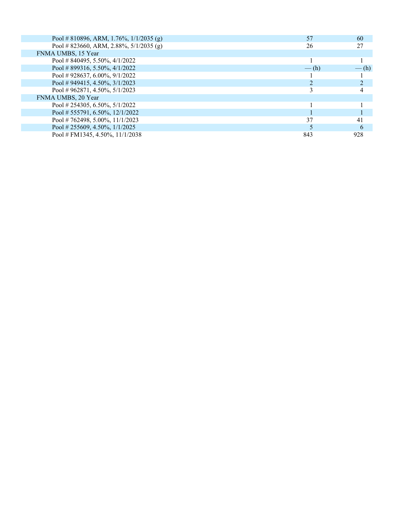|         | 60                 |
|---------|--------------------|
|         | 27                 |
|         |                    |
|         |                    |
| $-$ (h) | $-\left( h\right)$ |
|         |                    |
|         |                    |
|         |                    |
|         |                    |
|         |                    |
|         |                    |
| 37      | 41                 |
|         | 6                  |
| 843     | 928                |
|         | 57<br>26           |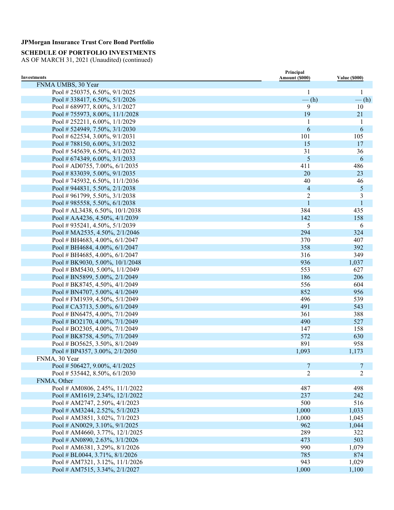**SCHEDULE OF PORTFOLIO INVESTMENTS** 

| <b>Investments</b>                | Principal                |                      |
|-----------------------------------|--------------------------|----------------------|
| FNMA UMBS, 30 Year                | Amount (\$000)           | <b>Value (\$000)</b> |
| Pool #250375, 6.50%, 9/1/2025     | $\mathbf{1}$             | 1                    |
| Pool # 338417, 6.50%, $5/1/2026$  | $-$ (h)                  | $-\left( h\right)$   |
| Pool #689977, 8.00%, 3/1/2027     | 9                        | 10                   |
| Pool #755973, 8.00%, 11/1/2028    | 19                       | 21                   |
| Pool #252211, 6.00%, 1/1/2029     | 1                        | 1                    |
| Pool #524949, 7.50%, 3/1/2030     | 6                        | 6                    |
| Pool # 622534, 3.00%, $9/1/2031$  | 101                      | 105                  |
| Pool #788150, 6.00%, 3/1/2032     | 15                       | 17                   |
| Pool #545639, 6.50%, $4/1/2032$   | 31                       | 36                   |
| Pool # 674349, 6.00%, 3/1/2033    | $\sqrt{5}$               | 6                    |
| Pool # AD0755, 7.00%, $6/1/2035$  | 411                      | 486                  |
| Pool #833039, 5.00%, 9/1/2035     | 20                       | 23                   |
| Pool #745932, 6.50%, 11/1/2036    | 40                       | 46                   |
| Pool #944831, 5.50%, 2/1/2038     | $\overline{\mathcal{L}}$ | $\mathfrak{S}$       |
| Pool #961799, 5.50%, 3/1/2038     | $\overline{2}$           | 3                    |
| Pool #985558, 5.50%, 6/1/2038     | $\mathbf{1}$             | $\mathbf{1}$         |
| Pool # AL3438, 6.50%, 10/1/2038   | 384                      |                      |
|                                   | 142                      | 435<br>158           |
| Pool # AA4236, 4.50%, 4/1/2039    |                          |                      |
| Pool #935241, 4.50%, 5/1/2039     | 5                        | 6                    |
| Pool # MA2535, 4.50%, 2/1/2046    | 294                      | 324                  |
| Pool # BH4683, 4.00%, 6/1/2047    | 370                      | 407                  |
| Pool # BH4684, 4.00%, 6/1/2047    | 358                      | 392                  |
| Pool # BH4685, 4.00%, $6/1/2047$  | 316                      | 349                  |
| Pool # BK9030, 5.00%, 10/1/2048   | 936                      | 1,037                |
| Pool # BM5430, 5.00%, 1/1/2049    | 553                      | 627                  |
| Pool # BN5899, 5.00%, 2/1/2049    | 186                      | 206                  |
| Pool # BK8745, 4.50%, 4/1/2049    | 556                      | 604                  |
| Pool # BN4707, 5.00%, 4/1/2049    | 852                      | 956                  |
| Pool #FM1939, 4.50%, 5/1/2049     | 496                      | 539                  |
| Pool # CA3713, 5.00%, 6/1/2049    | 491                      | 543                  |
| Pool # BN6475, 4.00%, $7/1/2049$  | 361                      | 388                  |
| Pool # BO2170, 4.00%, 7/1/2049    | 490                      | 527                  |
| Pool # BO2305, 4.00%, 7/1/2049    | 147                      | 158                  |
| Pool # BK8758, 4.50%, 7/1/2049    | 572                      | 630                  |
| Pool # BO5625, 3.50%, 8/1/2049    | 891                      | 958                  |
| Pool # BP4357, 3.00%, $2/1/2050$  | 1,093                    | 1,173                |
| FNMA, 30 Year                     |                          |                      |
| Pool # 506427, 9.00%, $4/1/2025$  | $\overline{7}$           | $\overline{7}$       |
| Pool # 535442, 8.50%, $6/1/2030$  | $\overline{2}$           | $\overline{2}$       |
| FNMA, Other                       |                          |                      |
| Pool # AM0806, 2.45%, $11/1/2022$ | 487                      | 498                  |
| Pool # AM1619, 2.34%, 12/1/2022   | 237                      | 242                  |
| Pool # AM2747, 2.50%, 4/1/2023    | 500                      | 516                  |
| Pool # AM3244, 2.52%, 5/1/2023    | 1,000                    | 1,033                |
| Pool # AM3851, 3.02%, 7/1/2023    | 1,000                    | 1,045                |
| Pool # AN0029, 3.10%, 9/1/2025    | 962                      | 1,044                |
| Pool # AM4660, 3.77%, 12/1/2025   | 289                      | 322                  |
| Pool # AN0890, 2.63%, 3/1/2026    | 473                      | 503                  |
| Pool # AM6381, 3.29%, 8/1/2026    | 990                      | 1,079                |
| Pool # BL0044, 3.71%, 8/1/2026    | 785                      | 874                  |
| Pool # AM7321, 3.12%, 11/1/2026   | 943                      | 1,029                |
| Pool # AM7515, 3.34%, 2/1/2027    | 1,000                    | 1,100                |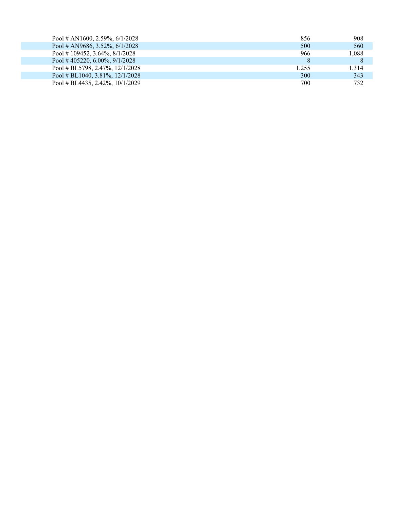| Pool # AN1600, 2.59%, $6/1/2028$  | 856   | 908   |
|-----------------------------------|-------|-------|
| Pool # AN9686, 3.52\%, $6/1/2028$ | 500   | 560   |
| Pool #109452, 3.64%, $8/1/2028$   | 966   | 1,088 |
| Pool # 405220, 6.00%, $9/1/2028$  |       | 8     |
| Pool # BL5798, 2.47%, $12/1/2028$ | 1.255 | 1.314 |
| Pool # BL1040, 3.81\%, 12/1/2028  | 300   | 343   |
| Pool # BL4435, 2.42%, $10/1/2029$ | 700   | 732   |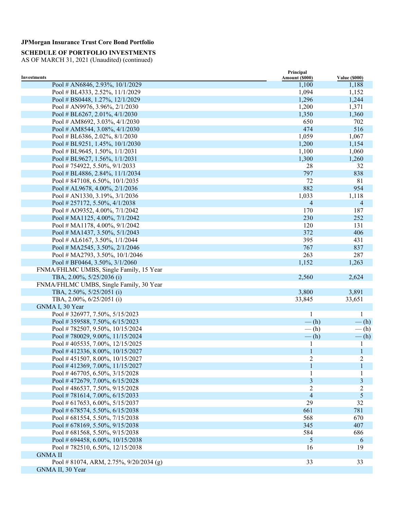**SCHEDULE OF PORTFOLIO INVESTMENTS** 

|                                           | Principal      |                      |
|-------------------------------------------|----------------|----------------------|
| <b>Investments</b>                        | Amount (\$000) | <b>Value (\$000)</b> |
| Pool # AN6846, 2.93%, 10/1/2029           | 1,100          | 1,188                |
| Pool # BL4333, 2.52%, 11/1/2029           | 1,094          | 1,152                |
| Pool # BS0448, 1.27%, 12/1/2029           | 1,296          | 1,244                |
| Pool # AN9976, 3.96%, 2/1/2030            | 1,200          | 1,371                |
| Pool # BL6267, 2.01%, $4/1/2030$          | 1,350          | 1,360                |
| Pool # AM8692, 3.03%, $4/1/2030$          | 650            | 702                  |
| Pool # AM8544, 3.08%, $4/1/2030$          | 474            | 516                  |
| Pool # BL6386, 2.02%, $8/1/2030$          | 1,059          | 1,067                |
| Pool # BL9251, 1.45%, $10/1/2030$         | 1,200          | 1,154                |
| Pool # BL9645, 1.50%, $1/1/2031$          | 1,100          | 1,060                |
| Pool # BL9627, 1.56%, $1/1/2031$          | 1,300          | 1,260                |
| Pool #754922, 5.50%, 9/1/2033             | 28             | 32                   |
| Pool # BL4886, 2.84%, 11/1/2034           | 797            | 838                  |
| Pool #847108, 6.50%, $10/1/2035$          | 72             | 81                   |
| Pool # AL9678, 4.00%, 2/1/2036            | 882            | 954                  |
| Pool # AN1330, 3.19%, 3/1/2036            | 1,033          | 1,118                |
| Pool #257172, 5.50%, 4/1/2038             | $\overline{4}$ | 4                    |
| Pool # AO9352, 4.00%, 7/1/2042            | 170            | 187                  |
| Pool # MA1125, 4.00%, 7/1/2042            | 230            | 252                  |
| Pool # MA1178, 4.00%, 9/1/2042            | 120            | 131                  |
| Pool # MA1437, 3.50%, 5/1/2043            | 372            | 406                  |
| Pool # AL6167, 3.50%, $1/1/2044$          | 395            | 431                  |
| Pool # MA2545, 3.50%, 2/1/2046            | 767            | 837                  |
| Pool # MA2793, 3.50%, 10/1/2046           | 263            | 287                  |
| Pool # BF0464, 3.50%, $3/1/2060$          | 1,152          | 1,263                |
| FNMA/FHLMC UMBS, Single Family, 15 Year   |                |                      |
| TBA, 2.00%, 5/25/2036 (i)                 | 2,560          | 2,624                |
| FNMA/FHLMC UMBS, Single Family, 30 Year   |                |                      |
| TBA, 2.50%, 5/25/2051 (i)                 | 3,800          | 3,891                |
| TBA, 2.00%, 6/25/2051 (i)                 | 33,845         | 33,651               |
| GNMA I, 30 Year                           |                |                      |
| Pool #326977, 7.50%, 5/15/2023            | 1              | 1                    |
| Pool #359588, 7.50%, 6/15/2023            | $-$ (h)        | $-\left( h\right)$   |
| Pool #782507, 9.50%, 10/15/2024           | $-$ (h)        | $-$ (h)              |
| Pool #780029, 9.00%, 11/15/2024           | $-$ (h)        | $-\left(h\right)$    |
| Pool #405535, 7.00%, 12/15/2025           | 1              | 1                    |
| Pool #412336, 8.00%, 10/15/2027           | 1              | $\mathbf{1}$         |
| Pool #451507, 8.00%, 10/15/2027           | $\overline{c}$ | $\overline{c}$       |
| Pool #412369, 7.00%, 11/15/2027           | 1              | $\mathbf{1}$         |
| Pool #467705, 6.50%, 3/15/2028            |                |                      |
| Pool #472679, 7.00%, 6/15/2028            | $\mathfrak{Z}$ | 3                    |
| Pool #486537, 7.50%, 9/15/2028            | 2              | 2                    |
| Pool #781614, 7.00%, 6/15/2033            | 4              | $\sqrt{5}$           |
| Pool # 617653, 6.00%, 5/15/2037           | 29             | 32                   |
|                                           | 661            | 781                  |
| Pool # 678574, 5.50%, 6/15/2038           |                | 670                  |
| Pool # 681554, 5.50%, 7/15/2038           | 568            |                      |
| Pool # 678169, 5.50%, 9/15/2038           | 345            | 407                  |
| Pool # 681568, 5.50%, 9/15/2038           | 584            | 686                  |
| Pool # 694458, 6.00%, 10/15/2038          | 5              | 6                    |
| Pool #782510, 6.50%, 12/15/2038           | 16             | 19                   |
| <b>GNMA II</b>                            |                |                      |
| Pool # 81074, ARM, 2.75%, $9/20/2034$ (g) | 33             | 33                   |
| GNMA II, 30 Year                          |                |                      |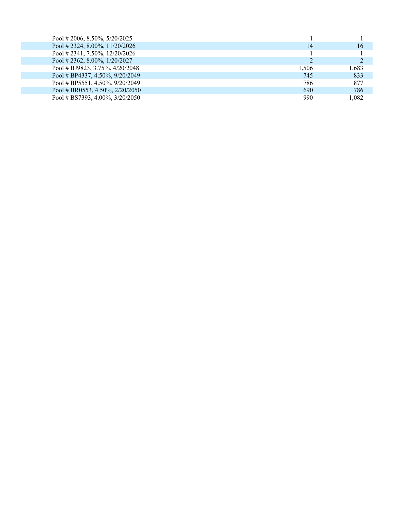| Pool # 2006, 8.50\%, 5/20/2025    |       |       |
|-----------------------------------|-------|-------|
| Pool # 2324, 8.00%, $11/20/2026$  | 14    | 16    |
| Pool # 2341, 7.50%, $12/20/2026$  |       |       |
| Pool # 2362, 8.00%, $1/20/2027$   |       |       |
| Pool # BJ9823, 3.75%, $4/20/2048$ | 1.506 | 1.683 |
| Pool # BP4337, 4.50%, $9/20/2049$ | 745   | 833   |
| Pool # BP5551, 4.50%, $9/20/2049$ | 786   | 877   |
| Pool # BR0553, 4.50%, $2/20/2050$ | 690   | 786   |
| Pool # BS7393, 4.00%, $3/20/2050$ | 990   | 1.082 |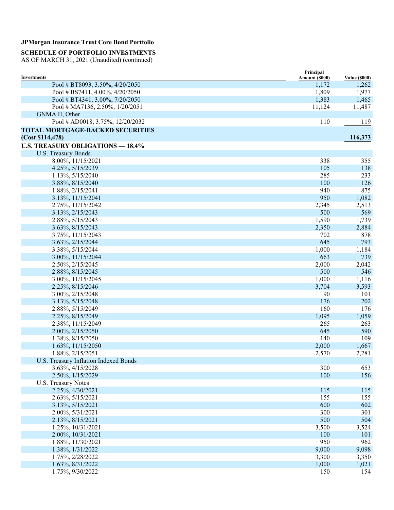### **SCHEDULE OF PORTFOLIO INVESTMENTS**

|                                                       | Principal               |                               |
|-------------------------------------------------------|-------------------------|-------------------------------|
| <b>Investments</b><br>Pool # BT8093, 3.50%, 4/20/2050 | Amount (\$000)<br>1,172 | <b>Value (\$000)</b><br>1,262 |
| Pool # BS7411, 4.00%, 4/20/2050                       | 1,809                   | 1,977                         |
| Pool # BT4341, 3.00%, 7/20/2050                       |                         |                               |
|                                                       | 1,383<br>11,124         | 1,465                         |
| Pool # MA7136, 2.50%, 1/20/2051                       |                         | 11,487                        |
| GNMA II, Other                                        | 110                     |                               |
| Pool # AD0018, 3.75%, 12/20/2032                      |                         | 119                           |
| <b>TOTAL MORTGAGE-BACKED SECURITIES</b>               |                         |                               |
| (Cost \$114,478)                                      |                         | 116,373                       |
| <b>U.S. TREASURY OBLIGATIONS - 18.4%</b>              |                         |                               |
| <b>U.S. Treasury Bonds</b>                            |                         |                               |
| 8.00%, 11/15/2021                                     | 338                     | 355                           |
| 4.25%, 5/15/2039                                      | 105                     | 138                           |
| 1.13%, 5/15/2040                                      | 285                     | 233                           |
| 3.88%, 8/15/2040                                      | 100                     | 126                           |
| 1.88%, 2/15/2041                                      | 940                     | 875                           |
| 3.13%, 11/15/2041                                     | 950                     | 1,082                         |
| 2.75%, 11/15/2042                                     | 2,345                   | 2,513                         |
| 3.13%, 2/15/2043                                      | 500                     | 569                           |
| 2.88%, 5/15/2043                                      | 1,590                   | 1,739                         |
| 3.63%, 8/15/2043                                      | 2,350                   | 2,884                         |
| 3.75%, 11/15/2043                                     | 702                     | 878                           |
| 3.63%, 2/15/2044                                      | 645                     | 793                           |
| 3.38%, 5/15/2044                                      | 1,000                   | 1,184                         |
| 3.00%, 11/15/2044                                     | 663                     | 739                           |
| 2.50%, 2/15/2045                                      | 2,000                   | 2,042                         |
| 2.88%, 8/15/2045                                      | 500                     | 546                           |
| 3.00%, 11/15/2045                                     | 1,000                   | 1,116                         |
| 2.25%, 8/15/2046                                      | 3,704                   | 3,593                         |
| 3.00%, 2/15/2048                                      | 90                      | 101                           |
| 3.13%, 5/15/2048                                      | 176                     | 202                           |
| 2.88%, 5/15/2049                                      | 160                     | 176                           |
| 2.25%, 8/15/2049                                      | 1,095                   | 1,059                         |
| 2.38%, 11/15/2049                                     | 265                     | 263                           |
| 2.00%, 2/15/2050                                      | 645                     | 590                           |
| 1.38%, 8/15/2050                                      | 140                     | 109                           |
| 1.63%, 11/15/2050                                     | 2,000                   | 1,667                         |
| 1.88%, 2/15/2051                                      | 2,570                   | 2,281                         |
| U.S. Treasury Inflation Indexed Bonds                 |                         |                               |
| 3.63%, 4/15/2028                                      | 300                     | 653                           |
| 2.50%, 1/15/2029                                      | 100                     | 156                           |
| <b>U.S. Treasury Notes</b>                            |                         |                               |
| 2.25%, 4/30/2021                                      | 115                     | 115                           |
| 2.63%, 5/15/2021                                      | 155                     | 155                           |
| 3.13%, 5/15/2021                                      | 600                     | 602                           |
| 2.00%, 5/31/2021                                      | 300                     | 301                           |
| 2.13%, 8/15/2021                                      | 500                     | 504                           |
| 1.25%, 10/31/2021                                     | 3,500                   | 3,524                         |
| 2.00%, 10/31/2021                                     | 100                     | 101                           |
| 1.88%, 11/30/2021                                     | 950                     | 962                           |
| 1.38%, 1/31/2022                                      | 9,000                   | 9,098                         |
| 1.75%, 2/28/2022                                      | 3,300                   | 3,350                         |
| 1.63%, 8/31/2022                                      | 1,000                   | 1,021                         |
| 1.75%, 9/30/2022                                      | 150                     | 154                           |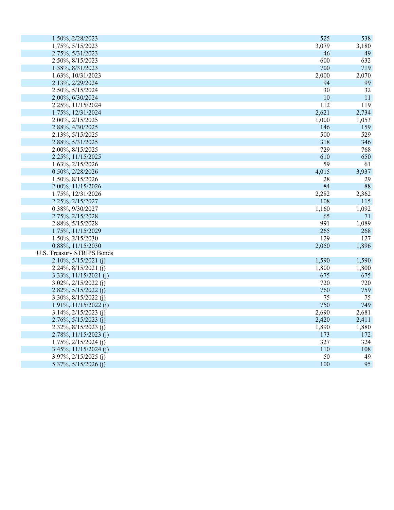| 1.50%, 2/28/2023                  | 525        | 538   |
|-----------------------------------|------------|-------|
| 1.75%, 5/15/2023                  | 3,079      | 3,180 |
| 2.75%, 5/31/2023                  | 46         | 49    |
| 2.50%, 8/15/2023                  | 600        | 632   |
| 1.38%, 8/31/2023                  | 700        | 719   |
| 1.63%, 10/31/2023                 | 2,000      | 2,070 |
| 2.13%, 2/29/2024                  | 94         | 99    |
| 2.50%, 5/15/2024                  | 30         | 32    |
| 2.00%, 6/30/2024                  | 10         | 11    |
| 2.25%, 11/15/2024                 | 112        | 119   |
| 1.75%, 12/31/2024                 | 2,621      | 2,734 |
| 2.00%, 2/15/2025                  | 1,000      | 1,053 |
| 2.88%, 4/30/2025                  | 146        | 159   |
| 2.13%, 5/15/2025                  | 500        | 529   |
| 2.88%, 5/31/2025                  | 318        | 346   |
| 2.00%, 8/15/2025                  | 729        | 768   |
| 2.25%, 11/15/2025                 | 610        | 650   |
| 1.63%, 2/15/2026                  | 59         | 61    |
| 0.50%, 2/28/2026                  | 4,015      | 3,937 |
| 1.50%, 8/15/2026                  | 28         | 29    |
| 2.00%, 11/15/2026                 | 84         | 88    |
| 1.75%, 12/31/2026                 | 2,282      | 2,362 |
| 2.25%, 2/15/2027                  | 108        | 115   |
| 0.38%, 9/30/2027                  | 1,160      | 1,092 |
| 2.75%, 2/15/2028                  | 65         | 71    |
| 2.88%, 5/15/2028                  | 991        | 1,089 |
| 1.75%, 11/15/2029                 | 265        | 268   |
| 1.50%, 2/15/2030                  | 129        | 127   |
| 0.88%, 11/15/2030                 | 2,050      | 1,896 |
| <b>U.S. Treasury STRIPS Bonds</b> |            |       |
| $2.10\%, 5/15/2021$ (j)           | 1,590      | 1,590 |
| $2.24\%, 8/15/2021$ (j)           | 1,800      | 1,800 |
| $3.33\%, 11/15/2021$ (j)          | 675        | 675   |
| $3.02\%, 2/15/2022$ (j)           | 720        | 720   |
| $2.82\%, 5/15/2022$ (j)           | 760        | 759   |
| 3.30%, $8/15/2022$ (j)            | 75         | 75    |
| $1.91\%, 11/15/2022$ (j)          | 750        | 749   |
| $3.14\%, 2/15/2023$ (j)           | 2,690      | 2,681 |
| $2.76\%, 5/15/2023$ (j)           | 2,420      | 2,411 |
| $2.32\%, 8/15/2023$ (j)           | 1,890      | 1,880 |
| $2.78\%, 11/15/2023$ (j)          | 173        | 172   |
| $1.75\%, 2/15/2024$ (j)           | 327        | 324   |
| $3.45\%, 11/15/2024$ (j)          | <b>110</b> | 108   |
| 3.97%, 2/15/2025 (j)              | 50         | 49    |
| 5.37%, $5/15/2026$ (j)            | 100        | 95    |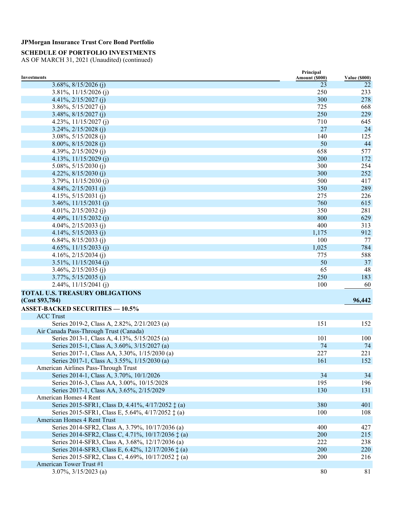### **SCHEDULE OF PORTFOLIO INVESTMENTS**

|                                                             | Principal      |                      |
|-------------------------------------------------------------|----------------|----------------------|
| <b>Investments</b>                                          | Amount (\$000) | <b>Value (\$000)</b> |
| $3.68\%, 8/15/2026$ (j)                                     | 23             | 22                   |
| 3.81%, 11/15/2026 (j)                                       | 250            | 233                  |
| 4.41%, $2/15/2027$ (j)                                      | 300            | 278                  |
| $3.86\%, 5/15/2027$ (i)                                     | 725            | 668                  |
| $3.48\%, 8/15/2027$ (j)                                     | 250            | 229                  |
| 4.23%, $11/15/2027$ (j)                                     | 710            | 645                  |
| $3.24\%, 2/15/2028$ (j)                                     | 27             | 24                   |
| $3.08\%, 5/15/2028$ (j)                                     | 140            | 125                  |
| $8.00\%, 8/15/2028$ (j)                                     | 50             | 44                   |
| 4.39%, $2/15/2029$ (j)                                      | 658            | 577                  |
| 4.13%, $11/15/2029$ (j)                                     | 200            | 172                  |
| 5.08%, $5/15/2030$ (j)                                      | 300            | 254                  |
| 4.22%, $8/15/2030$ (j)                                      | 300            | 252                  |
| $3.79\%, 11/15/2030$ (j)                                    | 500            | 417                  |
| 4.84%, $2/15/2031$ (j)                                      | 350            | 289                  |
| 4.15%, $5/15/2031$ (j)                                      | 275            | 226                  |
| $3.46\%, 11/15/2031$ (j)                                    | 760            | 615                  |
| 4.01%, $2/15/2032$ (j)                                      | 350            | 281                  |
| 4.49%, $11/15/2032$ (j)                                     | 800            | 629                  |
| 4.04%, $2/15/2033$ (j)                                      | 400            | 313                  |
| 4.14%, $5/15/2033$ (j)                                      | 1,175          | 912                  |
| 6.84%, $8/15/2033$ (j)                                      | 100            | 77                   |
| 4.65%, $11/15/2033$ (j)                                     | 1,025          | 784                  |
| 4.16\%, 2/15/2034 (j)                                       | 775            | 588                  |
| $3.51\%, 11/15/2034$ (j)                                    | 50             | 37                   |
| $3.46\%, 2/15/2035$ (j)                                     | 65             | 48                   |
| $3.77\%, 5/15/2035$ (j)                                     | 250            | 183                  |
| 2.44%, 11/15/2041 (j)                                       | 100            | 60                   |
|                                                             |                |                      |
| <b>TOTAL U.S. TREASURY OBLIGATIONS</b>                      |                |                      |
| (Cost \$93,784)                                             |                | 96,442               |
| <b>ASSET-BACKED SECURITIES - 10.5%</b>                      |                |                      |
| <b>ACC Trust</b>                                            |                |                      |
| Series 2019-2, Class A, 2.82%, 2/21/2023 (a)                | 151            | 152                  |
| Air Canada Pass-Through Trust (Canada)                      |                |                      |
| Series 2013-1, Class A, 4.13%, 5/15/2025 (a)                | 101            | 100                  |
| Series 2015-1, Class A, 3.60%, 3/15/2027 (a)                | 74             | 74                   |
| Series 2017-1, Class AA, 3.30%, 1/15/2030 (a)               | 227            | 221                  |
| Series 2017-1, Class A, 3.55%, 1/15/2030 (a)                | 161            | 152                  |
| American Airlines Pass-Through Trust                        |                |                      |
| Series 2014-1, Class A, 3.70%, 10/1/2026                    | 34             | 34                   |
| Series 2016-3, Class AA, 3.00%, 10/15/2028                  | 195            | 196                  |
| Series 2017-1, Class AA, 3.65%, 2/15/2029                   | 130            | 131                  |
| American Homes 4 Rent                                       |                |                      |
| Series 2015-SFR1, Class D, 4.41%, 4/17/2052 $\ddagger$ (a)  | 380            | 401                  |
| Series 2015-SFR1, Class E, 5.64%, 4/17/2052 ‡ (a)           | 100            | 108                  |
| American Homes 4 Rent Trust                                 |                |                      |
| Series 2014-SFR2, Class A, 3.79%, 10/17/2036 (a)            | 400            | 427                  |
| Series 2014-SFR2, Class C, 4.71%, 10/17/2036 $\ddagger$ (a) | 200            | 215                  |
| Series 2014-SFR3, Class A, 3.68%, 12/17/2036 (a)            | 222            | 238                  |
| Series 2014-SFR3, Class E, 6.42%, 12/17/2036 ‡ (a)          | 200            | 220                  |
| Series 2015-SFR2, Class C, 4.69%, 10/17/2052 ‡ (a)          | 200            | 216                  |
| American Tower Trust #1                                     |                |                      |
|                                                             |                |                      |
| $3.07\%, 3/15/2023$ (a)                                     | 80             | 81                   |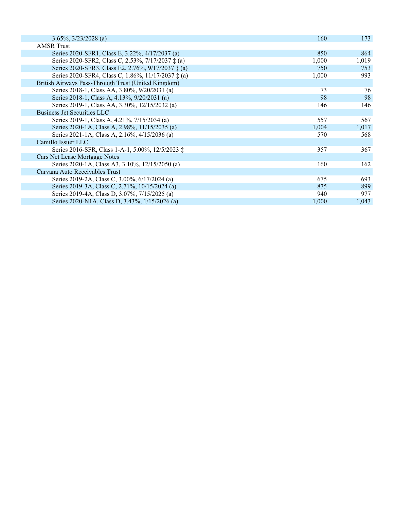| $3.65\%, \frac{3}{23}/2028$ (a)                             | 160   | 173   |
|-------------------------------------------------------------|-------|-------|
| <b>AMSR Trust</b>                                           |       |       |
| Series 2020-SFR1, Class E, 3.22%, 4/17/2037 (a)             | 850   | 864   |
| Series 2020-SFR2, Class C, 2.53%, 7/17/2037 ‡ (a)           | 1,000 | 1,019 |
| Series 2020-SFR3, Class E2, 2.76%, 9/17/2037 ‡ (a)          | 750   | 753   |
| Series 2020-SFR4, Class C, 1.86%, 11/17/2037 $\ddagger$ (a) | 1,000 | 993   |
| British Airways Pass-Through Trust (United Kingdom)         |       |       |
| Series 2018-1, Class AA, 3.80%, 9/20/2031 (a)               | 73    | 76    |
| Series 2018-1, Class A, 4.13%, 9/20/2031 (a)                | 98    | 98    |
| Series 2019-1, Class AA, 3.30%, 12/15/2032 (a)              | 146   | 146   |
| <b>Business Jet Securities LLC</b>                          |       |       |
| Series 2019-1, Class A, 4.21%, 7/15/2034 (a)                | 557   | 567   |
| Series 2020-1A, Class A, 2.98%, 11/15/2035 (a)              | 1,004 | 1,017 |
| Series 2021-1A, Class A, 2.16%, 4/15/2036 (a)               | 570   | 568   |
| Camillo Issuer LLC                                          |       |       |
| Series 2016-SFR, Class 1-A-1, 5.00%, 12/5/2023 ‡            | 357   | 367   |
| Cars Net Lease Mortgage Notes                               |       |       |
| Series 2020-1A, Class A3, 3.10%, 12/15/2050 (a)             | 160   | 162   |
| Carvana Auto Receivables Trust                              |       |       |
| Series 2019-2A, Class C, 3.00%, 6/17/2024 (a)               | 675   | 693   |
| Series 2019-3A, Class C, 2.71%, 10/15/2024 (a)              | 875   | 899   |
| Series 2019-4A, Class D, 3.07%, 7/15/2025 (a)               | 940   | 977   |
| Series 2020-N1A, Class D, 3.43%, 1/15/2026 (a)              | 1,000 | 1,043 |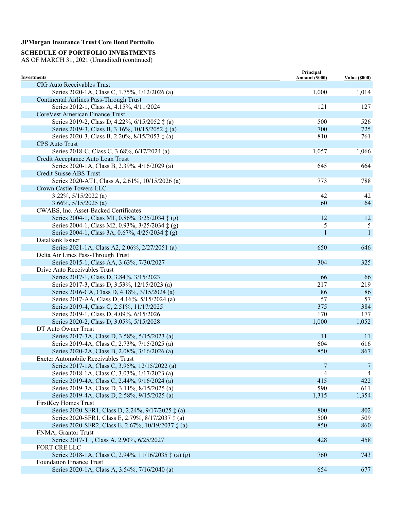### **SCHEDULE OF PORTFOLIO INVESTMENTS**

| Investments                                                   | Principal<br>Amount (\$000) | <b>Value (\$000)</b> |
|---------------------------------------------------------------|-----------------------------|----------------------|
| CIG Auto Receivables Trust                                    |                             |                      |
| Series 2020-1A, Class C, 1.75%, 1/12/2026 (a)                 | 1,000                       | 1,014                |
| Continental Airlines Pass-Through Trust                       |                             |                      |
| Series 2012-1, Class A, 4.15%, 4/11/2024                      | 121                         | 127                  |
| CoreVest American Finance Trust                               |                             |                      |
| Series 2019-2, Class D, 4.22%, 6/15/2052 ‡ (a)                | 500                         | 526                  |
| Series 2019-3, Class B, 3.16%, 10/15/2052 ‡ (a)               | 700                         | 725                  |
| Series 2020-3, Class B, 2.20%, 8/15/2053 $\ddagger$ (a)       | 810                         | 761                  |
| <b>CPS</b> Auto Trust                                         |                             |                      |
| Series 2018-C, Class C, 3.68%, 6/17/2024 (a)                  | 1,057                       | 1,066                |
| Credit Acceptance Auto Loan Trust                             |                             |                      |
| Series 2020-1A, Class B, 2.39%, 4/16/2029 (a)                 | 645                         | 664                  |
| Credit Suisse ABS Trust                                       |                             |                      |
| Series 2020-AT1, Class A, 2.61%, 10/15/2026 (a)               | 773                         | 788                  |
| Crown Castle Towers LLC                                       |                             |                      |
| $3.22\%, 5/15/2022$ (a)                                       | 42                          | 42                   |
| $3.66\%, 5/15/2025$ (a)                                       | 60                          | 64                   |
| CWABS, Inc. Asset-Backed Certificates                         |                             |                      |
| Series 2004-1, Class M1, 0.86%, 3/25/2034 ‡ (g)               | 12                          | 12                   |
| Series 2004-1, Class M2, 0.93%, 3/25/2034 ‡ (g)               | 5                           | 5                    |
| Series 2004-1, Class 3A, 0.67%, 4/25/2034 ‡ (g)               | $\mathbf{1}$                | $\mathbf{1}$         |
| DataBank Issuer                                               |                             |                      |
| Series 2021-1A, Class A2, 2.06%, 2/27/2051 (a)                | 650                         | 646                  |
|                                                               |                             |                      |
| Delta Air Lines Pass-Through Trust                            |                             |                      |
| Series 2015-1, Class AA, 3.63%, 7/30/2027                     | 304                         | 325                  |
| Drive Auto Receivables Trust                                  |                             |                      |
| Series 2017-1, Class D, 3.84%, 3/15/2023                      | 66                          | 66                   |
| Series 2017-3, Class D, 3.53%, 12/15/2023 (a)                 | 217                         | 219                  |
| Series 2016-CA, Class D, 4.18%, 3/15/2024 (a)                 | 86                          | 86                   |
| Series 2017-AA, Class D, 4.16%, 5/15/2024 (a)                 | 57                          | 57                   |
| Series 2019-4, Class C, 2.51%, 11/17/2025                     | 375                         | 384                  |
| Series 2019-1, Class D, 4.09%, 6/15/2026                      | 170                         | 177                  |
| Series 2020-2, Class D, 3.05%, 5/15/2028                      | 1,000                       | 1,052                |
| DT Auto Owner Trust                                           |                             |                      |
| Series 2017-3A, Class D, 3.58%, 5/15/2023 (a)                 | 11                          | 11                   |
| Series 2019-4A, Class C, 2.73%, 7/15/2025 (a)                 | 604                         | 616                  |
| Series 2020-2A, Class B, 2.08%, 3/16/2026 (a)                 | 850                         | 867                  |
| Exeter Automobile Receivables Trust                           |                             |                      |
| Series 2017-1A, Class C, 3.95%, 12/15/2022 (a)                | $\overline{7}$              | 7                    |
| Series 2018-1A, Class C, 3.03%, 1/17/2023 (a)                 | $\overline{4}$              | 4                    |
| Series 2019-4A, Class C, 2.44%, 9/16/2024 (a)                 | 415                         | 422                  |
| Series 2019-3A, Class D, 3.11%, 8/15/2025 (a)                 | 590                         | 611                  |
| Series 2019-4A, Class D, 2.58%, 9/15/2025 (a)                 | 1,315                       | 1,354                |
| FirstKey Homes Trust                                          |                             |                      |
| Series 2020-SFR1, Class D, 2.24%, 9/17/2025 ‡ (a)             | 800                         | 802                  |
| Series 2020-SFR1, Class E, 2.79%, 8/17/2037 ‡ (a)             | 500                         | 509                  |
| Series 2020-SFR2, Class E, 2.67%, 10/19/2037 ± (a)            | 850                         | 860                  |
| FNMA, Grantor Trust                                           |                             |                      |
| Series 2017-T1, Class A, 2.90%, 6/25/2027                     | 428                         | 458                  |
| FORT CRE LLC                                                  |                             |                      |
| Series 2018-1A, Class C, 2.94%, 11/16/2035 $\ddagger$ (a) (g) | 760                         | 743                  |
| <b>Foundation Finance Trust</b>                               |                             |                      |
|                                                               |                             |                      |
| Series 2020-1A, Class A, 3.54%, 7/16/2040 (a)                 | 654                         | 677                  |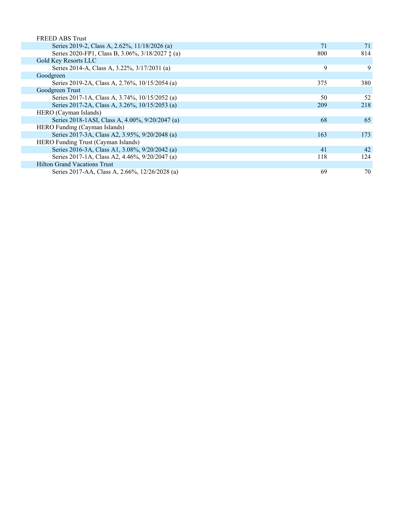| 71  | 71  |
|-----|-----|
| 800 | 814 |
|     |     |
| 9   | 9   |
|     |     |
| 375 | 380 |
|     |     |
| 50  | 52  |
| 209 | 218 |
|     |     |
| 68  | 65  |
|     |     |
| 163 | 173 |
|     |     |
| 41  | 42  |
| 118 | 124 |
|     |     |
| 69  | 70  |
|     |     |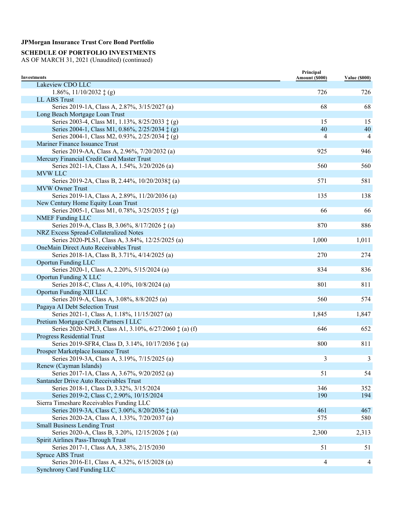# **SCHEDULE OF PORTFOLIO INVESTMENTS**

| <b>Investments</b>                                              | Principal<br>Amount (\$000) | <b>Value (\$000)</b> |
|-----------------------------------------------------------------|-----------------------------|----------------------|
| Lakeview CDO LLC                                                |                             |                      |
| $1.86\%, 11/10/2032 \ddagger (g)$                               | 726                         | 726                  |
| LL ABS Trust                                                    |                             |                      |
| Series 2019-1A, Class A, 2.87%, 3/15/2027 (a)                   | 68                          | 68                   |
| Long Beach Mortgage Loan Trust                                  |                             |                      |
| Series 2003-4, Class M1, 1.13%, 8/25/2033 ‡ (g)                 | 15                          | 15                   |
| Series 2004-1, Class M1, 0.86%, 2/25/2034 ‡ (g)                 | 40                          | 40                   |
| Series 2004-1, Class M2, 0.93%, 2/25/2034 ‡ (g)                 | 4                           | 4                    |
| Mariner Finance Issuance Trust                                  |                             |                      |
| Series 2019-AA, Class A, 2.96%, 7/20/2032 (a)                   | 925                         | 946                  |
| Mercury Financial Credit Card Master Trust                      |                             |                      |
| Series 2021-1A, Class A, 1.54%, 3/20/2026 (a)                   | 560                         | 560                  |
| <b>MVW LLC</b>                                                  |                             |                      |
| Series 2019-2A, Class B, 2.44%, 10/20/2038‡ (a)                 | 571                         | 581                  |
| <b>MVW Owner Trust</b>                                          |                             |                      |
| Series 2019-1A, Class A, 2.89%, 11/20/2036 (a)                  | 135                         | 138                  |
| New Century Home Equity Loan Trust                              |                             |                      |
| Series 2005-1, Class M1, 0.78%, 3/25/2035 ‡ (g)                 | 66                          | 66                   |
| <b>NMEF</b> Funding LLC                                         |                             |                      |
| Series 2019-A, Class B, 3.06%, 8/17/2026 $\ddagger$ (a)         | 870                         | 886                  |
| NRZ Excess Spread-Collateralized Notes                          |                             |                      |
| Series 2020-PLS1, Class A, 3.84%, 12/25/2025 (a)                | 1,000                       | 1,011                |
| <b>OneMain Direct Auto Receivables Trust</b>                    |                             |                      |
| Series 2018-1A, Class B, 3.71%, 4/14/2025 (a)                   | 270                         | 274                  |
| <b>Oportun Funding LLC</b>                                      |                             |                      |
| Series 2020-1, Class A, 2.20%, 5/15/2024 (a)                    | 834                         | 836                  |
| Oportun Funding X LLC                                           |                             |                      |
| Series 2018-C, Class A, 4.10%, 10/8/2024 (a)                    | 801                         | 811                  |
| Oportun Funding XIII LLC                                        |                             |                      |
|                                                                 | 560                         | 574                  |
| Series 2019-A, Class A, 3.08%, 8/8/2025 (a)                     |                             |                      |
| Pagaya AI Debt Selection Trust                                  | 1,845                       |                      |
| Series 2021-1, Class A, 1.18%, 11/15/2027 (a)                   |                             | 1,847                |
| Pretium Mortgage Credit Partners I LLC                          |                             |                      |
| Series 2020-NPL3, Class A1, 3.10%, 6/27/2060 $\ddagger$ (a) (f) | 646                         | 652                  |
| Progress Residential Trust                                      |                             |                      |
| Series 2019-SFR4, Class D, 3.14%, 10/17/2036 ‡ (a)              | 800                         | 811                  |
| Prosper Marketplace Issuance Trust                              |                             |                      |
| Series 2019-3A, Class A, 3.19%, 7/15/2025 (a)                   | 3                           | $\mathbf{3}$         |
| Renew (Cayman Islands)                                          |                             |                      |
| Series 2017-1A, Class A, 3.67%, 9/20/2052 (a)                   | 51                          | 54                   |
| Santander Drive Auto Receivables Trust                          |                             |                      |
| Series 2018-1, Class D, 3.32%, 3/15/2024                        | 346                         | 352                  |
| Series 2019-2, Class C, 2.90%, 10/15/2024                       | 190                         | 194                  |
| Sierra Timeshare Receivables Funding LLC                        |                             |                      |
| Series 2019-3A, Class C, 3.00%, 8/20/2036 ‡ (a)                 | 461                         | 467                  |
| Series 2020-2A, Class A, 1.33%, 7/20/2037 (a)                   | 575                         | 580                  |
| <b>Small Business Lending Trust</b>                             |                             |                      |
| Series 2020-A, Class B, 3.20%, 12/15/2026 ‡ (a)                 | 2,300                       | 2,313                |
| Spirit Airlines Pass-Through Trust                              |                             |                      |
| Series 2017-1, Class AA, 3.38%, 2/15/2030                       | 51                          | 51                   |
| Spruce ABS Trust                                                |                             |                      |
| Series 2016-E1, Class A, 4.32%, 6/15/2028 (a)                   | 4                           | $\overline{4}$       |
| Synchrony Card Funding LLC                                      |                             |                      |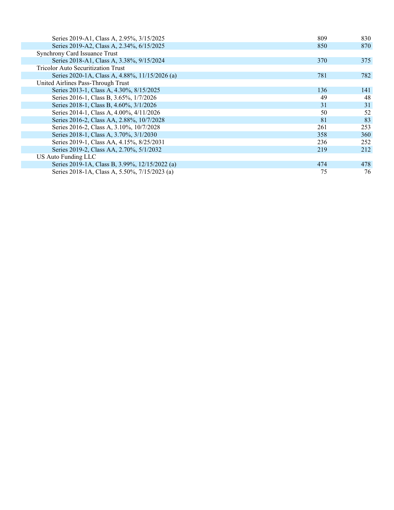| Series 2019-A1, Class A, 2.95%, 3/15/2025      | 809 | 830 |
|------------------------------------------------|-----|-----|
| Series 2019-A2, Class A, 2.34%, 6/15/2025      | 850 | 870 |
| Synchrony Card Issuance Trust                  |     |     |
| Series 2018-A1, Class A, 3.38%, 9/15/2024      | 370 | 375 |
| <b>Tricolor Auto Securitization Trust</b>      |     |     |
| Series 2020-1A, Class A, 4.88%, 11/15/2026 (a) | 781 | 782 |
| United Airlines Pass-Through Trust             |     |     |
| Series 2013-1, Class A, 4.30%, 8/15/2025       | 136 | 141 |
| Series 2016-1, Class B, 3.65%, 1/7/2026        | 49  | 48  |
| Series 2018-1, Class B, 4.60%, 3/1/2026        | 31  | 31  |
| Series 2014-1, Class A, 4.00%, 4/11/2026       | 50  | 52  |
| Series 2016-2, Class AA, 2.88%, 10/7/2028      | 81  | 83  |
| Series 2016-2, Class A, 3.10%, 10/7/2028       | 261 | 253 |
| Series 2018-1, Class A, 3.70%, 3/1/2030        | 358 | 360 |
| Series 2019-1, Class AA, 4.15%, 8/25/2031      | 236 | 252 |
| Series 2019-2, Class AA, 2.70%, 5/1/2032       | 219 | 212 |
| <b>US Auto Funding LLC</b>                     |     |     |
| Series 2019-1A, Class B, 3.99%, 12/15/2022 (a) | 474 | 478 |
| Series 2018-1A, Class A, 5.50%, 7/15/2023 (a)  | 75  | 76  |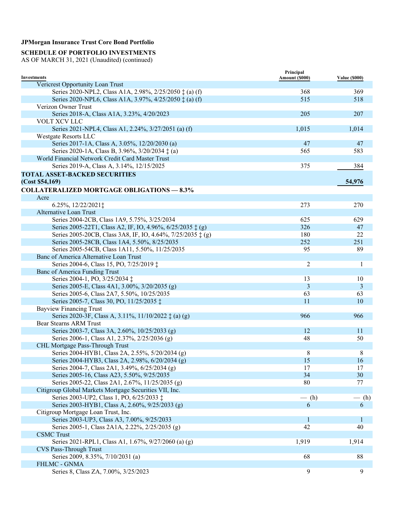### **SCHEDULE OF PORTFOLIO INVESTMENTS**

| <b>Investments</b>                                               | Principal<br>Amount (\$000) | <b>Value (\$000)</b> |
|------------------------------------------------------------------|-----------------------------|----------------------|
| Vericrest Opportunity Loan Trust                                 |                             |                      |
| Series 2020-NPL2, Class A1A, 2.98%, 2/25/2050 $\ddagger$ (a) (f) | 368                         | 369                  |
| Series 2020-NPL6, Class A1A, 3.97%, 4/25/2050 $\ddagger$ (a) (f) | 515                         | 518                  |
| Verizon Owner Trust                                              |                             |                      |
| Series 2018-A, Class A1A, 3.23%, 4/20/2023                       | 205                         | 207                  |
|                                                                  |                             |                      |
| VOLT XCV LLC                                                     |                             |                      |
| Series 2021-NPL4, Class A1, 2.24%, 3/27/2051 (a) (f)             | 1,015                       | 1,014                |
| <b>Westgate Resorts LLC</b>                                      |                             |                      |
| Series 2017-1A, Class A, 3.05%, 12/20/2030 (a)                   | 47                          | 47                   |
| Series 2020-1A, Class B, 3.96%, 3/20/2034 $\ddagger$ (a)         | 565                         | 583                  |
| World Financial Network Credit Card Master Trust                 |                             |                      |
| Series 2019-A, Class A, 3.14%, 12/15/2025                        | 375                         | 384                  |
| <b>TOTAL ASSET-BACKED SECURITIES</b>                             |                             |                      |
| (Cost \$54,169)                                                  |                             | 54,976               |
| <b>COLLATERALIZED MORTGAGE OBLIGATIONS - 8.3%</b>                |                             |                      |
| Acre                                                             |                             |                      |
| 6.25%, 12/22/2021;                                               | 273                         | 270                  |
| Alternative Loan Trust                                           |                             |                      |
| Series 2004-2CB, Class 1A9, 5.75%, 3/25/2034                     | 625                         | 629                  |
|                                                                  | 326                         |                      |
| Series 2005-22T1, Class A2, IF, IO, 4.96%, 6/25/2035 ‡ (g)       |                             | 47                   |
| Series 2005-20CB, Class 3A8, IF, IO, 4.64%, 7/25/2035 ‡ (g)      | 180                         | 22                   |
| Series 2005-28CB, Class 1A4, 5.50%, 8/25/2035                    | 252                         | 251                  |
| Series 2005-54CB, Class 1A11, 5.50%, 11/25/2035                  | 95                          | 89                   |
| Banc of America Alternative Loan Trust                           |                             |                      |
| Series 2004-6, Class 15, PO, 7/25/2019 ‡                         | 2                           | 1                    |
| <b>Banc of America Funding Trust</b>                             |                             |                      |
| Series 2004-1, PO, 3/25/2034 ‡                                   | 13                          | 10                   |
| Series 2005-E, Class 4A1, 3.00%, 3/20/2035 (g)                   | 3                           | 3                    |
| Series 2005-6, Class 2A7, 5.50%, 10/25/2035                      | 63                          | 63                   |
| Series 2005-7, Class 30, PO, 11/25/2035 ‡                        | 11                          | 10                   |
| <b>Bayview Financing Trust</b>                                   |                             |                      |
| Series 2020-3F, Class A, 3.11%, 11/10/2022 ‡ (a) (g)             | 966                         | 966                  |
| Bear Stearns ARM Trust                                           |                             |                      |
| Series 2003-7, Class 3A, 2.60%, 10/25/2033 (g)                   | 12                          | 11                   |
| Series 2006-1, Class A1, 2.37%, 2/25/2036 (g)                    | 48                          | 50                   |
| CHL Mortgage Pass-Through Trust                                  |                             |                      |
| Series 2004-HYB1, Class 2A, 2.55%, 5/20/2034 (g)                 | 8                           | 8                    |
| Series 2004-HYB3, Class 2A, 2.98%, 6/20/2034 (g)                 | 15                          | 16                   |
| Series 2004-7, Class 2A1, 3.49%, 6/25/2034 (g)                   | 17                          | 17                   |
| Series 2005-16, Class A23, 5.50%, 9/25/2035                      | 34                          | 30                   |
|                                                                  |                             |                      |
| Series 2005-22, Class 2A1, 2.67%, 11/25/2035 (g)                 | 80                          | 77                   |
| Citigroup Global Markets Mortgage Securities VII, Inc.           |                             |                      |
| Series 2003-UP2, Class 1, PO, 6/25/2033 ‡                        | $-$ (h)                     | $-$ (h)              |
| Series 2003-HYB1, Class A, 2.60%, 9/25/2033 (g)                  | 6                           | 6                    |
| Citigroup Mortgage Loan Trust, Inc.                              |                             |                      |
| Series 2003-UP3, Class A3, 7.00%, 9/25/2033                      | 1                           | 1                    |
| Series 2005-1, Class 2A1A, 2.22%, 2/25/2035 (g)                  | 42                          | 40                   |
| <b>CSMC</b> Trust                                                |                             |                      |
| Series 2021-RPL1, Class A1, 1.67%, 9/27/2060 (a) (g)             | 1,919                       | 1,914                |
| <b>CVS Pass-Through Trust</b>                                    |                             |                      |
| Series 2009, 8.35%, 7/10/2031 (a)                                | 68                          | 88                   |
| FHLMC - GNMA                                                     |                             |                      |
| Series 8, Class ZA, 7.00%, 3/25/2023                             | 9                           | 9                    |
|                                                                  |                             |                      |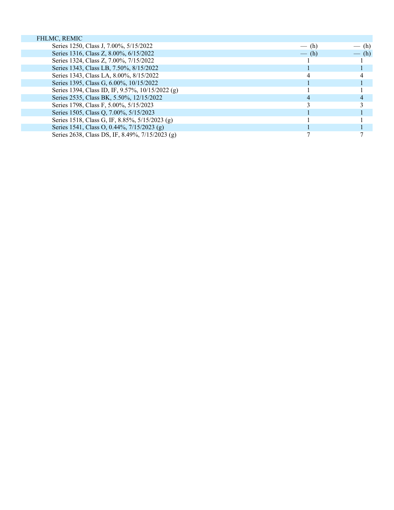| FHLMC, REMIC                                     |         |         |
|--------------------------------------------------|---------|---------|
| Series 1250, Class J, 7.00%, 5/15/2022           | $-$ (h) | $-$ (h) |
| Series 1316, Class Z, 8.00%, 6/15/2022           | $-$ (h) | $-$ (h) |
| Series 1324, Class Z, 7.00%, 7/15/2022           |         |         |
| Series 1343, Class LB, 7.50%, 8/15/2022          |         |         |
| Series 1343, Class LA, 8.00%, 8/15/2022          |         |         |
| Series 1395, Class G, 6.00%, 10/15/2022          |         |         |
| Series 1394, Class ID, IF, 9.57%, 10/15/2022 (g) |         |         |
| Series 2535, Class BK, 5.50%, 12/15/2022         |         |         |
| Series 1798, Class F, 5.00%, 5/15/2023           |         |         |
| Series 1505, Class Q, 7.00%, 5/15/2023           |         |         |
| Series 1518, Class G, IF, 8.85%, 5/15/2023 (g)   |         |         |
| Series 1541, Class O, 0.44%, 7/15/2023 (g)       |         |         |
| Series 2638, Class DS, IF, 8.49%, 7/15/2023 (g)  |         |         |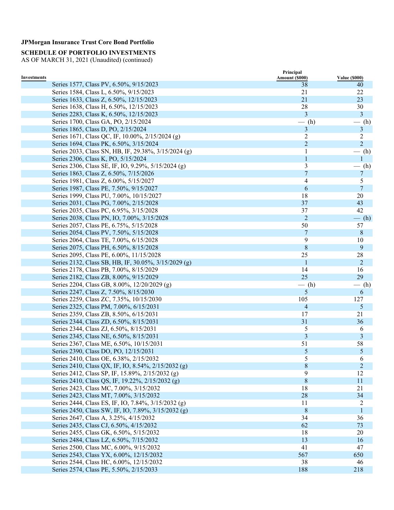**SCHEDULE OF PORTFOLIO INVESTMENTS** 

|             |                                                      | Principal      |                      |
|-------------|------------------------------------------------------|----------------|----------------------|
| Investments |                                                      | Amount (\$000) | <b>Value (\$000)</b> |
|             | Series 1577, Class PV, 6.50%, 9/15/2023              | 38             | 40                   |
|             | Series 1584, Class L, 6.50%, 9/15/2023               | 21             | 22                   |
|             | Series 1633, Class Z, 6.50%, 12/15/2023              | 21             | 23                   |
|             | Series 1638, Class H, 6.50%, 12/15/2023              | 28             | 30                   |
|             | Series 2283, Class K, 6.50%, 12/15/2023              | 3              | 3                    |
|             | Series 1700, Class GA, PO, 2/15/2024                 | $-$ (h)        | $-$ (h)              |
|             | Series 1865, Class D, PO, 2/15/2024                  | 3              | $\mathbf{3}$         |
|             | Series 1671, Class QC, IF, 10.00%, 2/15/2024 (g)     | 2              | $\overline{c}$       |
|             | Series 1694, Class PK, 6.50%, 3/15/2024              | $\overline{2}$ | $\overline{2}$       |
|             | Series 2033, Class SN, HB, IF, 29.38%, 3/15/2024 (g) | 1              | $-$ (h)              |
|             | Series 2306, Class K, PO, 5/15/2024                  | $\mathbf{1}$   |                      |
|             | Series 2306, Class SE, IF, IO, 9.29%, 5/15/2024 (g)  | $\mathfrak{Z}$ | (h)                  |
|             | Series 1863, Class Z, 6.50%, 7/15/2026               | $\overline{7}$ | 7                    |
|             | Series 1981, Class Z, 6.00%, 5/15/2027               | 4              | 5                    |
|             | Series 1987, Class PE, 7.50%, 9/15/2027              | 6              | 7                    |
|             | Series 1999, Class PU, 7.00%, 10/15/2027             | 18             | 20                   |
|             | Series 2031, Class PG, 7.00%, 2/15/2028              | 37             | 43                   |
|             | Series 2035, Class PC, 6.95%, 3/15/2028              | 37             | 42                   |
|             | Series 2038, Class PN, IO, 7.00%, 3/15/2028          | 2              | $-$ (h)              |
|             | Series 2057, Class PE, 6.75%, 5/15/2028              | 50             | 57                   |
|             | Series 2054, Class PV, 7.50%, 5/15/2028              | 7              | $8\,$                |
|             | Series 2064, Class TE, 7.00%, 6/15/2028              | 9              | 10                   |
|             | Series 2075, Class PH, 6.50%, 8/15/2028              | 8              | 9                    |
|             | Series 2095, Class PE, 6.00%, 11/15/2028             | 25             | 28                   |
|             | Series 2132, Class SB, HB, IF, 30.05%, 3/15/2029 (g) | 1              | $\overline{2}$       |
|             | Series 2178, Class PB, 7.00%, 8/15/2029              | 14             | 16                   |
|             | Series 2182, Class ZB, 8.00%, 9/15/2029              | 25             | 29                   |
|             | Series 2204, Class GB, 8.00%, 12/20/2029 (g)         | $-$ (h)        | $-$ (h)              |
|             | Series 2247, Class Z, 7.50%, 8/15/2030               | $\mathfrak{S}$ | 6                    |
|             | Series 2259, Class ZC, 7.35%, 10/15/2030             | 105            | 127                  |
|             | Series 2325, Class PM, 7.00%, 6/15/2031              | 4              | 5                    |
|             | Series 2359, Class ZB, 8.50%, 6/15/2031              | 17             | 21                   |
|             | Series 2344, Class ZD, 6.50%, 8/15/2031              | 31             | 36                   |
|             | Series 2344, Class ZJ, 6.50%, 8/15/2031              | 5              | 6                    |
|             | Series 2345, Class NE, 6.50%, 8/15/2031              | 3              | 3                    |
|             | Series 2367, Class ME, 6.50%, 10/15/2031             | 51             | 58                   |
|             | Series 2390, Class DO, PO, 12/15/2031                | $\mathfrak{S}$ | $\mathfrak{S}$       |
|             | Series 2410, Class OE, 6.38%, 2/15/2032              | 5              | 6                    |
|             | Series 2410, Class QX, IF, IO, 8.54%, 2/15/2032 (g)  | $\,8\,$        | $\overline{c}$       |
|             | Series 2412, Class SP, IF, 15.89%, 2/15/2032 (g)     | 9              | 12                   |
|             | Series 2410, Class QS, IF, 19.22%, 2/15/2032 (g)     | $\,8\,$        | 11                   |
|             | Series 2423, Class MC, 7.00%, 3/15/2032              | 18             | 21                   |
|             | Series 2423, Class MT, 7.00%, 3/15/2032              | 28             | 34                   |
|             | Series 2444, Class ES, IF, IO, 7.84%, 3/15/2032 (g)  | 11             | 2                    |
|             | Series 2450, Class SW, IF, IO, 7.89%, 3/15/2032 (g)  | $\,8\,$        | $\mathbf{1}$         |
|             | Series 2647, Class A, 3.25%, 4/15/2032               | 34             | 36                   |
|             | Series 2435, Class CJ, 6.50%, 4/15/2032              | 62             | 73                   |
|             | Series 2455, Class GK, 6.50%, 5/15/2032              | 18             | 20                   |
|             | Series 2484, Class LZ, 6.50%, 7/15/2032              | 13             | 16                   |
|             | Series 2500, Class MC, 6.00%, 9/15/2032              | 41             | 47                   |
|             | Series 2543, Class YX, 6.00%, 12/15/2032             | 567            | 650                  |
|             |                                                      | 38             | 46                   |
|             | Series 2544, Class HC, 6.00%, 12/15/2032             |                |                      |
|             | Series 2574, Class PE, 5.50%, 2/15/2033              | 188            | 218                  |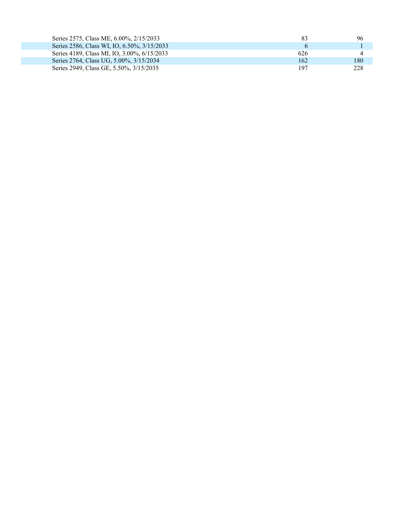| Series 2575, Class ME, 6.00%, 2/15/2033     | -83 | 96  |
|---------------------------------------------|-----|-----|
| Series 2586, Class WI, IO, 6.50%, 3/15/2033 |     |     |
| Series 4189, Class MI, IO, 3.00%, 6/15/2033 | 626 |     |
| Series 2764, Class UG, 5.00%, 3/15/2034     | 162 | 180 |
| Series 2949, Class GE, 5.50%, 3/15/2035     | 197 | 228 |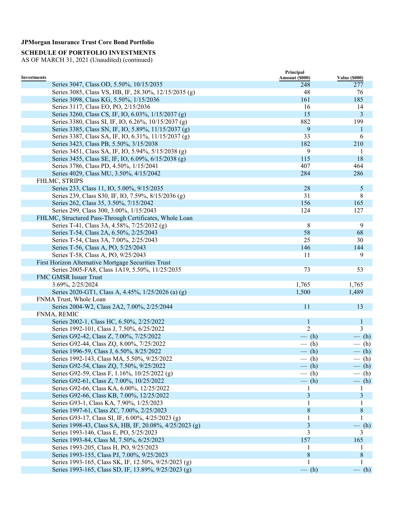### **SCHEDULE OF PORTFOLIO INVESTMENTS**

|                                                         | Principal      |                      |
|---------------------------------------------------------|----------------|----------------------|
| Investments                                             | Amount (\$000) | <b>Value (\$000)</b> |
| Series 3047, Class OD, 5.50%, 10/15/2035                | 248            | 277                  |
| Series 3085, Class VS, HB, IF, 28.30%, 12/15/2035 (g)   | 48             | 76                   |
| Series 3098, Class KG, 5.50%, 1/15/2036                 | 161            | 185                  |
| Series 3117, Class EO, PO, 2/15/2036                    | 16             | 14                   |
| Series 3260, Class CS, IF, IO, 6.03%, 1/15/2037 (g)     | 15             | 3                    |
| Series 3380, Class SI, IF, IO, 6.26%, 10/15/2037 (g)    | 882            | 199                  |
| Series 3385, Class SN, IF, IO, 5.89%, 11/15/2037 (g)    | 9              | $\mathbf 1$          |
| Series 3387, Class SA, IF, IO, 6.31%, 11/15/2037 (g)    | 33             | 6                    |
| Series 3423, Class PB, 5.50%, 3/15/2038                 | 182            | 210                  |
| Series 3451, Class SA, IF, IO, 5.94%, 5/15/2038 (g)     | 9              | -1                   |
| Series 3455, Class SE, IF, IO, 6.09%, 6/15/2038 (g)     | 115            | 18                   |
| Series 3786, Class PD, 4.50%, 1/15/2041                 | 407            | 464                  |
| Series 4029, Class MU, 3.50%, 4/15/2042                 | 284            | 286                  |
| FHLMC, STRIPS                                           |                |                      |
| Series 233, Class 11, IO, 5.00%, 9/15/2035              | 28             | $\mathfrak{S}$       |
| Series 239, Class S30, IF, IO, 7.59%, 8/15/2036 (g)     | 31             | 8                    |
| Series 262, Class 35, 3.50%, 7/15/2042                  | 156            | 165                  |
| Series 299, Class 300, 3.00%, 1/15/2043                 | 124            | 127                  |
| FHLMC, Structured Pass-Through Certificates, Whole Loan |                |                      |
| Series T-41, Class 3A, 4.58%, 7/25/2032 (g)             | 8              | 9                    |
| Series T-54, Class 2A, 6.50%, 2/25/2043                 | 58             | 68                   |
| Series T-54, Class 3A, 7.00%, 2/25/2043                 | 25             | 30                   |
| Series T-56, Class A, PO, 5/25/2043                     | 146            | 144                  |
| Series T-58, Class A, PO, 9/25/2043                     | 11             | 9                    |
| First Horizon Alternative Mortgage Securities Trust     |                |                      |
| Series 2005-FA8, Class 1A19, 5.50%, 11/25/2035          | 73             | 53                   |
| FMC GMSR Issuer Trust                                   |                |                      |
| 3.69%, 2/25/2024                                        | 1,765          | 1,765                |
| Series 2020-GT1, Class A, 4.45%, 1/25/2026 (a) (g)      | 1,500          | 1,489                |
| FNMA Trust, Whole Loan                                  |                |                      |
| Series 2004-W2, Class 2A2, 7.00%, 2/25/2044             | 11             | 13                   |
| FNMA, REMIC                                             |                |                      |
| Series 2002-1, Class HC, 6.50%, 2/25/2022               | $\mathbf{1}$   |                      |
| Series 1992-101, Class J, 7.50%, 6/25/2022              | $\overline{2}$ | $\mathbf{1}$<br>3    |
|                                                         |                |                      |
| Series G92-42, Class Z, 7.00%, 7/25/2022                | $-$ (h)        | $-$ (h)              |
| Series G92-44, Class ZQ, 8.00%, 7/25/2022               | $-$ (h)        | $-$ (h)              |
| Series 1996-59, Class J, 6.50%, 8/25/2022               | $-$ (h)        | $-$ (h)              |
| Series 1992-143, Class MA, 5.50%, 9/25/2022             | $-$ (h)        | $-$ (h)              |
| Series G92-54, Class ZQ, 7.50%, 9/25/2022               | $-$ (h)        | $-$ (h)              |
| Series G92-59, Class F, 1.16%, 10/25/2022 (g)           | $-(h)$         | - (h)                |
| Series G92-61, Class Z, 7.00%, 10/25/2022               | $-$ (h)        | $-$ (h)              |
| Series G92-66, Class KA, 6.00%, 12/25/2022              |                |                      |
| Series G92-66, Class KB, 7.00%, 12/25/2022              | 3              | 3                    |
| Series G93-1, Class KA, 7.90%, 1/25/2023                |                |                      |
| Series 1997-61, Class ZC, 7.00%, 2/25/2023              | 8              | $8\,$                |
| Series G93-17, Class SI, IF, 6.00%, 4/25/2023 (g)       |                |                      |
| Series 1998-43, Class SA, HB, IF, 20.08%, 4/25/2023 (g) | $\mathfrak{Z}$ | $-$ (h)              |
| Series 1993-146, Class E, PO, 5/25/2023                 | 3              | 3                    |
| Series 1993-84, Class M, 7.50%, 6/25/2023               | 157            | 165                  |
| Series 1993-205, Class H, PO, 9/25/2023                 |                |                      |
| Series 1993-155, Class PJ, 7.00%, 9/25/2023             | 8              | 8                    |
| Series 1993-165, Class SK, IF, 12.50%, 9/25/2023 (g)    |                |                      |
| Series 1993-165, Class SD, IF, 13.89%, 9/25/2023 (g)    | $-$ (h)        | $-$ (h)              |
|                                                         |                |                      |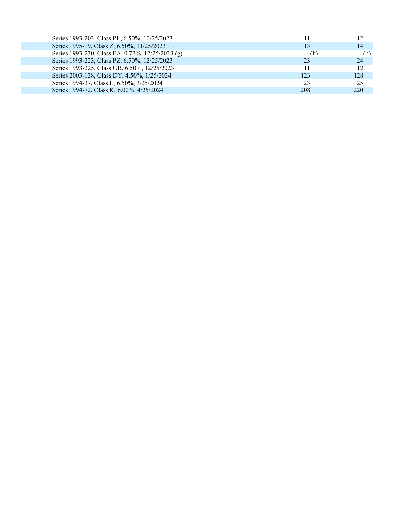| Series 1993-203, Class PL, 6.50%, 10/25/2023     |         | 12      |
|--------------------------------------------------|---------|---------|
| Series 1995-19, Class Z, 6.50%, 11/25/2023       |         | 14      |
| Series 1993-230, Class FA, 0.72%, 12/25/2023 (g) | $-$ (h) | $-$ (h) |
| Series 1993-223, Class PZ, 6.50%, 12/25/2023     | 23      | 24      |
| Series 1993-225, Class UB, 6.50%, 12/25/2023     |         | 12      |
| Series 2003-128, Class DY, 4.50%, 1/25/2024      | 123     | 128     |
| Series 1994-37, Class L, 6.50%, 3/25/2024        | 23      | 25      |
| Series 1994-72, Class K, 6.00%, 4/25/2024        | 208     | 220     |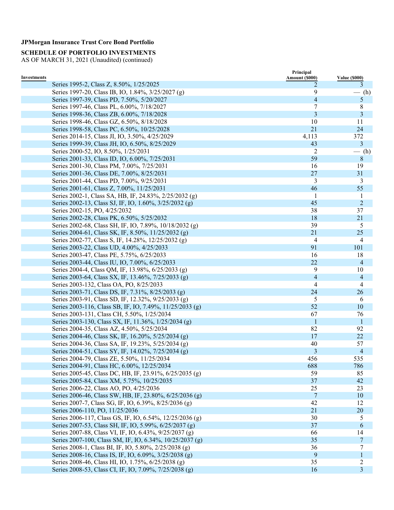# **SCHEDULE OF PORTFOLIO INVESTMENTS**

|                    |                                                                                        | Principal           |                           |
|--------------------|----------------------------------------------------------------------------------------|---------------------|---------------------------|
| <b>Investments</b> | Series 1995-2, Class Z, 8.50%, 1/25/2025                                               | Amount (\$000)<br>2 | <b>Value (\$000)</b><br>3 |
|                    | Series 1997-20, Class IB, IO, 1.84%, 3/25/2027 (g)                                     | 9                   | $-$ (h)                   |
|                    | Series 1997-39, Class PD, 7.50%, 5/20/2027                                             | 4                   | 5                         |
|                    | Series 1997-46, Class PL, 6.00%, 7/18/2027                                             | $\overline{7}$      | 8                         |
|                    | Series 1998-36, Class ZB, 6.00%, 7/18/2028                                             | 3                   | 3                         |
|                    | Series 1998-46, Class GZ, 6.50%, 8/18/2028                                             | 10                  | 11                        |
|                    | Series 1998-58, Class PC, 6.50%, 10/25/2028                                            | 21                  | 24                        |
|                    | Series 2014-15, Class JI, IO, 3.50%, 4/25/2029                                         | 4,113               | 372                       |
|                    | Series 1999-39, Class JH, IO, 6.50%, 8/25/2029                                         | 43                  | 3                         |
|                    |                                                                                        | 2                   |                           |
|                    | Series 2000-52, IO, 8.50%, 1/25/2031<br>Series 2001-33, Class ID, IO, 6.00%, 7/25/2031 | 59                  | $-$ (h)<br>$8\,$          |
|                    |                                                                                        | 16                  |                           |
|                    | Series 2001-30, Class PM, 7.00%, 7/25/2031                                             |                     | 19                        |
|                    | Series 2001-36, Class DE, 7.00%, 8/25/2031                                             | 27                  | 31                        |
|                    | Series 2001-44, Class PD, 7.00%, 9/25/2031                                             | 3                   | 3                         |
|                    | Series 2001-61, Class Z, 7.00%, 11/25/2031                                             | 46                  | 55                        |
|                    | Series 2002-1, Class SA, HB, IF, 24.83%, 2/25/2032 (g)                                 | -1                  | 1                         |
|                    | Series 2002-13, Class SJ, IF, IO, 1.60%, 3/25/2032 (g)                                 | 45                  | $\mathbf 2$               |
|                    | Series 2002-15, PO, 4/25/2032                                                          | 38                  | 37                        |
|                    | Series 2002-28, Class PK, 6.50%, 5/25/2032                                             | 18                  | 21                        |
|                    | Series 2002-68, Class SH, IF, IO, 7.89%, 10/18/2032 (g)                                | 39                  | 5                         |
|                    | Series 2004-61, Class SK, IF, 8.50%, 11/25/2032 (g)                                    | 21                  | 25                        |
|                    | Series 2002-77, Class S, IF, 14.28%, 12/25/2032 (g)                                    | $\overline{4}$      | 4                         |
|                    | Series 2003-22, Class UD, 4.00%, 4/25/2033                                             | 91                  | 101                       |
|                    | Series 2003-47, Class PE, 5.75%, 6/25/2033                                             | 16                  | 18                        |
|                    | Series 2003-44, Class IU, IO, 7.00%, 6/25/2033                                         | 22                  | $\overline{4}$            |
|                    | Series 2004-4, Class QM, IF, 13.98%, 6/25/2033 (g)                                     | 9                   | 10                        |
|                    | Series 2003-64, Class SX, IF, 13.46%, 7/25/2033 (g)                                    | $\overline{4}$      | $\overline{4}$            |
|                    | Series 2003-132, Class OA, PO, 8/25/2033                                               | 4                   | 4                         |
|                    | Series 2003-71, Class DS, IF, 7.31%, 8/25/2033 (g)                                     | 24                  | 26                        |
|                    | Series 2003-91, Class SD, IF, 12.32%, 9/25/2033 (g)                                    | 5                   | 6                         |
|                    | Series 2003-116, Class SB, IF, IO, 7.49%, 11/25/2033 (g)                               | 52                  | 10                        |
|                    | Series 2003-131, Class CH, 5.50%, 1/25/2034                                            | 67                  | 76                        |
|                    | Series 2003-130, Class SX, IF, 11.36%, 1/25/2034 (g)                                   | $\mathbf 1$         | 1                         |
|                    | Series 2004-35, Class AZ, 4.50%, 5/25/2034                                             | 82                  | 92                        |
|                    | Series 2004-46, Class SK, IF, 16.20%, 5/25/2034 (g)                                    | 17                  | 22                        |
|                    | Series 2004-36, Class SA, IF, 19.23%, 5/25/2034 (g)                                    | 40                  | 57                        |
|                    | Series 2004-51, Class SY, IF, 14.02%, 7/25/2034 (g)                                    | 3                   | 4                         |
|                    | Series 2004-79, Class ZE, 5.50%, 11/25/2034                                            | 456                 | 535                       |
|                    | Series 2004-91, Class HC, 6.00%, 12/25/2034                                            | 688                 | 786                       |
|                    | Series 2005-45, Class DC, HB, IF, 23.91%, 6/25/2035 (g)                                | 59                  | 85                        |
|                    | Series 2005-84, Class XM, 5.75%, 10/25/2035                                            | 37                  | 42                        |
|                    | Series 2006-22, Class AO, PO, 4/25/2036                                                | 25                  | 23                        |
|                    | Series 2006-46, Class SW, HB, IF, 23.80%, 6/25/2036 (g)                                | $7\phantom{.0}$     | 10                        |
|                    | Series 2007-7, Class SG, IF, IO, 6.39%, 8/25/2036 (g)                                  | 42                  | 12                        |
|                    | Series 2006-110, PO, 11/25/2036                                                        | 21                  | 20                        |
|                    | Series 2006-117, Class GS, IF, IO, 6.54%, 12/25/2036 (g)                               | 30                  | 5                         |
|                    | Series 2007-53, Class SH, IF, IO, 5.99%, 6/25/2037 (g)                                 | 37                  | 6                         |
|                    | Series 2007-88, Class VI, IF, IO, 6.43%, 9/25/2037 (g)                                 | 66                  | 14                        |
|                    | Series 2007-100, Class SM, IF, IO, 6.34%, 10/25/2037 (g)                               | 35                  | 7                         |
|                    | Series 2008-1, Class BI, IF, IO, 5.80%, 2/25/2038 (g)                                  | 36                  | 7                         |
|                    | Series 2008-16, Class IS, IF, IO, 6.09%, 3/25/2038 (g)                                 | 9                   | $\mathbf{1}$              |
|                    | Series 2008-46, Class HI, IO, 1.75%, 6/25/2038 (g)                                     | 35                  | $\overline{c}$            |
|                    | Series 2008-53, Class CI, IF, IO, 7.09%, 7/25/2038 (g)                                 | 16                  | $\overline{\mathbf{3}}$   |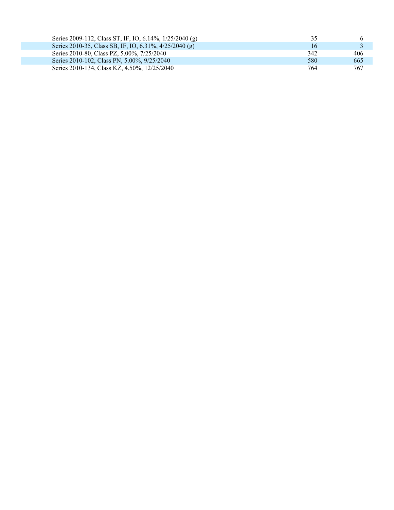| Series 2009-112, Class ST, IF, IO, 6.14%, 1/25/2040 (g) | 35  |     |
|---------------------------------------------------------|-----|-----|
| Series 2010-35, Class SB, IF, IO, 6.31%, 4/25/2040 (g)  | 16  |     |
| Series 2010-80, Class PZ, 5.00%, 7/25/2040              | 342 | 406 |
| Series 2010-102, Class PN, 5.00%, 9/25/2040             | 580 | 665 |
| Series 2010-134, Class KZ, 4.50%, 12/25/2040            | 764 | 767 |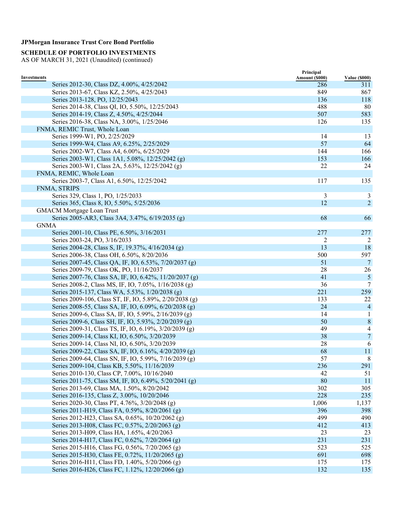# **SCHEDULE OF PORTFOLIO INVESTMENTS**

|                                                                | Principal             |                             |
|----------------------------------------------------------------|-----------------------|-----------------------------|
| Investments<br>Series 2012-30, Class DZ, 4.00%, 4/25/2042      | Amount (\$000)<br>286 | <b>Value (\$000)</b><br>311 |
| Series 2013-67, Class KZ, 2.50%, 4/25/2043                     | 849                   | 867                         |
| Series 2013-128, PO, 12/25/2043                                | 136                   | 118                         |
| Series 2014-38, Class QI, IO, 5.50%, 12/25/2043                | 488                   | 80                          |
| Series 2014-19, Class Z, 4.50%, 4/25/2044                      | 507                   | 583                         |
| Series 2016-38, Class NA, 3.00%, 1/25/2046                     | 126                   | 135                         |
|                                                                |                       |                             |
| FNMA, REMIC Trust, Whole Loan<br>Series 1999-W1, PO, 2/25/2029 | 14                    | 13                          |
| Series 1999-W4, Class A9, 6.25%, 2/25/2029                     | 57                    | 64                          |
| Series 2002-W7, Class A4, 6.00%, 6/25/2029                     | 144                   | 166                         |
| Series 2003-W1, Class 1A1, 5.08%, 12/25/2042 (g)               | 153                   | 166                         |
|                                                                | 22                    | 24                          |
| Series 2003-W1, Class 2A, 5.63%, 12/25/2042 (g)                |                       |                             |
| FNMA, REMIC, Whole Loan                                        |                       |                             |
| Series 2003-7, Class A1, 6.50%, 12/25/2042                     | 117                   | 135                         |
| FNMA, STRIPS                                                   |                       |                             |
| Series 329, Class 1, PO, 1/25/2033                             | 3                     | 3                           |
| Series 365, Class 8, IO, 5.50%, 5/25/2036                      | 12                    | $\overline{2}$              |
| <b>GMACM Mortgage Loan Trust</b>                               |                       |                             |
| Series 2005-AR3, Class 3A4, 3.47%, 6/19/2035 (g)               | 68                    | 66                          |
| <b>GNMA</b>                                                    |                       |                             |
| Series 2001-10, Class PE, 6.50%, 3/16/2031                     | 277                   | 277                         |
| Series 2003-24, PO, 3/16/2033                                  | 2                     | 2                           |
| Series 2004-28, Class S, IF, 19.37%, 4/16/2034 (g)             | 13                    | 18                          |
| Series 2006-38, Class OH, 6.50%, 8/20/2036                     | 500                   | 597                         |
| Series 2007-45, Class QA, IF, IO, 6.53%, 7/20/2037 (g)         | 51                    | 7                           |
| Series 2009-79, Class OK, PO, 11/16/2037                       | 28                    | 26                          |
| Series 2007-76, Class SA, IF, IO, 6.42%, 11/20/2037 (g)        | 41                    | $\mathfrak{S}$              |
| Series 2008-2, Class MS, IF, IO, 7.05%, 1/16/2038 (g)          | 36                    | 7                           |
| Series 2015-137, Class WA, 5.53%, 1/20/2038 (g)                | 221                   | 259                         |
| Series 2009-106, Class ST, IF, IO, 5.89%, 2/20/2038 (g)        | 133                   | 22                          |
| Series 2008-55, Class SA, IF, IO, 6.09%, 6/20/2038 (g)         | 24                    | $\overline{4}$              |
| Series 2009-6, Class SA, IF, IO, 5.99%, 2/16/2039 (g)          | 14                    | 1                           |
| Series 2009-6, Class SH, IF, IO, 5.93%, 2/20/2039 (g)          | 50                    | $\,8\,$                     |
| Series 2009-31, Class TS, IF, IO, 6.19%, 3/20/2039 (g)         | 49                    | 4                           |
| Series 2009-14, Class KI, IO, 6.50%, 3/20/2039                 | 38                    | $\overline{7}$              |
| Series 2009-14, Class NI, IO, 6.50%, 3/20/2039                 | 28                    | 6                           |
| Series 2009-22, Class SA, IF, IO, 6.16%, 4/20/2039 (g)         | 68                    | 11                          |
| Series 2009-64, Class SN, IF, IO, 5.99%, 7/16/2039 (g)         | 57                    | 8                           |
| Series 2009-104, Class KB, 5.50%, 11/16/2039                   | 236                   | 291                         |
| Series 2010-130, Class CP, 7.00%, 10/16/2040                   | 42                    | 51                          |
| Series 2011-75, Class SM, IF, IO, 6.49%, 5/20/2041 (g)         | 80                    | 11                          |
| Series 2013-69, Class MA, 1.50%, 8/20/2042                     | 302                   | 305                         |
| Series 2016-135, Class Z, 3.00%, 10/20/2046                    | 228                   | 235                         |
| Series 2020-30, Class PT, 4.76%, 3/20/2048 (g)                 | 1,006                 | 1,137                       |
| Series 2011-H19, Class FA, 0.59%, 8/20/2061 (g)                | 396                   | 398                         |
| Series 2012-H23, Class SA, 0.65%, 10/20/2062 (g)               | 499                   | 490                         |
| Series 2013-H08, Class FC, 0.57%, 2/20/2063 (g)                | 412                   | 413                         |
| Series 2013-H09, Class HA, 1.65%, 4/20/2063                    | 23                    | 23                          |
| Series 2014-H17, Class FC, 0.62%, 7/20/2064 (g)                | 231                   | 231                         |
| Series 2015-H16, Class FG, 0.56%, 7/20/2065 (g)                | 523                   | 525                         |
| Series 2015-H30, Class FE, 0.72%, 11/20/2065 (g)               | 691                   | 698                         |
| Series 2016-H11, Class FD, 1.40%, 5/20/2066 (g)                | 175                   | 175                         |
| Series 2016-H26, Class FC, 1.12%, 12/20/2066 (g)               | 132                   | 135                         |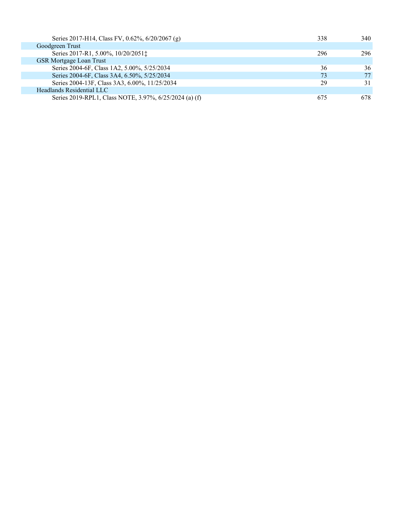| Series 2017-H14, Class FV, 0.62%, 6/20/2067 (g)        | 338 | 340 |
|--------------------------------------------------------|-----|-----|
| Goodgreen Trust                                        |     |     |
| Series 2017-R1, 5.00%, 10/20/2051;                     | 296 | 296 |
| <b>GSR Mortgage Loan Trust</b>                         |     |     |
| Series 2004-6F, Class 1A2, 5.00%, 5/25/2034            | 36  | 36  |
| Series 2004-6F, Class 3A4, 6.50%, 5/25/2034            | 73  | 77  |
| Series 2004-13F, Class 3A3, 6.00%, 11/25/2034          | 29  | 31  |
| Headlands Residential LLC                              |     |     |
| Series 2019-RPL1, Class NOTE, 3.97%, 6/25/2024 (a) (f) | 675 | 678 |
|                                                        |     |     |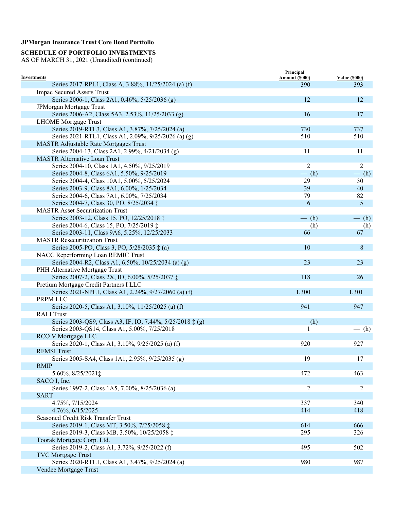### **SCHEDULE OF PORTFOLIO INVESTMENTS**

|                                                                                        | Principal      |                      |
|----------------------------------------------------------------------------------------|----------------|----------------------|
| <b>Investments</b>                                                                     | Amount (\$000) | <b>Value (\$000)</b> |
| Series 2017-RPL1, Class A, 3.88%, 11/25/2024 (a) (f)                                   | 390            | 393                  |
| <b>Impac Secured Assets Trust</b>                                                      |                |                      |
| Series 2006-1, Class 2A1, 0.46%, 5/25/2036 (g)                                         | 12             | 12                   |
| JPMorgan Mortgage Trust                                                                |                |                      |
| Series 2006-A2, Class 5A3, 2.53%, 11/25/2033 (g)                                       | 16             | 17                   |
| <b>LHOME</b> Mortgage Trust                                                            |                |                      |
| Series 2019-RTL3, Class A1, 3.87%, 7/25/2024 (a)                                       | 730            | 737                  |
| Series 2021-RTL1, Class A1, 2.09%, 9/25/2026 (a) (g)                                   | 510            | 510                  |
| <b>MASTR Adjustable Rate Mortgages Trust</b>                                           |                |                      |
| Series 2004-13, Class 2A1, 2.99%, 4/21/2034 (g)<br><b>MASTR Alternative Loan Trust</b> | 11             | 11                   |
|                                                                                        |                |                      |
| Series 2004-10, Class 1A1, 4.50%, 9/25/2019                                            | $\overline{2}$ | $\overline{2}$       |
| Series 2004-8, Class 6A1, 5.50%, 9/25/2019                                             | $-$ (h)        | $-$ (h)              |
| Series 2004-4, Class 10A1, 5.00%, 5/25/2024                                            | 29             | 30                   |
| Series 2003-9, Class 8A1, 6.00%, 1/25/2034                                             | 39             | 40                   |
| Series 2004-6, Class 7A1, 6.00%, 7/25/2034                                             | 79             | 82                   |
| Series 2004-7, Class 30, PO, 8/25/2034 ‡                                               | 6              | 5                    |
| <b>MASTR Asset Securitization Trust</b>                                                |                |                      |
| Series 2003-12, Class 15, PO, 12/25/2018 ‡                                             | $-$ (h)        | $-$ (h)              |
| Series 2004-6, Class 15, PO, 7/25/2019 ‡                                               | $-$ (h)        | $-$ (h)              |
| Series 2003-11, Class 9A6, 5.25%, 12/25/2033                                           | 66             | 67                   |
| <b>MASTR Resecuritization Trust</b>                                                    |                |                      |
| Series 2005-PO, Class 3, PO, 5/28/2035 $\ddagger$ (a)                                  | 10             | $\, 8$               |
| NACC Reperforming Loan REMIC Trust                                                     |                |                      |
| Series 2004-R2, Class A1, 6.50%, 10/25/2034 (a) (g)                                    | 23             | 23                   |
| PHH Alternative Mortgage Trust                                                         |                |                      |
| Series 2007-2, Class 2X, IO, 6.00%, 5/25/2037 ‡                                        | 118            | 26                   |
| Pretium Mortgage Credit Partners I LLC                                                 |                |                      |
| Series 2021-NPL1, Class A1, 2.24%, 9/27/2060 (a) (f)                                   | 1,300          | 1,301                |
| PRPM LLC                                                                               |                |                      |
| Series 2020-5, Class A1, 3.10%, 11/25/2025 (a) (f)                                     | 941            | 947                  |
| <b>RALI</b> Trust                                                                      |                |                      |
| Series 2003-QS9, Class A3, IF, IO, 7.44%, 5/25/2018 ‡ (g)                              | $-$ (h)        |                      |
| Series 2003-QS14, Class A1, 5.00%, 7/25/2018                                           |                | $-$ (h)              |
| RCO V Mortgage LLC                                                                     |                |                      |
| Series 2020-1, Class A1, 3.10%, 9/25/2025 (a) (f)                                      | 920            | 927                  |
| <b>RFMSI Trust</b>                                                                     |                |                      |
| Series 2005-SA4, Class 1A1, 2.95%, 9/25/2035 (g)                                       | 19             | 17                   |
| <b>RMIP</b>                                                                            |                | 463                  |
| 5.60%, 8/25/2021 $\ddagger$                                                            | 472            |                      |
| SACO I, Inc.                                                                           |                |                      |
| Series 1997-2, Class 1A5, 7.00%, 8/25/2036 (a)<br><b>SART</b>                          | $\overline{2}$ | $\overline{2}$       |
|                                                                                        |                | 340                  |
| 4.75%, 7/15/2024                                                                       | 337<br>414     |                      |
| 4.76%, 6/15/2025                                                                       |                | 418                  |
| Seasoned Credit Risk Transfer Trust<br>Series 2019-1, Class MT, 3.50%, 7/25/2058 ±     | 614            |                      |
| Series 2019-3, Class MB, 3.50%, 10/25/2058 ‡                                           |                | 666                  |
|                                                                                        | 295            | 326                  |
| Toorak Mortgage Corp. Ltd.                                                             |                |                      |
| Series 2019-2, Class A1, 3.72%, 9/25/2022 (f)<br><b>TVC Mortgage Trust</b>             | 495            | 502                  |
| Series 2020-RTL1, Class A1, 3.47%, 9/25/2024 (a)                                       | 980            | 987                  |
| Vendee Mortgage Trust                                                                  |                |                      |
|                                                                                        |                |                      |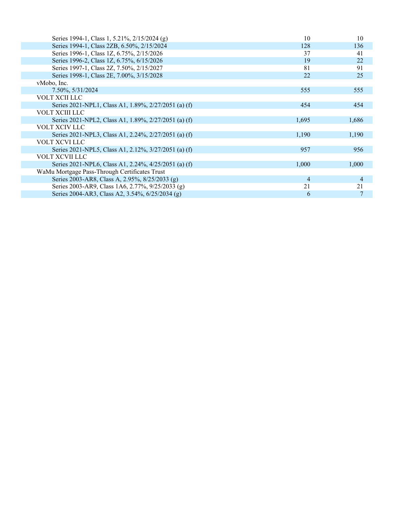| Series 1994-1, Class 1, 5.21%, 2/15/2024 (g)         | 10    | 10             |
|------------------------------------------------------|-------|----------------|
| Series 1994-1, Class 2ZB, 6.50%, 2/15/2024           | 128   | 136            |
| Series 1996-1, Class 1Z, 6.75%, 2/15/2026            | 37    | 41             |
| Series 1996-2, Class 1Z, 6.75%, 6/15/2026            | 19    | 22             |
| Series 1997-1, Class 2Z, 7.50%, 2/15/2027            | 81    | 91             |
| Series 1998-1, Class 2E, 7.00%, 3/15/2028            | 22    | 25             |
| vMobo, Inc.                                          |       |                |
| 7.50%, 5/31/2024                                     | 555   | 555            |
| VOLT XCII LLC                                        |       |                |
| Series 2021-NPL1, Class A1, 1.89%, 2/27/2051 (a) (f) | 454   | 454            |
| VOLT XCIII LLC                                       |       |                |
| Series 2021-NPL2, Class A1, 1.89%, 2/27/2051 (a) (f) | 1,695 | 1,686          |
| VOLT XCIV LLC                                        |       |                |
| Series 2021-NPL3, Class A1, 2.24%, 2/27/2051 (a) (f) | 1,190 | 1,190          |
| VOLT XCVI LLC                                        |       |                |
| Series 2021-NPL5, Class A1, 2.12%, 3/27/2051 (a) (f) | 957   | 956            |
| VOLT XCVII LLC                                       |       |                |
| Series 2021-NPL6, Class A1, 2.24%, 4/25/2051 (a) (f) | 1,000 | 1,000          |
| WaMu Mortgage Pass-Through Certificates Trust        |       |                |
| Series 2003-AR8, Class A, 2.95%, 8/25/2033 (g)       | 4     | $\overline{4}$ |
| Series 2003-AR9, Class 1A6, 2.77%, 9/25/2033 (g)     | 21    | 21             |
| Series 2004-AR3, Class A2, 3.54%, 6/25/2034 (g)      | 6     | 7              |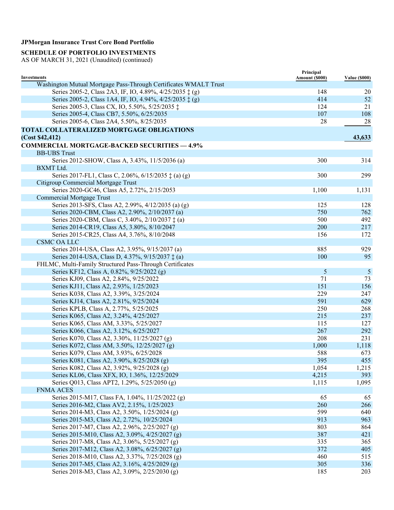### **SCHEDULE OF PORTFOLIO INVESTMENTS**

| Investments                                                      | Principal<br>Amount (\$000) | <b>Value (\$000)</b> |
|------------------------------------------------------------------|-----------------------------|----------------------|
| Washington Mutual Mortgage Pass-Through Certificates WMALT Trust |                             |                      |
| Series 2005-2, Class 2A3, IF, IO, 4.89%, 4/25/2035 ‡ (g)         | 148                         | 20                   |
| Series 2005-2, Class 1A4, IF, IO, 4.94%, 4/25/2035 ‡ (g)         | 414                         | 52                   |
| Series 2005-3, Class CX, IO, 5.50%, 5/25/2035 ‡                  | 124                         | 21                   |
| Series 2005-4, Class CB7, 5.50%, 6/25/2035                       | 107                         | 108                  |
| Series 2005-6, Class 2A4, 5.50%, 8/25/2035                       | 28                          | 28                   |
| TOTAL COLLATERALIZED MORTGAGE OBLIGATIONS                        |                             |                      |
| (Cost \$42,412)                                                  |                             | 43,633               |
|                                                                  |                             |                      |
| <b>COMMERCIAL MORTGAGE-BACKED SECURITIES - 4.9%</b>              |                             |                      |
| <b>BB-UBS Trust</b>                                              |                             |                      |
| Series 2012-SHOW, Class A, 3.43%, 11/5/2036 (a)                  | 300                         | 314                  |
| BXMT Ltd.                                                        |                             |                      |
| Series 2017-FL1, Class C, 2.06%, 6/15/2035 $\ddagger$ (a) (g)    | 300                         | 299                  |
| Citigroup Commercial Mortgage Trust                              |                             |                      |
| Series 2020-GC46, Class A5, 2.72%, 2/15/2053                     | 1,100                       | 1,131                |
| <b>Commercial Mortgage Trust</b>                                 |                             |                      |
| Series 2013-SFS, Class A2, 2.99%, 4/12/2035 (a) (g)              | 125                         | 128                  |
| Series 2020-CBM, Class A2, 2.90%, 2/10/2037 (a)                  | 750                         | 762                  |
| Series 2020-CBM, Class C, 3.40%, 2/10/2037 ‡ (a)                 | 500                         | 492                  |
| Series 2014-CR19, Class A5, 3.80%, 8/10/2047                     | 200                         | 217                  |
| Series 2015-CR25, Class A4, 3.76%, 8/10/2048                     | 156                         | 172                  |
| <b>CSMC OA LLC</b>                                               |                             |                      |
| Series 2014-USA, Class A2, 3.95%, 9/15/2037 (a)                  | 885                         | 929                  |
| Series 2014-USA, Class D, 4.37%, 9/15/2037 ‡ (a)                 | 100                         | 95                   |
| FHLMC, Multi-Family Structured Pass-Through Certificates         |                             |                      |
| Series KF12, Class A, 0.82%, 9/25/2022 (g)                       | 5                           | $\mathfrak{S}$       |
| Series KJ09, Class A2, 2.84%, 9/25/2022                          | 71                          | 73                   |
| Series KJ11, Class A2, 2.93%, 1/25/2023                          | 151                         | 156                  |
| Series K038, Class A2, 3.39%, 3/25/2024                          | 229                         | 247                  |
| Series KJ14, Class A2, 2.81%, 9/25/2024                          | 591                         | 629                  |
| Series KPLB, Class A, 2.77%, 5/25/2025                           | 250                         | 268                  |
| Series K065, Class A2, 3.24%, 4/25/2027                          | 215                         | 237                  |
| Series K065, Class AM, 3.33%, 5/25/2027                          | 115                         | 127                  |
| Series K066, Class A2, 3.12%, 6/25/2027                          | 267                         | 292                  |
| Series K070, Class A2, 3.30%, 11/25/2027 (g)                     | 208                         | 231                  |
| Series K072, Class AM, 3.50%, 12/25/2027 (g)                     | 1,000                       | 1,118                |
| Series K079, Class AM, 3.93%, 6/25/2028                          | 588                         | 673                  |
| Series K081, Class A2, 3.90%, 8/25/2028 (g)                      | 395                         | 455                  |
| Series K082, Class A2, 3.92%, 9/25/2028 (g)                      | 1,054                       | 1,215                |
| Series KL06, Class XFX, IO, 1.36%, 12/25/2029                    | 4,215                       | 393                  |
| Series Q013, Class APT2, 1.29%, 5/25/2050 (g)                    | 1,115                       | 1,095                |
| <b>FNMA ACES</b>                                                 |                             |                      |
| Series 2015-M17, Class FA, 1.04%, 11/25/2022 (g)                 | 65                          | 65                   |
| Series 2016-M2, Class AV2, 2.15%, 1/25/2023                      | 260                         | 266                  |
| Series 2014-M3, Class A2, 3.50%, 1/25/2024 (g)                   | 599                         | 640                  |
| Series 2015-M3, Class A2, 2.72%, 10/25/2024                      | 913                         | 963                  |
| Series 2017-M7, Class A2, 2.96%, 2/25/2027 (g)                   | 803                         | 864                  |
| Series 2015-M10, Class A2, 3.09%, 4/25/2027 (g)                  | 387                         | 421                  |
| Series 2017-M8, Class A2, 3.06%, 5/25/2027 (g)                   | 335                         | 365                  |
| Series 2017-M12, Class A2, 3.08%, 6/25/2027 (g)                  | 372                         | 405                  |
| Series 2018-M10, Class A2, 3.37%, 7/25/2028 (g)                  | 460                         | 515                  |
| Series 2017-M5, Class A2, 3.16%, 4/25/2029 (g)                   | 305                         | 336                  |
| Series 2018-M3, Class A2, 3.09%, 2/25/2030 (g)                   | 185                         | 203                  |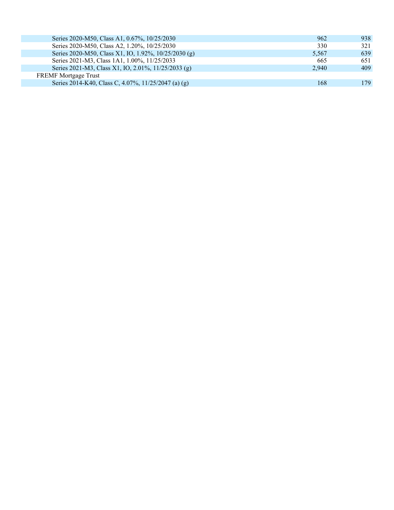| Series 2020-M50, Class A1, 0.67%, 10/25/2030         | 962   | 938 |
|------------------------------------------------------|-------|-----|
| Series 2020-M50, Class A2, 1.20%, 10/25/2030         | 330   | 321 |
| Series 2020-M50, Class X1, IO, 1.92%, 10/25/2030 (g) | 5.567 | 639 |
| Series 2021-M3, Class 1A1, 1.00%, 11/25/2033         | 665   | 651 |
| Series 2021-M3, Class X1, IO, 2.01%, 11/25/2033 (g)  | 2.940 | 409 |
| <b>FREMF</b> Mortgage Trust                          |       |     |
| Series 2014-K40, Class C, 4.07%, 11/25/2047 (a) (g)  | 168   | 179 |
|                                                      |       |     |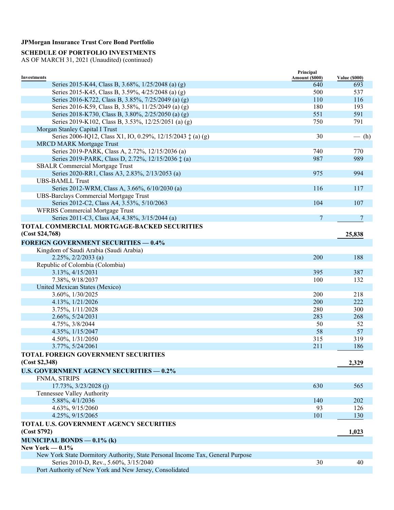### **SCHEDULE OF PORTFOLIO INVESTMENTS**

|                                                                                | Principal      |                      |
|--------------------------------------------------------------------------------|----------------|----------------------|
| Investments                                                                    | Amount (\$000) | <b>Value (\$000)</b> |
| Series 2015-K44, Class B, 3.68%, 1/25/2048 (a) (g)                             | 640            | 693                  |
| Series 2015-K45, Class B, 3.59%, 4/25/2048 (a) (g)                             | 500            | 537                  |
| Series 2016-K722, Class B, 3.85%, 7/25/2049 (a) (g)                            | 110            | 116                  |
| Series 2016-K59, Class B, 3.58%, 11/25/2049 (a) (g)                            | 180            | 193                  |
| Series 2018-K730, Class B, 3.80%, 2/25/2050 (a) (g)                            | 551            | 591                  |
| Series 2019-K102, Class B, 3.53%, 12/25/2051 (a) (g)                           | 750            | 791                  |
| Morgan Stanley Capital I Trust                                                 |                |                      |
| Series 2006-IQ12, Class X1, IO, 0.29%, 12/15/2043 ‡ (a) (g)                    | 30             | $-$ (h)              |
| <b>MRCD MARK Mortgage Trust</b>                                                |                |                      |
| Series 2019-PARK, Class A, 2.72%, 12/15/2036 (a)                               | 740            | 770                  |
| Series 2019-PARK, Class D, 2.72%, 12/15/2036 ‡ (a)                             | 987            | 989                  |
| <b>SBALR Commercial Mortgage Trust</b>                                         |                |                      |
| Series 2020-RR1, Class A3, 2.83%, 2/13/2053 (a)                                | 975            | 994                  |
| <b>UBS-BAMLL Trust</b>                                                         |                |                      |
| Series 2012-WRM, Class A, 3.66%, 6/10/2030 (a)                                 | 116            | 117                  |
| <b>UBS-Barclays Commercial Mortgage Trust</b>                                  |                |                      |
| Series 2012-C2, Class A4, 3.53%, 5/10/2063                                     | 104            | 107                  |
| <b>WFRBS Commercial Mortgage Trust</b>                                         |                |                      |
| Series 2011-C3, Class A4, 4.38%, 3/15/2044 (a)                                 | $\overline{7}$ | 7                    |
| TOTAL COMMERCIAL MORTGAGE-BACKED SECURITIES                                    |                |                      |
| (Cost \$24,768)                                                                |                | 25,838               |
|                                                                                |                |                      |
| <b>FOREIGN GOVERNMENT SECURITIES - 0.4%</b>                                    |                |                      |
| Kingdom of Saudi Arabia (Saudi Arabia)                                         |                |                      |
| $2.25\%, 2/2/2033$ (a)                                                         | 200            | 188                  |
| Republic of Colombia (Colombia)                                                |                |                      |
| 3.13%, 4/15/2031                                                               | 395            | 387                  |
| 7.38%, 9/18/2037                                                               | 100            | 132                  |
| United Mexican States (Mexico)                                                 |                |                      |
| 3.60%, 1/30/2025                                                               | 200            | 218                  |
| 4.13%, 1/21/2026                                                               | 200            | 222                  |
| 3.75%, 1/11/2028                                                               | 280            | 300                  |
| 2.66%, 5/24/2031                                                               | 283            | 268                  |
| 4.75%, 3/8/2044                                                                | 50             | 52                   |
| 4.35%, 1/15/2047                                                               | 58             | 57                   |
| 4.50%, 1/31/2050                                                               | 315            | 319                  |
| 3.77%, 5/24/2061                                                               | 211            | 186                  |
| <b>TOTAL FOREIGN GOVERNMENT SECURITIES</b>                                     |                |                      |
| (Cost \$2,348)                                                                 |                | 2,329                |
| <b>U.S. GOVERNMENT AGENCY SECURITIES - 0.2%</b>                                |                |                      |
| FNMA, STRIPS                                                                   |                |                      |
| 17.73%, 3/23/2028 (j)                                                          | 630            | 565                  |
| Tennessee Valley Authority                                                     |                |                      |
| 5.88%, 4/1/2036                                                                | 140            | 202                  |
| 4.63%, 9/15/2060                                                               | 93             | 126                  |
| 4.25%, 9/15/2065                                                               | 101            | 130                  |
|                                                                                |                |                      |
| TOTAL U.S. GOVERNMENT AGENCY SECURITIES                                        |                |                      |
| (Cost \$792)                                                                   |                | 1,023                |
| <b>MUNICIPAL BONDS - 0.1% (k)</b>                                              |                |                      |
| New York $-0.1\%$                                                              |                |                      |
| New York State Dormitory Authority, State Personal Income Tax, General Purpose |                |                      |
| Series 2010-D, Rev., 5.60%, 3/15/2040                                          | 30             | 40                   |
| Port Authority of New York and New Jersey, Consolidated                        |                |                      |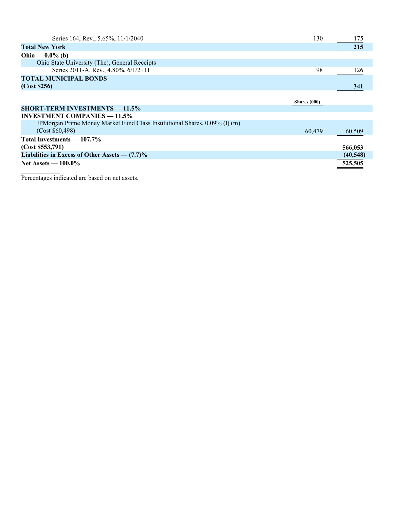| Series 164, Rev., 5.65%, 11/1/2040                                         | 130          | 175       |
|----------------------------------------------------------------------------|--------------|-----------|
| <b>Total New York</b>                                                      |              | 215       |
| Ohio — $0.0\%$ (b)                                                         |              |           |
| Ohio State University (The), General Receipts                              |              |           |
| Series 2011-A, Rev., 4.80%, 6/1/2111                                       | 98           | 126       |
| <b>TOTAL MUNICIPAL BONDS</b>                                               |              |           |
| (Cost \$256)                                                               |              | 341       |
|                                                                            |              |           |
|                                                                            | Shares (000) |           |
| <b>SHORT-TERM INVESTMENTS — 11.5%</b>                                      |              |           |
| <b>INVESTMENT COMPANIES — 11.5%</b>                                        |              |           |
| JPMorgan Prime Money Market Fund Class Institutional Shares, 0.09% (1) (m) |              |           |
| (Cost \$60,498)                                                            | 60,479       | 60,509    |
| Total Investments — 107.7%                                                 |              |           |
| (Cost \$553,791)                                                           |              | 566,053   |
| Liabilities in Excess of Other Assets $-$ (7.7)%                           |              | (40, 548) |
| Net Assets $-100.0\%$                                                      |              | 525,505   |

Percentages indicated are based on net assets.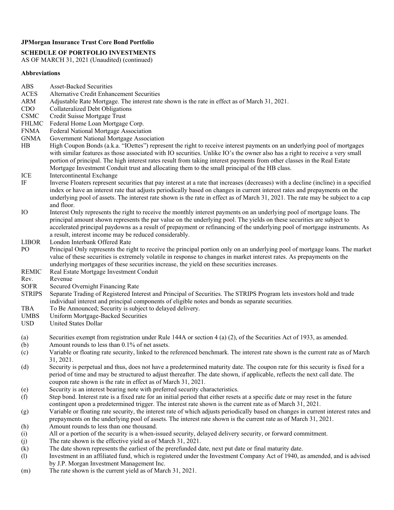#### **SCHEDULE OF PORTFOLIO INVESTMENTS**

AS OF MARCH 31, 2021 (Unaudited) (continued)

#### **Abbreviations**

- ABS Asset-Backed Securities
- ACES Alternative Credit Enhancement Securities<br>ARM Adiustable Rate Mortgage. The interest rate
- Adjustable Rate Mortgage. The interest rate shown is the rate in effect as of March 31, 2021.
- CDO Collateralized Debt Obligations
- CSMC Credit Suisse Mortgage Trust
- FHLMC Federal Home Loan Mortgage Corp.
- FNMA Federal National Mortgage Association
- GNMA Government National Mortgage Association<br>HB High Coupon Bonds (a.k.a. "IOettes") repres
- High Coupon Bonds (a.k.a. "IOettes") represent the right to receive interest payments on an underlying pool of mortgages with similar features as those associated with IO securities. Unlike IO's the owner also has a right to receive a very small portion of principal. The high interest rates result from taking interest payments from other classes in the Real Estate Mortgage Investment Conduit trust and allocating them to the small principal of the HB class.
- ICE Intercontinental Exchange
- IF Inverse Floaters represent securities that pay interest at a rate that increases (decreases) with a decline (incline) in a specified index or have an interest rate that adjusts periodically based on changes in current interest rates and prepayments on the underlying pool of assets. The interest rate shown is the rate in effect as of March 31, 2021. The rate may be subject to a cap and floor.
- IO Interest Only represents the right to receive the monthly interest payments on an underlying pool of mortgage loans. The principal amount shown represents the par value on the underlying pool. The yields on these securities are subject to accelerated principal paydowns as a result of prepayment or refinancing of the underlying pool of mortgage instruments. As a result, interest income may be reduced considerably.
- LIBOR London Interbank Offered Rate
- PO Principal Only represents the right to receive the principal portion only on an underlying pool of mortgage loans. The market value of these securities is extremely volatile in response to changes in market interest rates. As prepayments on the underlying mortgages of these securities increase, the yield on these securities increases.
- REMIC Real Estate Mortgage Investment Conduit
- Rev. Revenue<br>SOFR Secured 0
- Secured Overnight Financing Rate
- STRIPS Separate Trading of Registered Interest and Principal of Securities. The STRIPS Program lets investors hold and trade individual interest and principal components of eligible notes and bonds as separate securities.
- TBA To Be Announced; Security is subject to delayed delivery.
- UMBS Uniform Mortgage-Backed Securities
- USD United States Dollar
- (a) Securities exempt from registration under Rule 144A or section 4 (a) (2), of the Securities Act of 1933, as amended.
- (b) Amount rounds to less than 0.1% of net assets.
- (c) Variable or floating rate security, linked to the referenced benchmark. The interest rate shown is the current rate as of March 31, 2021.
- (d) Security is perpetual and thus, does not have a predetermined maturity date. The coupon rate for this security is fixed for a period of time and may be structured to adjust thereafter. The date shown, if applicable, reflects the next call date. The coupon rate shown is the rate in effect as of March 31, 2021.
- (e) Security is an interest bearing note with preferred security characteristics.
- (f) Step bond. Interest rate is a fixed rate for an initial period that either resets at a specific date or may reset in the future contingent upon a predetermined trigger. The interest rate shown is the current rate as of March 31, 2021.
- (g) Variable or floating rate security, the interest rate of which adjusts periodically based on changes in current interest rates and prepayments on the underlying pool of assets. The interest rate shown is the current rate as of March 31, 2021.
- (h) Amount rounds to less than one thousand.
- (i) All or a portion of the security is a when-issued security, delayed delivery security, or forward commitment.
- (j) The rate shown is the effective yield as of March 31, 2021.
- (k) The date shown represents the earliest of the prerefunded date, next put date or final maturity date.
- (l) Investment in an affiliated fund, which is registered under the Investment Company Act of 1940, as amended, and is advised by J.P. Morgan Investment Management Inc.
- (m) The rate shown is the current yield as of March 31, 2021.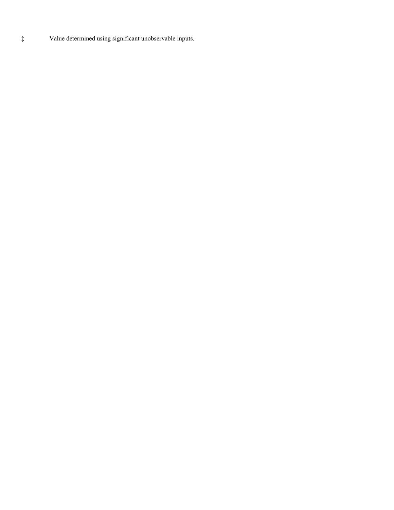‡ Value determined using significant unobservable inputs.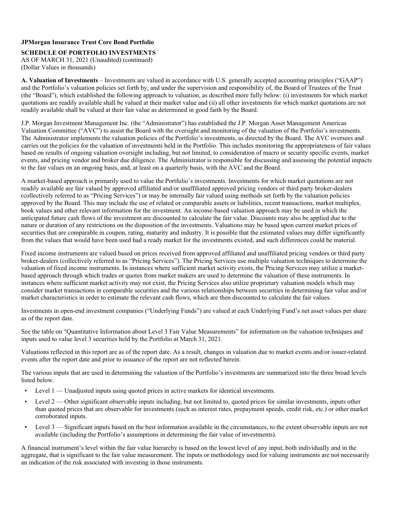**SCHEDULE OF PORTFOLIO INVESTMENTS**  AS OF MARCH 31, 2021 (Unaudited) (continued) (Dollar Values in thousands)

**A. Valuation of Investments** – Investments are valued in accordance with U.S. generally accepted accounting principles ("GAAP") and the Portfolio's valuation policies set forth by, and under the supervision and responsibility of, the Board of Trustees of the Trust (the "Board"), which established the following approach to valuation, as described more fully below: (i) investments for which market quotations are readily available shall be valued at their market value and (ii) all other investments for which market quotations are not readily available shall be valued at their fair value as determined in good faith by the Board.

J.P. Morgan Investment Management Inc. (the "Administrator") has established the J.P. Morgan Asset Management Americas Valuation Committee ("AVC") to assist the Board with the oversight and monitoring of the valuation of the Portfolio's investments. The Administrator implements the valuation policies of the Portfolio's investments, as directed by the Board. The AVC oversees and carries out the policies for the valuation of investments held in the Portfolio. This includes monitoring the appropriateness of fair values based on results of ongoing valuation oversight including, but not limited, to consideration of macro or security specific events, market events, and pricing vendor and broker due diligence. The Administrator is responsible for discussing and assessing the potential impacts to the fair values on an ongoing basis, and, at least on a quarterly basis, with the AVC and the Board.

A market-based approach is primarily used to value the Portfolio's investments. Investments for which market quotations are not readily available are fair valued by approved affiliated and/or unaffiliated approved pricing vendors or third party broker-dealers (collectively referred to as "Pricing Services") or may be internally fair valued using methods set forth by the valuation policies approved by the Board. This may include the use of related or comparable assets or liabilities, recent transactions, market multiples, book values and other relevant information for the investment. An income-based valuation approach may be used in which the anticipated future cash flows of the investment are discounted to calculate the fair value. Discounts may also be applied due to the nature or duration of any restrictions on the disposition of the investments. Valuations may be based upon current market prices of securities that are comparable in coupon, rating, maturity and industry. It is possible that the estimated values may differ significantly from the values that would have been used had a ready market for the investments existed, and such differences could be material.

Fixed income instruments are valued based on prices received from approved affiliated and unaffiliated pricing vendors or third party broker-dealers (collectively referred to as "Pricing Services"). The Pricing Services use multiple valuation techniques to determine the valuation of fixed income instruments. In instances where sufficient market activity exists, the Pricing Services may utilize a marketbased approach through which trades or quotes from market makers are used to determine the valuation of these instruments. In instances where sufficient market activity may not exist, the Pricing Services also utilize proprietary valuation models which may consider market transactions in comparable securities and the various relationships between securities in determining fair value and/or market characteristics in order to estimate the relevant cash flows, which are then discounted to calculate the fair values.

Investments in open-end investment companies ("Underlying Funds") are valued at each Underlying Fund's net asset values per share as of the report date.

See the table on "Quantitative Information about Level 3 Fair Value Measurements" for information on the valuation techniques and inputs used to value level 3 securities held by the Portfolio at March 31, 2021.

Valuations reflected in this report are as of the report date. As a result, changes in valuation due to market events and/or issuer-related events after the report date and prior to issuance of the report are not reflected herein.

The various inputs that are used in determining the valuation of the Portfolio's investments are summarized into the three broad levels listed below.

- Level 1 Unadjusted inputs using quoted prices in active markets for identical investments.
- Level  $2$  Other significant observable inputs including, but not limited to, quoted prices for similar investments, inputs other than quoted prices that are observable for investments (such as interest rates, prepayment speeds, credit risk, etc.) or other market corroborated inputs.
- Level 3 Significant inputs based on the best information available in the circumstances, to the extent observable inputs are not available (including the Portfolio's assumptions in determining the fair value of investments).

A financial instrument's level within the fair value hierarchy is based on the lowest level of any input, both individually and in the aggregate, that is significant to the fair value measurement. The inputs or methodology used for valuing instruments are not necessarily an indication of the risk associated with investing in those instruments.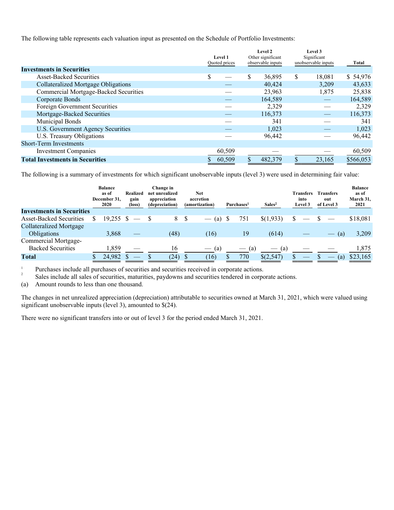The following table represents each valuation input as presented on the Schedule of Portfolio Investments:

|                                              | <b>Level 1</b><br>Quoted prices |        | Level 2<br>Other significant<br>observable inputs |         | Level 3<br>Significant<br>unobservable inputs |        | Total     |
|----------------------------------------------|---------------------------------|--------|---------------------------------------------------|---------|-----------------------------------------------|--------|-----------|
| <b>Investments in Securities</b>             |                                 |        |                                                   |         |                                               |        |           |
| <b>Asset-Backed Securities</b>               | \$                              |        | \$                                                | 36,895  | \$                                            | 18,081 | \$54,976  |
| Collateralized Mortgage Obligations          |                                 |        |                                                   | 40,424  |                                               | 3,209  | 43,633    |
| <b>Commercial Mortgage-Backed Securities</b> |                                 |        |                                                   | 23,963  |                                               | 1,875  | 25,838    |
| Corporate Bonds                              |                                 |        |                                                   | 164,589 |                                               |        | 164,589   |
| Foreign Government Securities                |                                 |        |                                                   | 2,329   |                                               |        | 2,329     |
| Mortgage-Backed Securities                   |                                 |        |                                                   | 116,373 |                                               |        | 116,373   |
| <b>Municipal Bonds</b>                       |                                 |        |                                                   | 341     |                                               |        | 341       |
| <b>U.S. Government Agency Securities</b>     |                                 |        |                                                   | 1,023   |                                               |        | 1,023     |
| U.S. Treasury Obligations                    |                                 |        |                                                   | 96,442  |                                               |        | 96,442    |
| <b>Short-Term Investments</b>                |                                 |        |                                                   |         |                                               |        |           |
| <b>Investment Companies</b>                  |                                 | 60,509 |                                                   |         |                                               |        | 60,509    |
| <b>Total Investments in Securities</b>       |                                 | 60.509 | \$.                                               | 482,379 | S                                             | 23.165 | \$566,053 |

The following is a summary of investments for which significant unobservable inputs (level 3) were used in determining fair value:

|                                  | <b>Balance</b><br>as of<br>December 31.<br>2020 | Realized<br>gain<br>(loss) | Change in<br>net unrealized<br>appreciation<br>(depreciation) |      | <b>Net</b><br>accretion<br>(amortization) |                          |   | Purchases <sup>1</sup> | Sales <sup>2</sup> | <b>Transfers</b><br>into<br>Level 3 | <b>Transfers</b><br>out<br>of Level 3 | <b>Balance</b><br>as of<br>March 31,<br>2021 |
|----------------------------------|-------------------------------------------------|----------------------------|---------------------------------------------------------------|------|-------------------------------------------|--------------------------|---|------------------------|--------------------|-------------------------------------|---------------------------------------|----------------------------------------------|
| <b>Investments in Securities</b> |                                                 |                            |                                                               |      |                                           |                          |   |                        |                    |                                     |                                       |                                              |
| <b>Asset-Backed Securities</b>   | 19.255 S                                        |                            |                                                               | 8    | S                                         | (a)                      |   | 751                    | \$(1,933)          | \$                                  |                                       | \$18,081                                     |
| <b>Collateralized Mortgage</b>   |                                                 |                            |                                                               |      |                                           |                          |   |                        |                    |                                     |                                       |                                              |
| <b>Obligations</b>               | 3,868                                           |                            |                                                               | (48) |                                           | (16)                     |   | 19                     | (614)              |                                     | (a)<br>$\overline{\phantom{a}}$       | 3,209                                        |
| Commercial Mortgage-             |                                                 |                            |                                                               |      |                                           |                          |   |                        |                    |                                     |                                       |                                              |
| <b>Backed Securities</b>         | 1.859                                           |                            |                                                               | 16   |                                           | (a)<br>$\hspace{0.05cm}$ |   | (a)                    | (a)                |                                     |                                       | 1,875                                        |
| Total                            | 24,982 \$                                       | $\qquad \qquad - \qquad$   |                                                               | (24) | <b>S</b>                                  | (16)                     | S | 770                    | \$(2,547)          |                                     | (a)                                   | \$23,165                                     |

Purchases include all purchases of securities and securities received in corporate actions. 1 2

Sales include all sales of securities, maturities, paydowns and securities tendered in corporate actions.

(a) Amount rounds to less than one thousand.

The changes in net unrealized appreciation (depreciation) attributable to securities owned at March 31, 2021, which were valued using significant unobservable inputs (level 3), amounted to \$(24).

There were no significant transfers into or out of level 3 for the period ended March 31, 2021.